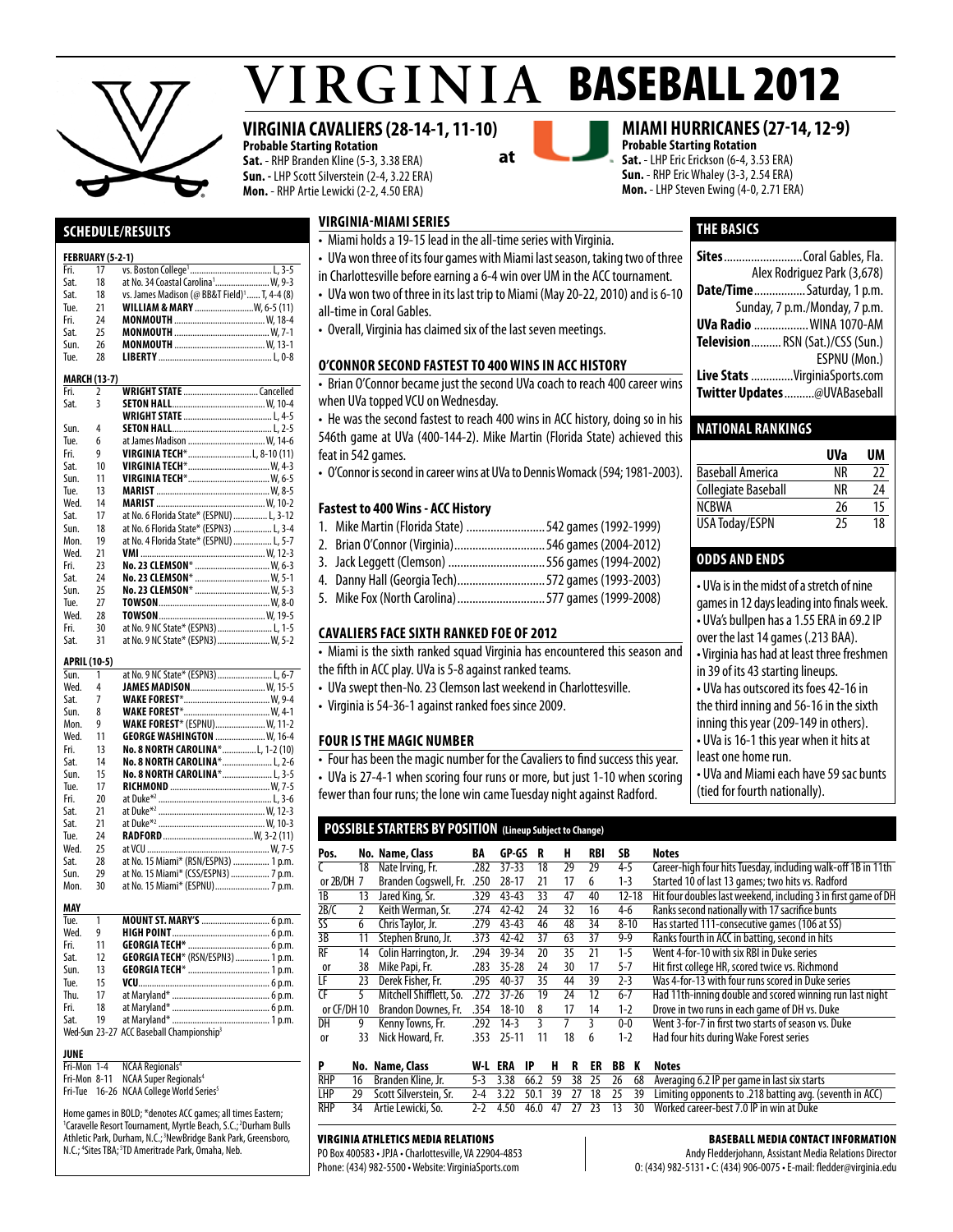

# $VIRGINIA$  BASEBALL 2012

#### **VIRGINIA CAVALIERS (28-14-1, 11-10)**

**Probable Starting Rotation Sat.** - RHP Branden Kline (5-3, 3.38 ERA) **Sun. -** LHP Scott Silverstein (2-4, 3.22 ERA) **Mon.** - RHP Artie Lewicki (2-2, 4.50 ERA)



#### **miami hurricanes (27-14, 12-9)**

**Probable Starting Rotation Sat.** - LHP Eric Erickson (6-4, 3.53 ERA) **Sun.** - RHP Eric Whaley (3-3, 2.54 ERA) **Mon.** - LHP Steven Ewing (4-0, 2.71 ERA)

**THE basics**

**Sites**..........................Coral Gables, Fla.

**Date/Time**.................Saturday, 1 p.m. Sunday, 7 p.m./Monday, 7 p.m. **UVa Radio** ..................WINA 1070-AM **Television**.......... RSN (Sat.)/CSS (Sun.)

**Live Stats** ..............VirginiaSports.com **Twitter Updates**..........@UVABaseball

**Baseball America** NR 22<br> **Collegiate Baseball** NR 24 Collegiate Baseball NR

NCBWA 26 15<br>USA Todav/ESPN 25 18 USA Today/ESPN 25 18

• UVa is in the midst of a stretch of nine games in 12 days leading into finals week. • UVa's bullpen has a 1.55 ERA in 69.2 IP over the last 14 games (.213 BAA). • Virginia has had at least three freshmen

• UVa and Miami each have 59 sac bunts

in 39 of its 43 starting lineups. • UVa has outscored its foes 42-16 in the third inning and 56-16 in the sixth inning this year (209-149 in others). • UVa is 16-1 this year when it hits at

least one home run.

(tied for fourth nationally).

**National Rankings**

**odds and ends** 

Alex Rodriguez Park (3,678)

ESPNU (Mon.)

**UVa UM**

#### **Schedule/Results**

#### **FEBRUARY (5-2-1)**

| Fri.                | 17                      |                                                          |
|---------------------|-------------------------|----------------------------------------------------------|
| Sat.                | 18                      |                                                          |
| Sat.                | 18                      | vs. James Madison (@ BB&T Field) <sup>1</sup> T, 4-4 (8) |
| Tue.                | 21                      | <b>WILLIAM &amp; MARY</b> W, 6-5 (11)                    |
| Fri.                | 24                      |                                                          |
| Sat.                | 25                      |                                                          |
| Sun.                | 26                      |                                                          |
| Tue.                | 28                      |                                                          |
|                     | <b>MARCH (13-7)</b>     |                                                          |
| Fri.                | 2                       |                                                          |
| Sat.                | $\overline{\mathbf{3}}$ |                                                          |
|                     |                         |                                                          |
| Sun.                | 4                       |                                                          |
| Tue.                | 6                       | at James Madison  W, 14-6                                |
| Fri.                | 9                       | VIRGINIA TECH*L, 8-10 (11)                               |
| Sat.                | 10                      |                                                          |
| Sun.                | 11                      |                                                          |
| Tue.                | 13                      |                                                          |
| Wed.                | 14                      |                                                          |
| Sat.                | 17                      | at No. 6 Florida State* (ESPNU)  L, 3-12                 |
| Sun.                | 18                      | at No. 6 Florida State* (ESPN3)  L, 3-4                  |
| Mon.                | 19                      | at No. 4 Florida State* (ESPNU)  L, 5-7                  |
| Wed.                | 21                      |                                                          |
| Fri.                | 23                      | No. 23 CLEMSON*  W, 6-3                                  |
| Sat.                | 24                      | No. 23 CLEMSON*  W, 5-1                                  |
| Sun.                | 25                      | No. 23 CLEMSON*  W, 5-3                                  |
| Tue.                | 27                      |                                                          |
| Wed.                | 28                      |                                                          |
| Fri.                | 30                      | at No. 9 NC State* (ESPN3)  L, 1-5                       |
| Sat.                | 31                      | at No. 9 NC State* (ESPN3)  W, 5-2                       |
| <b>APRIL (10-5)</b> |                         |                                                          |
| Sun.                | 1                       |                                                          |
| Wed.                | 4                       | JAMES MADISON W. 15-5                                    |
| Sat.                | 7                       |                                                          |
| Sun.                | 8                       |                                                          |
| Mon.                | 9                       | <b>WAKE FOREST*</b> (ESPNU) W, 11-2                      |
| Wed.                | 11                      | GEORGE WASHINGTON  W, 16-4                               |
| Fri.                | 13                      | No. 8 NORTH CAROLINA*L, 1-2 (10)                         |
| Sat.                | 14                      | No. 8 NORTH CAROLINA* L, 2-6                             |
| Sun.                | 15                      | No. 8 NORTH CAROLINA* L, 3-5                             |
| Tue                 | 17                      | $R$ <i>ichmonn</i> $W$ 7-5                               |

| Tue. | 1  | MOUNT ST. MARY'S  6 p.m.             |
|------|----|--------------------------------------|
| MAY  |    |                                      |
| Mon. | 30 |                                      |
| Sun. | 29 | at No. 15 Miami* (CSS/ESPN3)  7 p.m. |
| Sat. | 28 | at No. 15 Miami* (RSN/ESPN3)  1 p.m. |
| Wed. | 25 |                                      |
| Tue. | 24 |                                      |
| Sat. | 21 |                                      |
| Sat. | 21 |                                      |
| Fri. | 20 |                                      |
| Tue. | 17 |                                      |
| Sun. | 15 | <b>No. 8 NORTH CAROLINA* L, 3-5</b>  |
| Sat. | 14 | <b>No. 8 NORTH CAROLINA* L. 2-6</b>  |
| Fri. | 13 | No. 8 NORTH CAROLINA*L, 1-2 (10)     |
| Wed. | 11 | <b>GEORGE WASHINGTON  W. 16-4</b>    |
| Mon. | 9  | <b>WAKE FOREST*</b> (ESPNU) W, 11-2  |
| Sun. | 8  |                                      |
| Sat. | 7  |                                      |
| Wed. | 4  | JAMES MADISON W, 15-5                |
| Sun. | 1  | at No. 9 NC State* (ESPN3)  L, 6-7   |

| TUC. |    |                                                      |
|------|----|------------------------------------------------------|
| Wed. | 9  |                                                      |
| Fri. | 11 |                                                      |
| Sat. | 12 | <b>GEORGIA TECH*</b> (RSN/ESPN3)  1 p.m.             |
| Sun. | 13 |                                                      |
| Tue. | 15 |                                                      |
| Thu. | 17 |                                                      |
| Fri. | 18 |                                                      |
| Sat. | 19 |                                                      |
|      |    | Wed-Sun 23-27 ACC Baseball Championship <sup>3</sup> |
|      |    |                                                      |

#### **JUNE**<br>Fri-Mon 1-4

NCAA Regionals<sup>4</sup> Fri-Mon 8-11 NCAA Super Regionals<sup>4</sup>

Fri-Tue 16-26 NCAA College World Series<sup>5</sup>

Home games in BOLD; \*denotes ACC games; all times Eastern; <sup>1</sup>Caravelle Resort Tournament, Myrtle Beach, S.C.;<sup>2</sup>Durham Bulls Athletic Park, Durham, N.C.; 3NewBridge Bank Park, Greensboro, N.C.; <sup>4</sup>Sites TBA; <sup>5</sup>TD Ameritrade Park, Omaha, Neb.

#### **virginia-miami series**

- Miami holds a 19-15 lead in the all-time series with Virginia.
- UVa won three of its four games with Miami last season, taking two of three
- in Charlottesville before earning a 6-4 win over UM in the ACC tournament.
- UVa won two of three in its last trip to Miami (May 20-22, 2010) and is 6-10
- all-time in Coral Gables.
- Overall, Virginia has claimed six of the last seven meetings.

#### **O'CONNOR SECOND FASTEST TO 400 WINS IN ACC HISTORY**

• Brian O'Connor became just the second UVa coach to reach 400 career wins when UVa topped VCU on Wednesday.

• He was the second fastest to reach 400 wins in ACC history, doing so in his 546th game at UVa (400-144-2). Mike Martin (Florida State) achieved this feat in 542 games.

• O'Connor is second in career wins at UVa to Dennis Womack (594; 1981-2003).

#### **Fastest to 400 Wins - ACC History**

- 1. Mike Martin (Florida State) ..........................542 games (1992-1999)
- 2. Brian O'Connor (Virginia)..............................546 games (2004-2012)
- 3. Jack Leggett (Clemson) ................................556 games (1994-2002)
- 4. Danny Hall (Georgia Tech).............................572 games (1993-2003)
- 5. Mike Fox (North Carolina).............................577 games (1999-2008)

#### **cavaliers face sixth ranked foe of 2012**

• Miami is the sixth ranked squad Virginia has encountered this season and the fifth in ACC play. UVa is 5-8 against ranked teams.

- UVa swept then-No. 23 Clemson last weekend in Charlottesville.
- Virginia is 54-36-1 against ranked foes since 2009.

#### **Four is the Magic Number**

- Four has been the magic number for the Cavaliers to find success this year.
- UVa is 27-4-1 when scoring four runs or more, but just 1-10 when scoring
- fewer than four runs; the lone win came Tuesday night against Radford.

#### **POSSIBLE STARTERS BY POSITION (Lineup Subject to Change)**

| Pos.        |    | No. Name, Class         | BA   | GP-GS     | R  | н  | RBI | SB        | <b>Notes</b>                                                   |
|-------------|----|-------------------------|------|-----------|----|----|-----|-----------|----------------------------------------------------------------|
|             | 18 | Nate Irving, Fr.        | .282 | $37 - 33$ | 18 | 29 | 29  | $4 - 5$   | Career-high four hits Tuesday, including walk-off 1B in 11th   |
| or 2B/DH 7  |    | Branden Cogswell, Fr.   | .250 | $28 - 17$ | 21 | 17 | 6   | $1 - 3$   | Started 10 of last 13 games; two hits vs. Radford              |
| 1B          | 13 | Jared King, Sr.         | .329 | $43 - 43$ | 33 | 47 | 40  | $12 - 18$ | Hit four doubles last weekend, including 3 in first game of DH |
| 2B/C        |    | Keith Werman, Sr.       | .274 | $42 - 42$ | 24 | 32 | 16  | $4-6$     | Ranks second nationally with 17 sacrifice bunts                |
| SS          | 6  | Chris Taylor, Jr.       | .279 | $43 - 43$ | 46 | 48 | 34  | $8 - 10$  | Has started 111-consecutive games (106 at SS)                  |
| 3B          | 11 | Stephen Bruno, Jr.      | .373 | $42 - 42$ | 37 | 63 | 37  | $9 - 9$   | Ranks fourth in ACC in batting, second in hits                 |
| <b>RF</b>   | 14 | Colin Harrington, Jr.   | .294 | 39-34     | 20 | 35 | 21  | $1-5$     | Went 4-for-10 with six RBI in Duke series                      |
| 0r          | 38 | Mike Papi, Fr.          | .283 | $35 - 28$ | 24 | 30 | 17  | $5 - 7$   | Hit first college HR, scored twice vs. Richmond                |
| LF          | 23 | Derek Fisher, Fr.       | .295 | $40 - 37$ | 35 | 44 | 39  | $2 - 3$   | Was 4-for-13 with four runs scored in Duke series              |
| CF          |    | Mitchell Shifflett, So. | 272  | $37 - 26$ | 19 | 24 | 12  | $6 - 7$   | Had 11th-inning double and scored winning run last night       |
| or CF/DH 10 |    | Brandon Downes, Fr.     | .354 | $18 - 10$ | 8  | 17 | 14  | $1 - 2$   | Drove in two runs in each game of DH vs. Duke                  |
| DH          | 9  | Kenny Towns, Fr.        | .292 | $14-3$    | 3  |    |     | $0-0$     | Went 3-for-7 in first two starts of season vs. Duke            |
| 0ľ          | 33 | Nick Howard, Fr.        | .353 | $25 - 11$ | 11 | 18 | 6   | $1 - 2$   | Had four hits during Wake Forest series                        |
|             |    |                         |      |           |    |    |     |           |                                                                |

|  | No. Name, Class           |  |  |  |  | W-L ERA IP H R ER BB K Notes                                                                                        |
|--|---------------------------|--|--|--|--|---------------------------------------------------------------------------------------------------------------------|
|  | RHP 16 Branden Kline, Jr. |  |  |  |  | 5-3 3.38 66.2 59 38 25 26 68 Averaging 6.2 IP per game in last six starts                                           |
|  |                           |  |  |  |  | LHP 29 Scott Silverstein, Sr. 2-4 3.22 50.1 39 27 18 25 39 Limiting opponents to .218 batting avg. (seventh in ACC) |
|  | RHP 34 Artie Lewicki, So. |  |  |  |  | 2-2 4.50 46.0 47 27 23 13 30 Worked career-best 7.0 IP in win at Duke                                               |

#### Virginia Athletics Media Relations

PO Box 400583 • JPJA • Charlottesville, VA 22904-4853 Phone: (434) 982-5500 • Website: VirginiaSports.com

#### Baseball Media Contact Information

Andy Fledderjohann, Assistant Media Relations Director O: (434) 982-5131 • C: (434) 906-0075 • E-mail: fledder@virginia.edu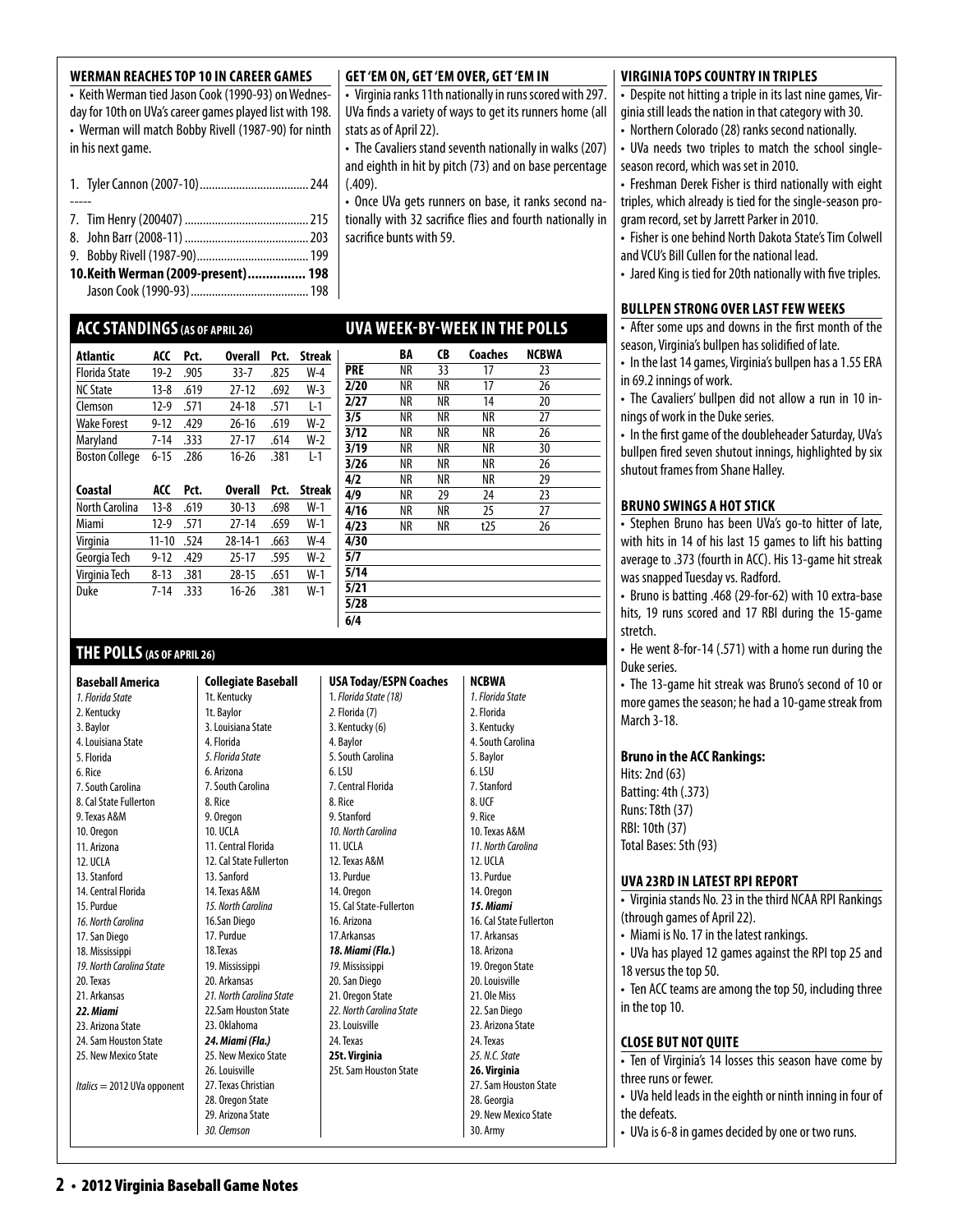#### • Keith Werman tied Jason Cook (1990-93) on Wednes-

day for 10th on UVa's career games played list with 198. • Werman will match Bobby Rivell (1987-90) for ninth in his next game.

**Werman Reaches Top 10 in Career Games** 

|--|--|--|--|

----- 7. Tim Henry (200407) .........................................215

- 8. John Barr (2008-11).........................................203
- 9. Bobby Rivell (1987-90).....................................199
- **10. Keith Werman (2009-present)................ 198** Jason Cook (1990-93).......................................198

#### **ACCStandings(as of april 26)**

| Atlantic              | ACC      | Pct. | <b>Overall</b> | Pct. | <b>Streak</b> |
|-----------------------|----------|------|----------------|------|---------------|
| <b>Florida State</b>  | $19-2$   | .905 | $33 - 7$       | .825 | $W-4$         |
| <b>NC State</b>       | $13 - 8$ | .619 | $27 - 12$      | .692 | $W-3$         |
| Clemson               | $12-9$   | .571 | 24-18          | .571 | $L-1$         |
| <b>Wake Forest</b>    | $9 - 12$ | .429 | $26 - 16$      | .619 | W-2           |
| Maryland              | $7 - 14$ | .333 | $27-17$        | .614 | $W-2$         |
| <b>Boston College</b> | $6 - 15$ | .286 | $16 - 26$      | .381 | $1-1$         |
| Coastal               | ACC      | Pct. | <b>Overall</b> | Pct. | <b>Streak</b> |
| <b>North Carolina</b> | $13 - 8$ | .619 | $30 - 13$      | .698 | W-1           |
|                       |          |      |                |      |               |

| <b>North Carolina</b> | $13-8$    | .619 | $30 - 13$     | .698 | W-1   |
|-----------------------|-----------|------|---------------|------|-------|
| Miami                 | $12-9$    | .571 | $27-14$       | .659 | $W-1$ |
| Virginia              | $11 - 10$ | .524 | $28 - 14 - 1$ | .663 | $W-4$ |
| Georgia Tech          | $9 - 12$  | .429 | $25-17$       | .595 | $W-2$ |
| Virginia Tech         | $8 - 13$  | .381 | 28-15         | .651 | $W-1$ |
| Duke                  | $7 - 14$  | -333 | 16-26         | .381 | $W-1$ |
|                       |           |      |               |      |       |

#### **THE POLLS(AS OF APRIL 26)**

**Baseball America**  *1. Florida State*  2. Kentucky 3. Baylor 4. Louisiana State 5. Florida 6. Rice 7. South Carolina 8. Cal State Fullerton 9. Texas A&M 10. Oregon 11. Arizona 12. UCLA 13. Stanford 14. Central Florida 15. Purdue *16. North Carolina* 17. San Diego 18. Mississippi *19. North Carolina State*  20. Texas 21. Arkansas *22. Miami*  23. Arizona State 24. Sam Houston State 25. New Mexico State *Italics* = 2012 UVa opponent

**Collegiate Baseball**  1t. Kentucky 1t. Baylor 3. Louisiana State 4. Florida *5. Florida State* 6. Arizona 7. South Carolina 8. Rice 9. Oregon 10. UCLA 11. Central Florida 12. Cal State Fullerton 13. Sanford 14. Texas A&M *15. North Carolina* 16.San Diego 17. Purdue 18.Texas 19. Mississippi 20. Arkansas *21. North Carolina State* 22.Sam Houston State 23. Oklahoma *24. Miami (Fla.)* 25. New Mexico State 26. Louisville 27. Texas Christian 28. Oregon State 29. Arizona State

#### **USA Today/ESPN Coaches** 1. *Florida State (18) 2.* Florida (7) 3. Kentucky (6) 4. Baylor 5. South Carolina 6. LSU **NCBWA** 2. Florida 5. Baylor 6. LSU 8. UCF **4/30 5/7 5/14 5/21 5/28 6/4**

9. Stanford *10. North Carolina*  11. UCLA 12. Texas A&M 13. Purdue 14. Oregon 15. Cal State-Fullerton 16. Arizona 17.Arkansas *18. Miami (Fla.***)** *19.* Mississippi 20. San Diego 21. Oregon State *22. North Carolina State* 23. Louisville 24. Texas **25t. Virginia**  25t. Sam Houston State *1. Florida State*  3. Kentucky 4. South Carolina 7. Stanford 9. Rice 10. Texas A&M *11. North Carolina*  12. UCLA 13. Purdue 14. Oregon *15. Miami*  16. Cal State Fullerton 17. Arkansas 18. Arizona 19. Oregon State 20. Louisville 21. Ole Miss 22. San Diego 23. Arizona State 24. Texas *25. N.C. State*  **26. Virginia**  27. Sam Houston State 28. Georgia 29. New Mexico State

30. Army

#### **virginia tops country in triples**

• Despite not hitting a triple in its last nine games, Virginia still leads the nation in that category with 30.

- Northern Colorado (28) ranks second nationally.
- UVa needs two triples to match the school singleseason record, which was set in 2010.

• Freshman Derek Fisher is third nationally with eight triples, which already is tied for the single-season program record, set by Jarrett Parker in 2010.

• Fisher is one behind North Dakota State's Tim Colwell and VCU's Bill Cullen for the national lead.

• Jared King is tied for 20th nationally with five triples.

#### **Bullpen strong over last fewweeks**

• After some ups and downs in the first month of the season, Virginia's bullpen has solidified of late.

• In the last 14 games, Virginia's bullpen has a 1.55 ERA in 69.2 innings of work.

• The Cavaliers' bullpen did not allow a run in 10 innings of work in the Duke series.

• In the first game of the doubleheader Saturday, UVa's bullpen fired seven shutout innings, highlighted by six shutout frames from Shane Halley.

#### **bruno swings a hot stick**

• Stephen Bruno has been UVa's go-to hitter of late, with hits in 14 of his last 15 games to lift his batting average to .373 (fourth in ACC). His 13-game hit streak was snapped Tuesday vs. Radford.

• Bruno is batting .468 (29-for-62) with 10 extra-base hits, 19 runs scored and 17 RBI during the 15-game stretch.

• He went 8-for-14 (.571) with a home run during the Duke series.

• The 13-game hit streak was Bruno's second of 10 or more games the season; he had a 10-game streak from March 3-18.

#### **Bruno in the ACC Rankings:**

Hits: 2nd (63) Batting: 4th (.373) Runs: T8th (37) RBI: 10th (37) Total Bases: 5th (93)

#### **uva 23rd in latest RPI report**

- Virginia stands No. 23 in the third NCAA RPI Rankings (through games of April 22).
- Miami is No. 17 in the latest rankings.

• UVa has played 12 games against the RPI top 25 and 18 versus the top 50.

• Ten ACC teams are among the top 50, including three in the top 10.

#### **Close But Not Quite**

• Ten of Virginia's 14 losses this season have come by three runs or fewer.

• UVa held leads in the eighth or ninth inning in four of the defeats.

• UVa is 6-8 in games decided by one or two runs.

**Get 'Em On, Get 'Em Over, Get 'Em In** 

stats as of April 22).

sacrifice bunts with 59.

 $(.409)$ .

• Virginia ranks 11th nationally in runs scored with 297. UVa finds a variety of ways to get its runners home (all

• The Cavaliers stand seventh nationally in walks (207) and eighth in hit by pitch (73) and on base percentage

• Once UVa gets runners on base, it ranks second nationally with 32 sacrifice flies and fourth nationally in

#### 7. Central Florida 8. Rice

**2** • 2012 Virginia Baseball Game Notes

*30. Clemson*

|            |    |    | <b>UVA WEEK-BY-WEEK IN THE POLLS</b> |       |
|------------|----|----|--------------------------------------|-------|
|            | BA | CB | Coaches                              | NCBWA |
| <b>PRE</b> | ΝR | 33 | 17                                   | 23    |
| 2/20       | ΝR | ΝR | 17                                   | 26    |
| 2/27       | ΝR | ΝR | 14                                   | 20    |
| 3/5        | ΝR | ΝR | ΝR                                   | 27    |
| 3/12       | ΝR | ΝR | ΝR                                   | 26    |
| 3/19       | ΝR | ΝR | ΝR                                   | 30    |
| 3/26       | NR | ΝR | NR                                   | 26    |
| 4/2        | NR | ΝR | ΝR                                   | 29    |
| 4/9        | NR | 29 | 24                                   | 23    |
| 4/16       | NR | ΝR | 25                                   | 27    |
| 4/23       | ΝR | ΝR | t25                                  | 26    |
| 4/30       |    |    |                                      |       |
| 5/7        |    |    |                                      |       |
| 5/14       |    |    |                                      |       |
| 5/21       |    |    |                                      |       |
| 5/28       |    |    |                                      |       |
| 611        |    |    |                                      |       |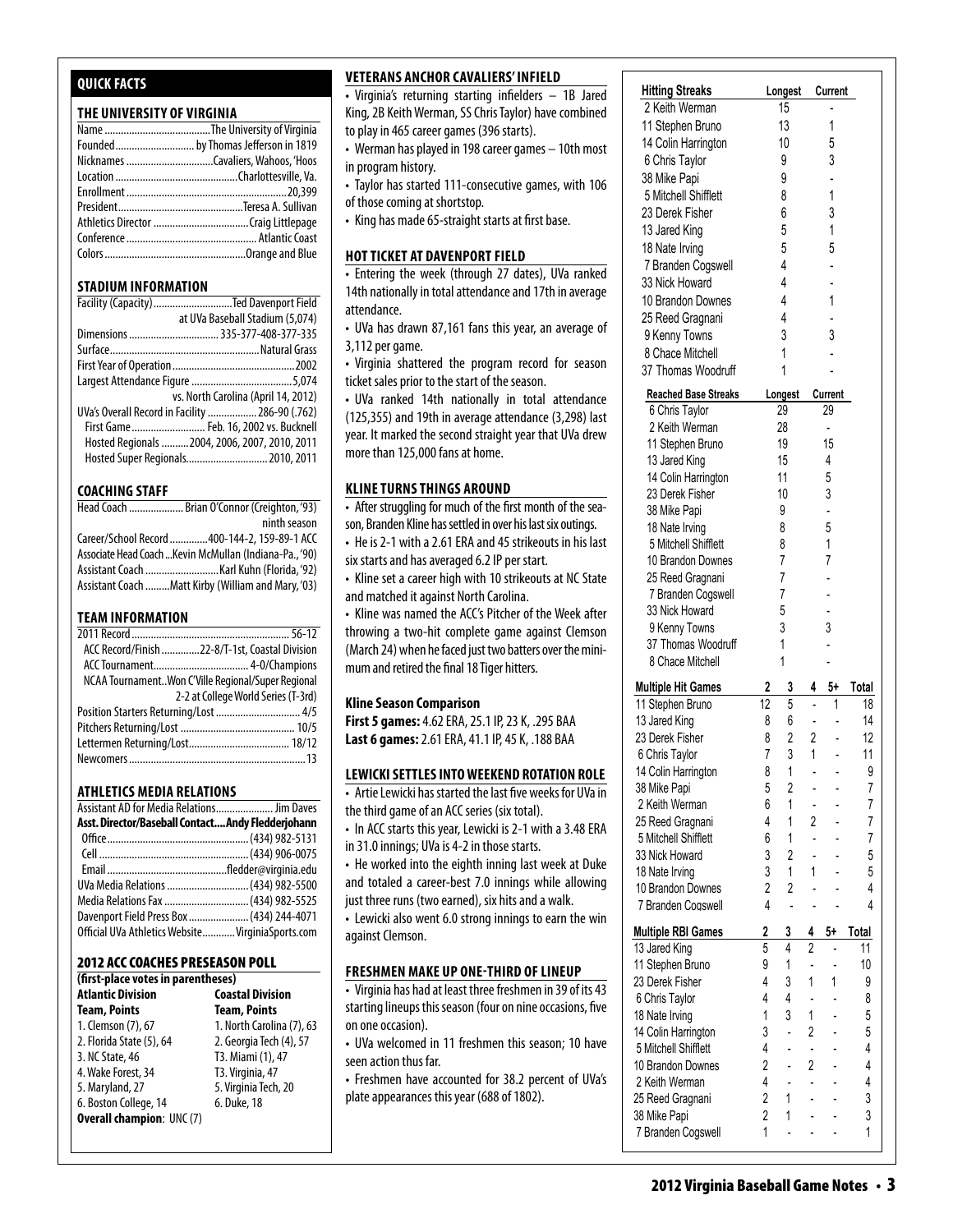#### **Quick Facts**

#### **THE UNIVERSITY OF VIRGINIA**

| Founded by Thomas Jefferson in 1819 |
|-------------------------------------|
|                                     |
|                                     |
|                                     |
|                                     |
|                                     |
|                                     |
|                                     |
|                                     |

#### **STADIUM INFORMATION**

| Facility (Capacity) Ted Davenport Field         |
|-------------------------------------------------|
| at UVa Baseball Stadium (5,074)                 |
| Dimensions  335-377-408-377-335                 |
|                                                 |
|                                                 |
|                                                 |
| vs. North Carolina (April 14, 2012)             |
| UVa's Overall Record in Facility  286-90 (.762) |
| First Game Feb. 16, 2002 vs. Bucknell           |
| Hosted Regionals  2004, 2006, 2007, 2010, 2011  |
| Hosted Super Regionals 2010, 2011               |

#### **COACHING STAFF**

| Head Coach  Brian O'Connor (Creighton, '93)             |
|---------------------------------------------------------|
| ninth season                                            |
| Career/School Record 400-144-2, 159-89-1 ACC            |
| Associate Head Coach  Kevin McMullan (Indiana-Pa., '90) |
|                                                         |
| Assistant Coach Matt Kirby (William and Mary, '03)      |

#### **TEAM INFORMATION**

| ACC Record/Finish 22-8/T-1st, Coastal Division     |  |
|----------------------------------------------------|--|
|                                                    |  |
| NCAA TournamentWon C'Ville Regional/Super Regional |  |
| 2-2 at College World Series (T-3rd)                |  |
| Position Starters Returning/Lost  4/5              |  |
|                                                    |  |
|                                                    |  |
|                                                    |  |
|                                                    |  |

#### **Athletics MEDIA RELATIONS**

| Assistant AD for Media Relations Jim Daves         |  |
|----------------------------------------------------|--|
| Asst. Director/Baseball Contact Andy Fledderjohann |  |
|                                                    |  |
|                                                    |  |
|                                                    |  |
| UVa Media Relations  (434) 982-5500                |  |
| Media Relations Fax  (434) 982-5525                |  |
| Davenport Field Press Box  (434) 244-4071          |  |
| Official UVa Athletics Website VirginiaSports.com  |  |

#### 2012 ACC Coaches Preseason Poll

| (first-place votes in parentheses) |                           |
|------------------------------------|---------------------------|
| <b>Atlantic Division</b>           | <b>Coastal Division</b>   |
| <b>Team, Points</b>                | <b>Team, Points</b>       |
| 1. Clemson (7), 67                 | 1. North Carolina (7), 63 |
| 2. Florida State (5), 64           | 2. Georgia Tech (4), 57   |
| 3. NC State, 46                    | T3. Miami (1), 47         |
| 4. Wake Forest, 34                 | T3. Virginia, 47          |
| 5. Maryland, 27                    | 5. Virginia Tech, 20      |
| 6. Boston College, 14              | 6. Duke, 18               |
| <b>Overall champion: UNC (7)</b>   |                           |

#### **Veterans anchor cavaliers' infield**

• Virginia's returning starting infielders – 1B Jared | King, 2B Keith Werman, SS Chris Taylor) have combined  $\quad$  | to play in 465 career games (396 starts).  $\vert$ 

- Werman has played in 198 career games  $-$  10th most  $\qquad$ in program history.
- Taylor has started 111-consecutive games, with 106  $\vert$ of those coming at shortstop.
- Alles standing as successful.<br>• King has made 65-straight starts at first base.  $25$  made os straights tarts at mst base.

#### **hot ticket at davenport field**  $\frac{3}{2}$  Nick Howard 3  $\frac{3}{2}$  -  $\frac{3}{2}$

• Entering the week (through 27 dates), UVa ranked  $\qquad$ 14th nationally in total attendance and 17th in average | attendance.  $\overline{\phantom{a}}$  references and  $\overline{\phantom{a}}$  and  $\overline{\phantom{a}}$  -  $\overline{\phantom{a}}$  -  $\overline{\phantom{a}}$  -  $\overline{\phantom{a}}$  -  $\overline{\phantom{a}}$  -  $\overline{\phantom{a}}$  -  $\overline{\phantom{a}}$  -  $\overline{\phantom{a}}$  -  $\overline{\phantom{a}}$  -  $\overline{\phantom{a}}$  -  $\overline{\phantom{a}}$  -  $\overline{\phantom{a}}$  -  $\overline{\phantom{a}}$ 

- UVa has drawn 87,161 fans this year, an average of  $\;\;\;$   $\mid$  $3,112$  per game.
- Virginia shattered the program record for season ticket sales prior to the start of the season.

• UVa ranked 14th nationally in total attendance **Hitting Streaks Longest Current**  $(125, 355)$  and 19th in average attendance  $(3, 298)$  last year. It marked the second straight year that UVa drew  $\sim$  more than 125,000 fans at home. 6 Chris Taylor 9 3

#### KLINE TURNS THINGS AROUND

**EXAMPLE FORMS THINGS ANO SHIS**<br>• After struggling for much of the first month of the season, Branden Kline has settled in over his last six outings. 23 Der mach of the motion of

• He is 2-1 with a 2.61 ERA and 45 strikeouts in his last six starts and has averaged 6.2 IP per start.

• Kline set a career high with 10 strikeouts at NC State and matched it against North Carolina.

• Kline was named the ACC's Pitcher of the Week after throwing a two-hit complete game against Clemson (March 24) when he faced just two batters over the minimum and retired the final 18 Tiger hitters.

#### **Kline Season Comparison**

**First 5 games:** 4.62 ERA, 25.1 IP, 23 K, .295 BAA **Last 6 games:** 2.61 ERA, 41.1 IP, 45 K, .188 BAA

#### **Lewicki Settles into Weekend Rotation Role**

• Artie Lewicki has started the last five weeks for UVa in the third game of an ACC series (six total).

• In ACC starts this year, Lewicki is 2-1 with a 3.48 ERA in 31.0 innings; UVa is 4-2 in those starts.

• He worked into the eighth inning last week at Duke and Motellaneous **State Indian** and totaled a career-best 7.0 innings while allowing just three runs (two earned), six hits and a walk.

• Lewicki also went 6.0 strong innings to earn the win against Clemson. **Multiple Hit Games 2 3 4 5+ Total**

#### **Freshmen make up one-third of lineup** 13 Jared King 8 6 - - 14

 $\cdot$  Virginia has had at least three freshmen in 39 of its 43 starting lineups this season (four on nine occasions, five on one occasion).  $14$  Colin Harrington 8 1  $\sim$  9  $\sim$  9  $\sim$ 

en one occasion, .<br>• UVa welcomed in 11 freshmen this season; 10 have seen action thus far. were the connection of the season, to have

seen action thus far.<br>• Freshmen have accounted for 38.2 percent of UVa's plate appearances this year (688 of 1802). EDITION IN THE RELATION OF THE INTERFACE IN THE H

9 Kenny Towns 1 - - - 1

| Jared       | <b>Hitting Streaks</b>               | Longest                                    | Current                          |        |
|-------------|--------------------------------------|--------------------------------------------|----------------------------------|--------|
| oined       | 2 Keith Werman                       | 15                                         |                                  |        |
|             | 11 Stephen Bruno                     | 13                                         | 1                                |        |
| most        | 14 Colin Harrington                  | 10                                         | 5                                |        |
|             | 6 Chris Taylor                       | 9                                          | 3                                |        |
| າ 106       | 38 Mike Papi<br>5 Mitchell Shifflett | 9<br>8                                     | 1                                |        |
|             | 23 Derek Fisher                      | 6                                          | 3                                |        |
|             |                                      | 5                                          | 1                                |        |
|             | 13 Jared King<br>18 Nate Irving      | 5                                          | 5                                |        |
|             | 7 Branden Cogswell                   | 4                                          |                                  |        |
| nked        | 33 Nick Howard                       | 4                                          |                                  |        |
| erage       | 10 Brandon Downes                    | 4                                          | 1                                |        |
|             | 25 Reed Gragnani                     | 4                                          |                                  |        |
| ge of       | 9 Kenny Towns                        | 3                                          | 3                                |        |
|             | 8 Chace Mitchell                     | 1                                          |                                  |        |
| ason؛       | 37 Thomas Woodruff                   | 1                                          |                                  |        |
|             |                                      |                                            |                                  |        |
| lance       | <b>Reached Base Streaks</b>          | Longest                                    | Current                          |        |
| ) last      | 6 Chris Taylor<br>2 Keith Werman     | 29<br>28                                   | 29<br>÷,                         |        |
| drew        | 11 Stephen Bruno                     | 19                                         | 15                               |        |
|             | 13 Jared King                        | 15                                         | 4                                |        |
|             | 14 Colin Harrington                  | 11                                         | 5                                |        |
|             | 23 Derek Fisher                      | 10                                         | 3                                |        |
| -sea ؛      | 38 Mike Papi                         | 9                                          |                                  |        |
| ıgs.        | 18 Nate Irving                       | 8                                          | 5                                |        |
| s last      | 5 Mitchell Shifflett                 | 8                                          | 1                                |        |
|             | 10 Brandon Downes                    | 7                                          | 7                                |        |
| State       | 25 Reed Gragnani                     | 7                                          |                                  |        |
|             | 7 Branden Cogswell                   | 7                                          |                                  |        |
| after       | 33 Nick Howard                       | 5                                          |                                  |        |
| mson        | 9 Kenny Towns                        | 3                                          | 3                                |        |
| mini-       | 37 Thomas Woodruff                   | 1                                          |                                  |        |
|             | 8 Chace Mitchell                     | 1                                          |                                  |        |
|             | <b>Multiple Hit Games</b>            | 3<br>2                                     | 5+<br>4                          | Total  |
|             | 11 Stephen Bruno                     | 5<br>12                                    | 1<br>$\overline{a}$              | 18     |
|             | 13 Jared King                        | 6<br>8                                     | $\overline{\phantom{a}}$         | 14     |
|             | 23 Derek Fisher                      | $\overline{2}$<br>8                        | 2                                | 12     |
|             | 6 Chris Taylor                       | 3<br>$\overline{7}$                        | 1                                | 11     |
| <b>ROLE</b> | 14 Colin Harrington                  | 8<br>1                                     | -                                | 9      |
| Va in       | 38 Mike Papi                         | 5<br>$\overline{2}$                        |                                  | 7      |
|             | 2 Keith Werman                       | 6<br>1                                     |                                  | 7      |
| 3 ERA       | 25 Reed Gragnani                     | 1<br>4                                     | $\overline{2}$                   | 7      |
|             | 5 Mitchell Shifflett                 | 6<br>1                                     | $\overline{a}$                   | 7      |
| Duke        | 33 Nick Howard                       | 3<br>$\overline{2}$<br>3<br>1              | 1                                | 5      |
| wing        | 18 Nate Irving<br>10 Brandon Downes  | $\overline{2}$<br>$\overline{2}$           |                                  | 5<br>4 |
|             | 7 Branden Cogswell                   | 4<br>$\overline{a}$                        |                                  | 4      |
| e win       |                                      |                                            |                                  |        |
|             | <b>Multiple RBI Games</b>            | 2<br>3                                     | 4<br>5+                          | Total  |
|             | 13 Jared King                        | 5<br>4                                     | $\overline{c}$                   | 11     |
|             | 11 Stephen Bruno                     | 9<br>1                                     | $\overline{a}$                   | 10     |
| its 43      | 23 Derek Fisher                      | 3<br>4                                     | $\mathbf{1}$<br>1                | 9      |
| , five      | 6 Chris Taylor                       | 4<br>4                                     | $\overline{a}$                   | 8      |
|             | 18 Nate Irving                       | 1<br>3                                     | 1                                | 5      |
| have        | 14 Colin Harrington                  | 3<br>L                                     | $\overline{2}$                   | 5      |
|             | 5 Mitchell Shifflett                 | 4<br>$\overline{a}$                        | ä,                               | 4      |
| UVa's       | 10 Brandon Downes                    | $\overline{2}$                             | $\overline{2}$                   | 4      |
|             | 2 Keith Werman                       | 4<br>$\overline{a}$<br>$\overline{2}$<br>1 | $\overline{a}$<br>$\overline{a}$ | 4<br>3 |
|             | 25 Reed Gragnani<br>38 Mike Papi     | 2<br>1                                     |                                  | 3      |
|             | 7 Branden Cogswell                   | 1<br>$\overline{a}$                        |                                  | 1      |
|             |                                      |                                            |                                  |        |

**Multiple RBI Games 2 3 4 5+ Total** 13 Jared King 5 4 2 - 11 11 Stephen Bruno 9 1 - 10 23 Derek Fisher 4311 9 6 Chris Taylor 4 4 - - 8 18 Nate 19 14 Colin Harrington 3 - 2 - 5  $5.5$  Mitchell Shifflett 4  $-$ 10 Brandon Downes 2 - 2 - 4  $2.4$  Keith Werman 4  $-$ 25 Reed Gragnani 2 1 - - 3 38 Mike Papi 2 1 - - 3  $\mathcal{F}_\mathrm{max}$  because TEAM 41 17 8

**Reached Base Streaks Longest Current** 6 Chris Taylor 29 29 2 Keith Werman 28 - 11 Stephen Bruno 19 15 13 Jared King 15 4 14 Colin Harrington 11 5 23 Derek Fisher 10 3 38 Mike Papi 9 - 18 Nate Irving 8 5 5 Mitchell Shifflett 8 1 10 Brandon Downes 7 7

<u>TEAM (1988) - An Dùbhlachd ann an Dùbhlachd ann an Dùbhlachd ann an Dùbhlachd ann an Dùbhlachd ann an Dùbhlach</u>

18 Nate Irving 5 5 7 Branden Cogswell 4 -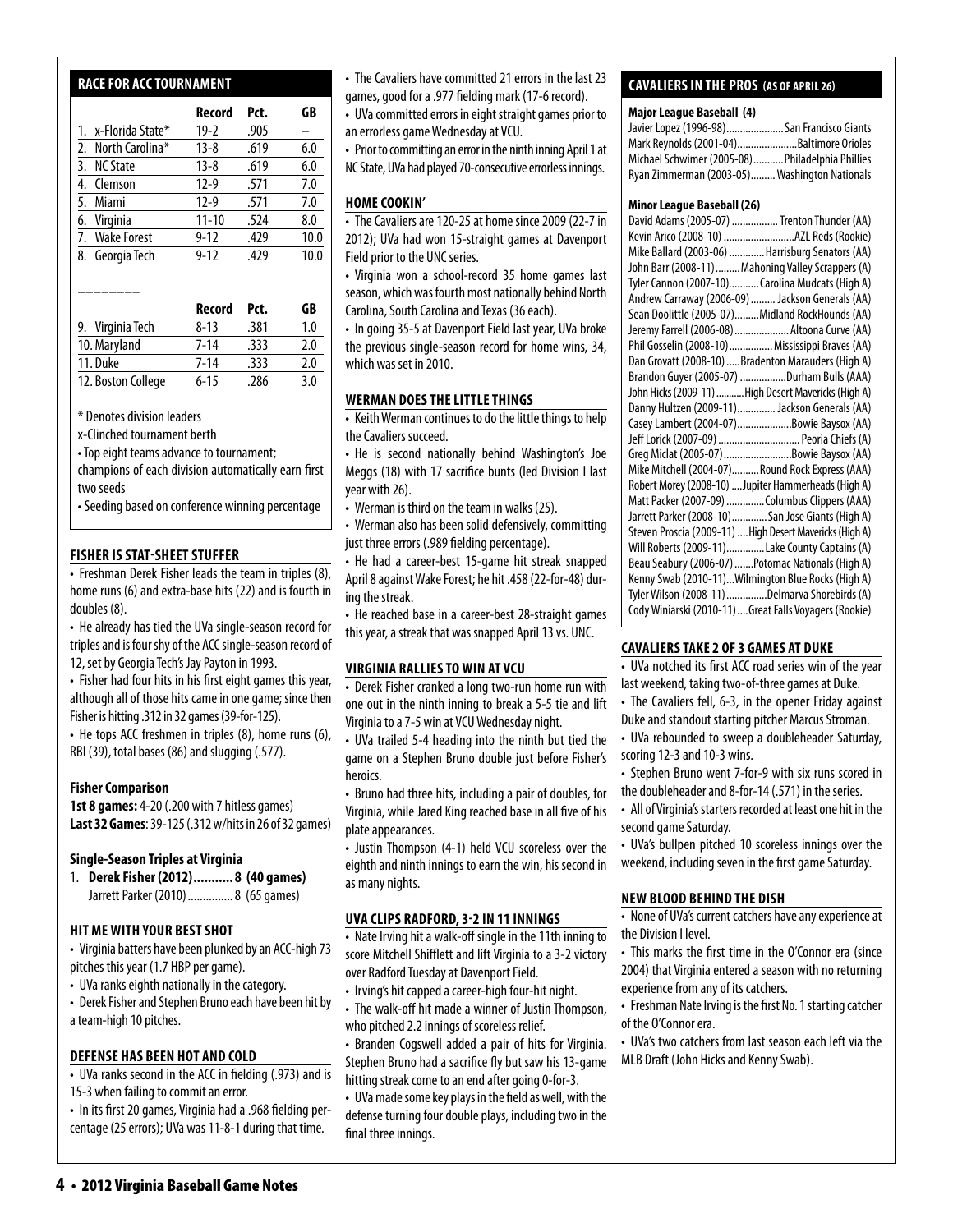#### **race for acc tournament**

|                     | Record    | Pct. | GB   |
|---------------------|-----------|------|------|
| 1. x-Florida State* | $19-2$    | .905 |      |
| 2. North Carolina*  | $13 - 8$  | .619 | 6.0  |
| 3. NC State         | $13 - 8$  | .619 | 6.0  |
| 4. Clemson          | $12-9$    | .571 | 7.0  |
| 5. Miami            | $12-9$    | .571 | 7.0  |
| 6. Virginia         | $11 - 10$ | .524 | 8.0  |
| 7. Wake Forest      | $9 - 12$  | .429 | 10.0 |
| 8. Georgia Tech     | $9 - 12$  | .429 | 10.0 |
|                     |           |      |      |

|                    | Record   | Pct. | GB  |
|--------------------|----------|------|-----|
| 9. Virginia Tech   | $8 - 13$ | .381 | 1.0 |
| 10. Maryland       | $7 - 14$ | .333 | 2.0 |
| 11. Duke           | $7 - 14$ | .333 | 2.0 |
| 12. Boston College | $6 - 15$ | .286 | 3.0 |

\* Denotes division leaders

––––––––

x-Clinched tournament berth

• Top eight teams advance to tournament;

champions of each division automatically earn first two seeds

• Seeding based on conference winning percentage

#### **fisher is stat-sheet stuffer**

• Freshman Derek Fisher leads the team in triples (8), home runs (6) and extra-base hits (22) and is fourth in doubles (8).

• He already has tied the UVa single-season record for triples and is four shy of the ACC single-season record of 12, set by Georgia Tech's Jay Payton in 1993.

• Fisher had four hits in his first eight games this year, although all of those hits came in one game; since then Fisher is hitting .312 in 32 games (39-for-125).

• He tops ACC freshmen in triples (8), home runs (6), RBI (39), total bases (86) and slugging (.577).

#### **Fisher Comparison**

**1st 8 games:** 4-20 (.200 with 7 hitless games) **Last 32 Games**: 39-125 (.312 w/hits in 26 of 32 games)

#### **Single-Season Triples at Virginia**

1. **Derek Fisher (2012)........... 8 (40 games)** Jarrett Parker (2010)...............8 (65 games)

#### **hit mewith your best shot**

• Virginia batters have been plunked by an ACC-high 73 pitches this year (1.7 HBP per game).

- UVa ranks eighth nationally in the category.
- Derek Fisher and Stephen Bruno each have been hit by a team-high 10 pitches.

#### **defense has been hot and cold**

• UVa ranks second in the ACC in fielding (.973) and is 15-3 when failing to commit an error.

• In its first 20 games, Virginia had a .968 fielding percentage (25 errors); UVa was 11-8-1 during that time.

• The Cavaliers have committed 21 errors in the last 23 games, good for a .977 fielding mark (17-6 record).

• UVa committed errors in eight straight games prior to an errorless game Wednesday at VCU.

• Prior to committing an error in the ninth inning April 1 at NC State, UVa had played 70-consecutive errorless innings.

#### **HOME COOKIN'**

• The Cavaliers are 120-25 at home since 2009 (22-7 in 2012); UVa had won 15-straight games at Davenport Field prior to the UNC series.

• Virginia won a school-record 35 home games last season, which was fourth most nationally behind North Carolina, South Carolina and Texas (36 each).

• In going 35-5 at Davenport Field last year, UVa broke the previous single-season record for home wins, 34, which was set in 2010.

#### **WERMAN DOES THE LITTLE THINGS**

• Keith Werman continues to do the little things to help the Cavaliers succeed.

• He is second nationally behind Washington's Joe Meggs (18) with 17 sacrifice bunts (led Division I last year with 26).

• Werman is third on the team in walks (25).

• Werman also has been solid defensively, committing just three errors (.989 fielding percentage).

• He had a career-best 15-game hit streak snapped April 8 against Wake Forest; he hit .458 (22-for-48) during the streak.

• He reached base in a career-best 28-straight games this year, a streak that was snapped April 13 vs. UNC.

#### **virginia rallies to win at vcu**

• Derek Fisher cranked a long two-run home run with one out in the ninth inning to break a 5-5 tie and lift Virginia to a 7-5 win at VCU Wednesday night.

• UVa trailed 5-4 heading into the ninth but tied the game on a Stephen Bruno double just before Fisher's heroics.

• Bruno had three hits, including a pair of doubles, for Virginia, while Jared King reached base in all five of his plate appearances.

• Justin Thompson (4-1) held VCU scoreless over the eighth and ninth innings to earn the win, his second in as many nights.

#### **uva clips radford, 3-2 in 11 innings**

• Nate Irving hit a walk-off single in the 11th inning to score Mitchell Shifflett and lift Virginia to a 3-2 victory over Radford Tuesday at Davenport Field.

- Irving's hit capped a career-high four-hit night.
- The walk-off hit made a winner of Justin Thompson, who pitched 2.2 innings of scoreless relief.

• Branden Cogswell added a pair of hits for Virginia. Stephen Bruno had a sacrifice fly but saw his 13-game hitting streak come to an end after going 0-for-3.

• UVa made some key plays in the field as well, with the defense turning four double plays, including two in the final three innings.

#### **cavaliers in the pros (as of April 26)**

#### **Major League Baseball (4)**

| Javier Lopez (1996-98) San Francisco Giants     |  |
|-------------------------------------------------|--|
| Mark Reynolds (2001-04)Baltimore Orioles        |  |
| Michael Schwimer (2005-08)Philadelphia Phillies |  |
| Ryan Zimmerman (2003-05) Washington Nationals   |  |

#### **Minor League Baseball (26)**

| David Adams (2005-07)  Trenton Thunder (AA)                                                             |
|---------------------------------------------------------------------------------------------------------|
| Kevin Arico (2008-10) AZL Reds (Rookie)                                                                 |
| Mike Ballard (2003-06)  Harrisburg Senators (AA)                                                        |
| John Barr (2008-11)  Mahoning Valley Scrappers (A)                                                      |
| Tyler Cannon (2007-10) Carolina Mudcats (High A)                                                        |
| Andrew Carraway (2006-09)  Jackson Generals (AA)                                                        |
| Sean Doolittle (2005-07)Midland RockHounds (AA)                                                         |
| Jeremy Farrell (2006-08)  Altoona Curve (AA)                                                            |
| Phil Gosselin (2008-10) Mississippi Braves (AA)                                                         |
| Dan Grovatt (2008-10) Bradenton Marauders (High A)                                                      |
| Brandon Guyer (2005-07) Durham Bulls (AAA)                                                              |
| John Hicks (2009-11)  High Desert Mavericks (High A)                                                    |
| Danny Hultzen (2009-11) Jackson Generals (AA)                                                           |
|                                                                                                         |
| Casey Lambert (2004-07)Bowie Baysox (AA)                                                                |
| Jeff Lorick (2007-09)  Peoria Chiefs (A)                                                                |
| Greg Miclat (2005-07) Bowie Baysox (AA)                                                                 |
| Mike Mitchell (2004-07)Round Rock Express (AAA)                                                         |
| Robert Morey (2008-10)  Jupiter Hammerheads (High A)                                                    |
| Matt Packer (2007-09) Columbus Clippers (AAA)                                                           |
| Jarrett Parker (2008-10)San Jose Giants (High A)                                                        |
| Steven Proscia (2009-11)  High Desert Mavericks (High A)                                                |
| Will Roberts (2009-11)Lake County Captains (A)                                                          |
| Beau Seabury (2006-07) Potomac Nationals (High A)                                                       |
| Kenny Swab (2010-11)Wilmington Blue Rocks (High A)                                                      |
| Tyler Wilson (2008-11) Delmarva Shorebirds (A)<br>Cody Winiarski (2010-11)Great Falls Voyagers (Rookie) |

#### **cavaliers take 2 of 3 games at duke**

• UVa notched its first ACC road series win of the year last weekend, taking two-of-three games at Duke.

• The Cavaliers fell, 6-3, in the opener Friday against Duke and standout starting pitcher Marcus Stroman.

• UVa rebounded to sweep a doubleheader Saturday, scoring 12-3 and 10-3 wins.

• Stephen Bruno went 7-for-9 with six runs scored in

the doubleheader and 8-for-14 (.571) in the series. • All of Virginia's starters recorded at least one hit in the

second game Saturday. • UVa's bullpen pitched 10 scoreless innings over the

weekend, including seven in the first game Saturday.

#### **new blood behind the dish**

• None of UVa's current catchers have any experience at the Division I level.

• This marks the first time in the O'Connor era (since 2004) that Virginia entered a season with no returning experience from any of its catchers.

• Freshman Nate Irving is the first No. 1 starting catcher of the O'Connor era.

• UVa's two catchers from last season each left via the MLB Draft (John Hicks and Kenny Swab).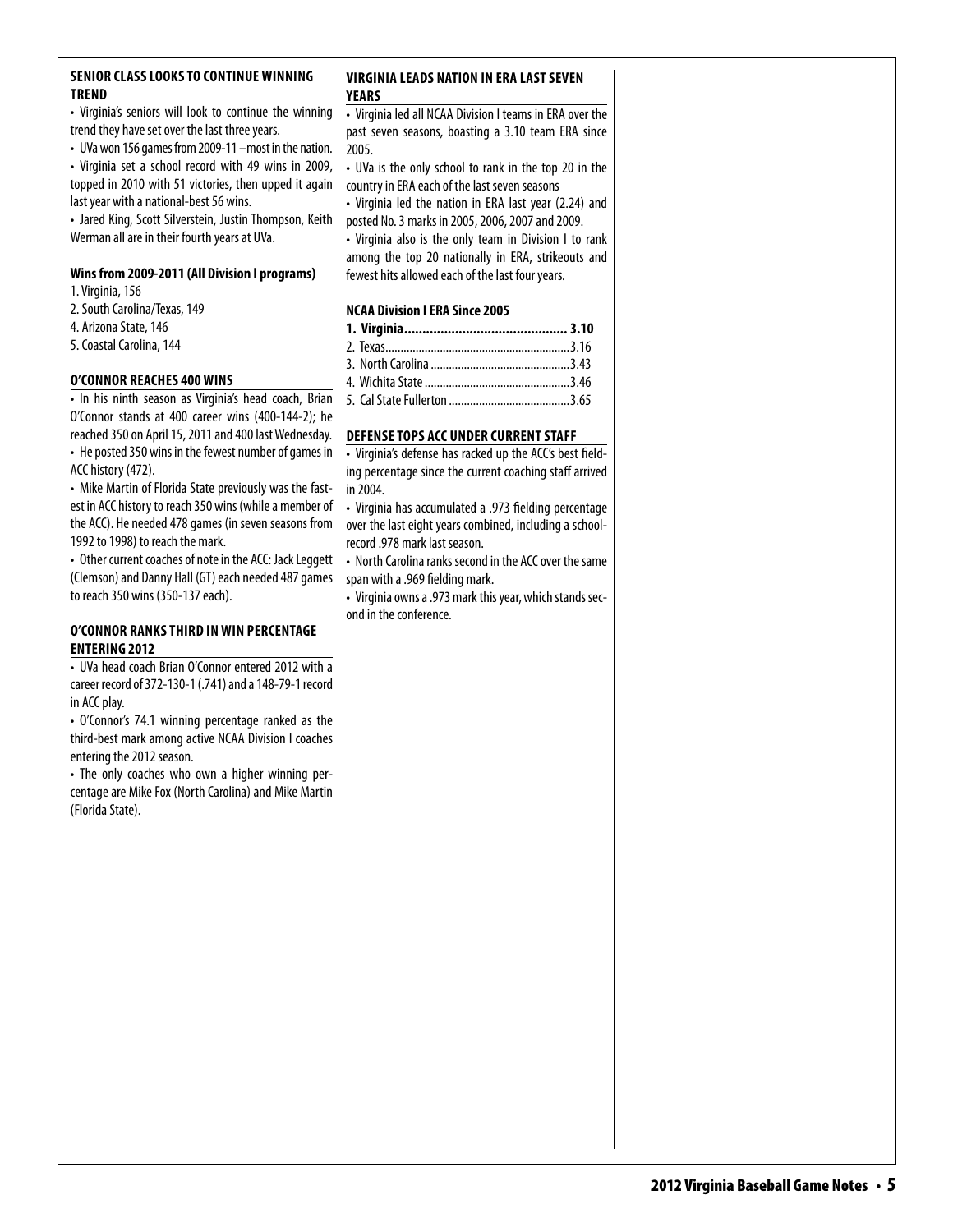#### **SENIOR CLASS LOOKS TO CONTINUE WINNING trend**

• Virginia's seniors will look to continue the winning trend they have set over the last three years.

• UVa won 156 games from 2009-11 –most in the nation.

• Virginia set a school record with 49 wins in 2009, topped in 2010 with 51 victories, then upped it again last year with a national-best 56 wins.

• Jared King, Scott Silverstein, Justin Thompson, Keith Werman all are in their fourth years at UVa.

#### **Wins from 2009-2011 (All Division I programs)**

1. Virginia, 156

- 2. South Carolina/Texas, 149
- 4. Arizona State, 146
- 5. Coastal Carolina, 144

#### **O'Connor reaches 400 wins**

• In his ninth season as Virginia's head coach, Brian O'Connor stands at 400 career wins (400-144-2); he reached 350 on April 15, 2011 and 400 last Wednesday.

• He posted 350 wins in the fewest number of games in ACC history (472).

• Mike Martin of Florida State previously was the fastest in ACC history to reach 350 wins (while a member of the ACC). He needed 478 games (in seven seasons from 1992 to 1998) to reach the mark.

• Other current coaches of note in the ACC: Jack Leggett (Clemson) and Danny Hall (GT) each needed 487 games to reach 350 wins (350-137 each).

#### **o'Connor ranks third inwin percentage entering 2012**

• UVa head coach Brian O'Connor entered 2012 with a career record of 372-130-1 (.741) and a 148-79-1 record in ACC play.

• O'Connor's 74.1 winning percentage ranked as the third-best mark among active NCAA Division I coaches entering the 2012 season.

• The only coaches who own a higher winning percentage are Mike Fox (North Carolina) and Mike Martin (Florida State).

#### **virginia Leads Nation in ERA Last seven Years**

• Virginia led all NCAA Division I teams in ERA over the past seven seasons, boasting a 3.10 team ERA since 2005.

• UVa is the only school to rank in the top 20 in the country in ERA each of the last seven seasons

• Virginia led the nation in ERA last year (2.24) and posted No. 3 marks in 2005, 2006, 2007 and 2009.

• Virginia also is the only team in Division I to rank among the top 20 nationally in ERA, strikeouts and fewest hits allowed each of the last four years.

#### **NCAA Division I ERA Since 2005**

#### **DEFENSE TOPS ACC UNDER CURRENT STAFF**

• Virginia's defense has racked up the ACC's best fielding percentage since the current coaching staff arrived in 2004.

• Virginia has accumulated a .973 fielding percentage over the last eight years combined, including a schoolrecord .978 mark last season.

• North Carolina ranks second in the ACC over the same span with a .969 fielding mark.

• Virginia owns a .973 mark this year, which stands second in the conference.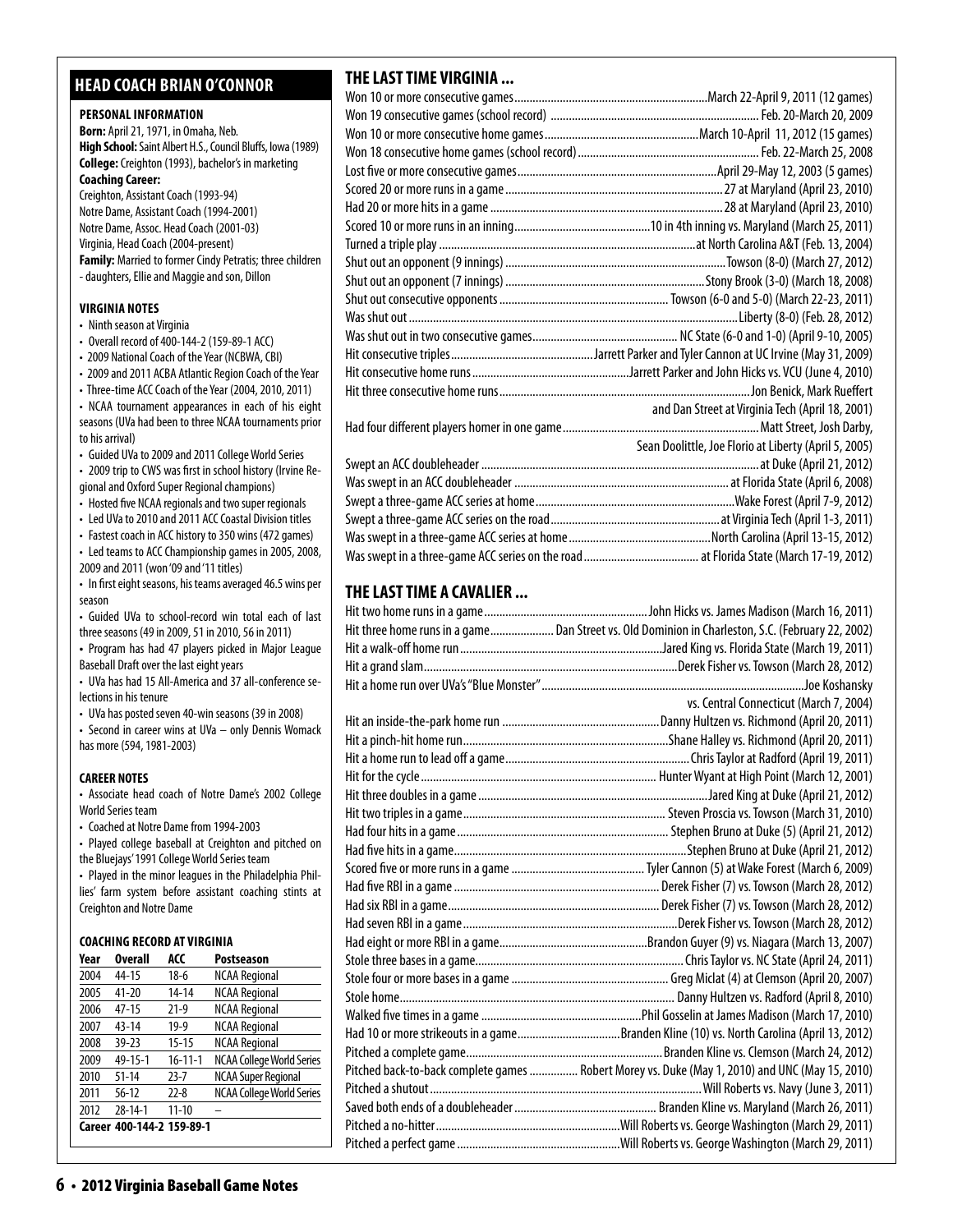#### **head coach brian o'connor**

#### **PERSONAL INFORMATION**

**Born:** April 21, 1971, in Omaha, Neb. **High School:** Saint Albert H.S., Council Bluffs, Iowa (1989) **College:** Creighton (1993), bachelor's in marketing **Coaching Career:**  Creighton, Assistant Coach (1993-94) Notre Dame, Assistant Coach (1994-2001)

Notre Dame, Assoc. Head Coach (2001-03) Virginia, Head Coach (2004-present) **Family:** Married to former Cindy Petratis; three children - daughters, Ellie and Maggie and son, Dillon

#### **virginia Notes**

- Ninth season at Virginia
- Overall record of 400-144-2 (159-89-1 ACC)
- 2009 National Coach of the Year (NCBWA, CBI)
- 2009 and 2011 ACBA Atlantic Region Coach of the Year

• Three-time ACC Coach of the Year (2004, 2010, 2011) • NCAA tournament appearances in each of his eight seasons (UVa had been to three NCAA tournaments prior to his arrival)

• Guided UVa to 2009 and 2011 College World Series

• 2009 trip to CWS was first in school history (Irvine Regional and Oxford Super Regional champions)

• Hosted five NCAA regionals and two super regionals

• Led UVa to 2010 and 2011 ACC Coastal Division titles

• Fastest coach in ACC history to 350 wins (472 games)

- Led teams to ACC Championship games in 2005, 2008, 2009 and 2011 (won '09 and '11 titles)
- In first eight seasons, his teams averaged 46.5 wins per season

• Guided UVa to school-record win total each of last three seasons (49 in 2009, 51 in 2010, 56 in 2011)

**•**  Program has had 47 players picked in Major League Baseball Draft over the last eight years

• UVa has had 15 All-America and 37 all-conference selections in his tenure

• UVa has posted seven 40-win seasons (39 in 2008)

• Second in career wins at UVa – only Dennis Womack has more (594, 1981-2003)

#### **CAREER NOTES**

• Associate head coach of Notre Dame's 2002 College World Series team

• Coached at Notre Dame from 1994-2003

• Played college baseball at Creighton and pitched on the Bluejays' 1991 College World Series team

• Played in the minor leagues in the Philadelphia Phillies' farm system before assistant coaching stints at Creighton and Notre Dame

#### **Coaching Record at virginia**

| Year | <b>Overall</b>            | ACC           | <b>Postseason</b>                |
|------|---------------------------|---------------|----------------------------------|
| 2004 | 44-15                     | $18-6$        | <b>NCAA Regional</b>             |
| 2005 | $41 - 20$                 | 14-14         | <b>NCAA Regional</b>             |
| 2006 | $47 - 15$                 | $21-9$        | <b>NCAA Regional</b>             |
| 2007 | $43 - 14$                 | $19-9$        | <b>NCAA Regional</b>             |
| 2008 | $39 - 23$                 | $15 - 15$     | <b>NCAA Regional</b>             |
| 2009 | 49-15-1                   | $16 - 11 - 1$ | <b>NCAA College World Series</b> |
| 2010 | $51 - 14$                 | $23 - 7$      | <b>NCAA Super Regional</b>       |
| 2011 | $56 - 12$                 | $22 - 8$      | <b>NCAA College World Series</b> |
| 2012 | $28 - 14 - 1$             | $11 - 10$     |                                  |
|      | Career 400-144-2 159-89-1 |               |                                  |

#### **THE LAST TIME VIRGINIA ...**

| and Dan Street at Virginia Tech (April 18, 2001)      |
|-------------------------------------------------------|
|                                                       |
| Sean Doolittle, Joe Florio at Liberty (April 5, 2005) |
|                                                       |
|                                                       |
|                                                       |
|                                                       |
|                                                       |
|                                                       |

#### **THE LAST TIME A CAVALIER ...**

| Hit three home runs in a game Dan Street vs. Old Dominion in Charleston, S.C. (February 22, 2002) |
|---------------------------------------------------------------------------------------------------|
|                                                                                                   |
|                                                                                                   |
|                                                                                                   |
| vs. Central Connecticut (March 7, 2004)                                                           |
|                                                                                                   |
|                                                                                                   |
|                                                                                                   |
|                                                                                                   |
|                                                                                                   |
|                                                                                                   |
|                                                                                                   |
|                                                                                                   |
|                                                                                                   |
|                                                                                                   |
|                                                                                                   |
|                                                                                                   |
|                                                                                                   |
|                                                                                                   |
|                                                                                                   |
|                                                                                                   |
|                                                                                                   |
| Had 10 or more strikeouts in a gameBranden Kline (10) vs. North Carolina (April 13, 2012)         |
|                                                                                                   |
| Pitched back-to-back complete games  Robert Morey vs. Duke (May 1, 2010) and UNC (May 15, 2010)   |
|                                                                                                   |
|                                                                                                   |
|                                                                                                   |
|                                                                                                   |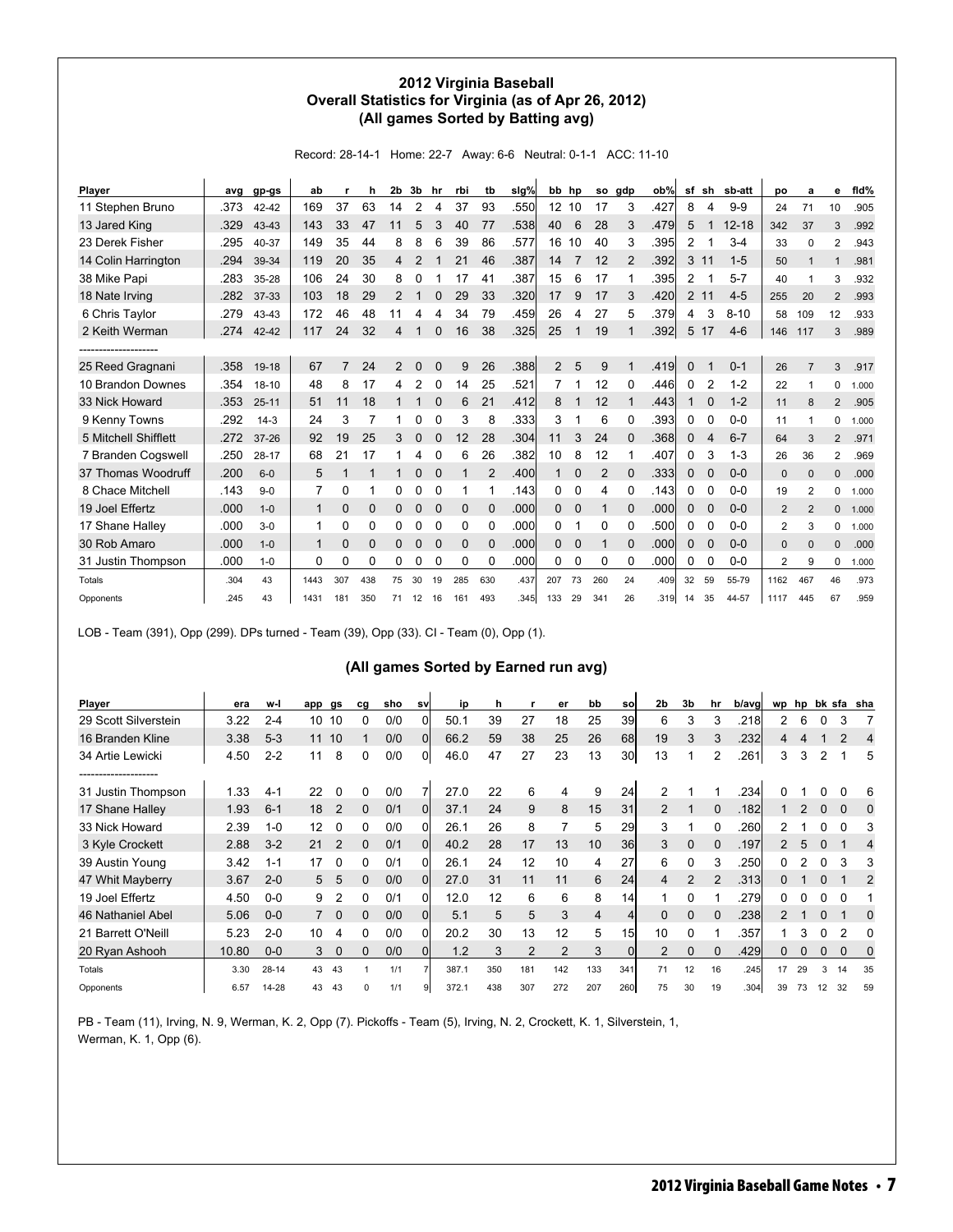#### **2012 Virginia Baseball Overall Statistics for Virginia (as of Apr 26, 2012) (All games Sorted by Batting avg)**

Record: 28-14-1 Home: 22-7 Away: 6-6 Neutral: 0-1-1 ACC: 11-10

| Player               | ava  | gp-gs     | ab           |                | h        | 2b | 3b             | hr          | rbi          | tb          | $slq\%$ | bb                | hp             | <b>SO</b>      | gdp          | ob%  | sf             | sh             | sb-att    | DO             | a              | е              | fid%  |
|----------------------|------|-----------|--------------|----------------|----------|----|----------------|-------------|--------------|-------------|---------|-------------------|----------------|----------------|--------------|------|----------------|----------------|-----------|----------------|----------------|----------------|-------|
| 11 Stephen Bruno     | .373 | 42-42     | 169          | 37             | 63       | 14 | 2              | 4           | 37           | 93          | .550    | $12 \overline{ }$ | 10             | 17             | 3            | .427 | 8              | $\overline{4}$ | $9 - 9$   | 24             | 71             | 10             | .905  |
| 13 Jared King        | .329 | 43-43     | 143          | 33             | 47       | 11 | 5              | 3           | 40           | 77          | .538    | 40                | 6              | 28             | 3            | .479 | 5              |                | $12 - 18$ | 342            | 37             | 3              | .992  |
| 23 Derek Fisher      | .295 | 40-37     | 149          | 35             | 44       | 8  | 8              | 6           | 39           | 86          | .577    | 16                | 10             | 40             | 3            | .395 | 2              |                | $3 - 4$   | 33             | $\Omega$       | $\overline{2}$ | .943  |
| 14 Colin Harrington  | .294 | 39-34     | 119          | 20             | 35       | 4  | $\overline{2}$ |             | 21           | 46          | .387    | 14                | $\overline{7}$ | 12             | 2            | .392 | 3              | 11             | $1 - 5$   | 50             | $\mathbf 1$    | 1              | .981  |
| 38 Mike Papi         | .283 | 35-28     | 106          | 24             | 30       | 8  | 0              |             | 17           | 41          | .387    | 15                | 6              | 17             |              | .395 | 2              | 1              | $5 - 7$   | 40             | 1              | 3              | .932  |
| 18 Nate Irving       | .282 | 37-33     | 103          | 18             | 29       | 2  |                | $\Omega$    | 29           | 33          | .320    | 17                | 9              | 17             | 3            | .420 | $\overline{2}$ | 11             | $4 - 5$   | 255            | 20             | $\overline{2}$ | .993  |
| 6 Chris Taylor       | .279 | 43-43     | 172          | 46             | 48       | 11 | 4              | 4           | 34           | 79          | .459    | 26                | 4              | 27             | 5            | .379 | 4              | 3              | $8 - 10$  | 58             | 109            | 12             | .933  |
| 2 Keith Werman       | .274 | 42-42     | 117          | 24             | 32       | 4  |                | 0           | 16           | 38          | .325    | 25                |                | 19             |              | .392 | 5              | 17             | $4-6$     | 146            | 117            | 3              | .989  |
|                      |      |           |              |                |          |    |                |             |              |             |         |                   |                |                |              |      |                |                |           |                |                |                |       |
| 25 Reed Gragnani     | .358 | 19-18     | 67           | $\overline{7}$ | 24       | 2  | 0              | $\Omega$    | 9            | 26          | .388    | $\overline{2}$    | 5              | 9              |              | .419 | $\Omega$       |                | $0 - 1$   | 26             | $\overline{7}$ | 3              | .917  |
| 10 Brandon Downes    | .354 | $18 - 10$ | 48           | 8              | 17       | 4  | 2              | 0           | 14           | 25          | .521    | 7                 |                | 12             | 0            | .446 | 0              | $\overline{2}$ | $1 - 2$   | 22             | 1              | 0              | 1.000 |
| 33 Nick Howard       | .353 | $25 - 11$ | 51           | 11             | 18       |    |                | $\Omega$    | 6            | 21          | .412    | 8                 |                | 12             |              | .443 | 1              | $\mathbf 0$    | $1 - 2$   | 11             | 8              | $\overline{2}$ | .905  |
| 9 Kenny Towns        | .292 | $14-3$    | 24           | 3              |          |    | 0              | $\Omega$    | 3            | 8           | .333    | 3                 |                | 6              | 0            | .393 | 0              | 0              | $0 - 0$   | 11             | 1              | 0              | 1.000 |
| 5 Mitchell Shifflett | .272 | $37 - 26$ | 92           | 19             | 25       | 3  | 0              | 0           | 12           | 28          | .304    | 11                | 3              | 24             | $\Omega$     | .368 | 0              | 4              | $6 - 7$   | 64             | 3              | $\overline{2}$ | .971  |
| 7 Branden Cogswell   | .250 | $28 - 17$ | 68           | 21             | 17       |    | 4              | 0           | 6            | 26          | .382    | 10                | 8              | 12             |              | .407 | 0              | 3              | $1 - 3$   | 26             | 36             | $\overline{2}$ | .969  |
| 37 Thomas Woodruff   | .200 | $6 - 0$   | 5            | 1              | 1        | 1  | 0              | $\Omega$    |              | 2           | .400    |                   | $\Omega$       | $\overline{2}$ | $\Omega$     | .333 | $\mathbf{0}$   | 0              | $0 - 0$   | 0              | $\Omega$       | 0              | .000  |
| 8 Chace Mitchell     | .143 | $9 - 0$   | 7            | 0              |          | 0  | 0              | 0           | 1            |             | .143    | 0                 | 0              | 4              | 0            | .143 | 0              | 0              | $0-0$     | 19             | 2              | 0              | 1.000 |
| 19 Joel Effertz      | .000 | $1 - 0$   | $\mathbf{1}$ | $\mathbf 0$    | 0        | 0  | 0              | $\mathbf 0$ | $\mathbf{0}$ | $\mathbf 0$ | .000    | $\mathbf{0}$      | $\mathbf 0$    | 1              | $\mathbf{0}$ | .000 | 0              | $\mathbf 0$    | $0 - 0$   | $\overline{2}$ | $\overline{2}$ | 0              | 1.000 |
| 17 Shane Halley      | .000 | $3 - 0$   | 1            | 0              | 0        | 0  | 0              | 0           | 0            | 0           | .000    | 0                 |                | 0              | 0            | .500 | 0              | 0              | $0-0$     | $\overline{2}$ | 3              | 0              | 1.000 |
| 30 Rob Amaro         | .000 | $1 - 0$   | $\mathbf 1$  | $\mathbf 0$    | $\Omega$ | 0  | 0              | $\Omega$    | $\Omega$     | $\Omega$    | .000    | $\Omega$          | $\mathbf 0$    |                | $\Omega$     | .000 | 0              | $\mathbf 0$    | $0 - 0$   | 0              | $\Omega$       | 0              | .000  |
| 31 Justin Thompson   | .000 | $1 - 0$   | 0            | 0              | 0        | 0  | 0              | 0           | 0            | 0           | .000    | 0                 | 0              | 0              | 0            | .000 | 0              | 0              | $0-0$     | $\overline{2}$ | 9              | 0              | 1.000 |
| Totals               | .304 | 43        | 1443         | 307            | 438      | 75 | 30             | 19          | 285          | 630         | .437    | 207               | 73             | 260            | 24           | .409 | 32             | 59             | 55-79     | 1162           | 467            | 46             | .973  |
| Opponents            | .245 | 43        | 1431         | 181            | 350      | 71 | 12             | 16          | 161          | 493         | .345    | 133               | 29             | 341            | 26           | .319 | 14             | 35             | 44-57     | 1117           | 445            | 67             | .959  |

LOB - Team (391), Opp (299). DPs turned - Team (39), Opp (33). CI - Team (0), Opp (1).

#### **(All games Sorted by Earned run avg)**

| Player               | era   | w-l       | app | gs       | cg | sho | sv           | ip    | h   |                | er             | bb             | sol             | 2 <sub>b</sub> | 3b            | hr       | b/avgl | wp | hp |              |          | bk sfa sha |
|----------------------|-------|-----------|-----|----------|----|-----|--------------|-------|-----|----------------|----------------|----------------|-----------------|----------------|---------------|----------|--------|----|----|--------------|----------|------------|
| 29 Scott Silverstein | 3.22  | $2 - 4$   | 10  | 10       | 0  | 0/0 | 01           | 50.1  | 39  | 27             | 18             | 25             | 39              | 6              | 3             | 3        | .218   | 2  | 6  | 0            | 3        |            |
| 16 Branden Kline     | 3.38  | $5-3$     | 11  | 10       |    | 0/0 | 0l           | 66.2  | 59  | 38             | 25             | 26             | 68              | 19             | 3             | 3        | .232   | 4  |    |              | 2        | 4          |
| 34 Artie Lewicki     | 4.50  | $2 - 2$   | 11  | 8        | 0  | 0/0 | 01           | 46.0  | 47  | 27             | 23             | 13             | 30              | 13             |               | 2        | .261   | 3  | 3  | 2            |          | 5          |
| ____________________ |       |           |     |          |    |     |              |       |     |                |                |                |                 |                |               |          |        |    |    |              |          |            |
| 31 Justin Thompson   | 1.33  | $4-1$     | 22  | 0        | 0  | 0/0 |              | 27.0  | 22  | 6              | 4              | 9              | 24              | 2              |               |          | .2341  |    |    |              |          | 6          |
| 17 Shane Halley      | 1.93  | $6 - 1$   | 18  | 2        | 0  | 0/1 | <sub>0</sub> | 37.1  | 24  | 9              | 8              | 15             | 31              | 2              |               | $\Omega$ | .182   |    |    | 0            | $\Omega$ | 0          |
| 33 Nick Howard       | 2.39  | $1 - 0$   | 12  | 0        | 0  | 0/0 | 0l           | 26.1  | 26  | 8              | 7              | 5              | 29              | 3              |               |          | .260   | 2  |    | 0            | O        | 3          |
| 3 Kyle Crockett      | 2.88  | $3 - 2$   | 21  | 2        | 0  | 0/1 | <sub>0</sub> | 40.2  | 28  | 17             | 13             | 10             | <b>36</b>       | 3              | $\Omega$      | $\Omega$ | .197   | 2  | 5  | $\Omega$     |          | 4          |
| 39 Austin Young      | 3.42  | $1 - 1$   | 17  | O        | 0  | 0/1 | $\Omega$     | 26.1  | 24  | 12             | 10             | 4              | 27              | 6              | 0             |          | .250l  | 0  |    |              | 3        | 3          |
| 47 Whit Mayberry     | 3.67  | $2 - 0$   | 5   | 5        | 0  | 0/0 | $\Omega$     | 27.0  | 31  | 11             | 11             | 6              | 24              | 4              | $\mathcal{P}$ |          | .313   | 0  |    | $\Omega$     |          | 2          |
| 19 Joel Effertz      | 4.50  | $0-0$     | 9   | 2        | 0  | 0/1 | 0l           | 12.0  | 12  | 6              | 6              | 8              | 14              |                |               |          | .279l  | 0  |    |              |          |            |
| 46 Nathaniel Abel    | 5.06  | $0 - 0$   |     | 0        | 0  | 0/0 | <sub>0</sub> | 5.1   | 5   | 5              | 3              | $\overline{4}$ | $\overline{4}$  | 0              | $\Omega$      |          | .238   | 2  |    | $\Omega$     |          | 0          |
| 21 Barrett O'Neill   | 5.23  | $2 - 0$   | 10  | 4        | 0  | 0/0 | 0l           | 20.2  | 30  | 13             | 12             | 5              | 15 <sub>l</sub> | 10             | $\Omega$      |          | .357   |    | 3  | <sup>0</sup> | 2        | O          |
| 20 Ryan Ashooh       | 10.80 | $0-0$     | 3   | $\Omega$ | 0  | 0/0 | <sub>0</sub> | 1.2   | 3   | $\overline{2}$ | $\overline{2}$ | 3              | $\Omega$        | $\overline{2}$ | 0             |          | .429   | 0  |    | $\Omega$     | $\Omega$ | 0          |
| Totals               | 3.30  | $28 - 14$ | 43  | 43       |    | 1/1 |              | 387.1 | 350 | 181            | 142            | 133            | 341             | 71             | 12            | 16       | .245   | 17 | 29 |              | 14       | 35         |
| Opponents            | 6.57  | 14-28     | 43  | 43       |    | 1/1 |              | 372.1 | 438 | 307            | 272            | 207            | 260             | 75             | 30            | 19       | .304   | 39 | 73 | 12           | 32       | 59         |

PB - Team (11), Irving, N. 9, Werman, K. 2, Opp (7). Pickoffs - Team (5), Irving, N. 2, Crockett, K. 1, Silverstein, 1, Werman, K. 1, Opp (6).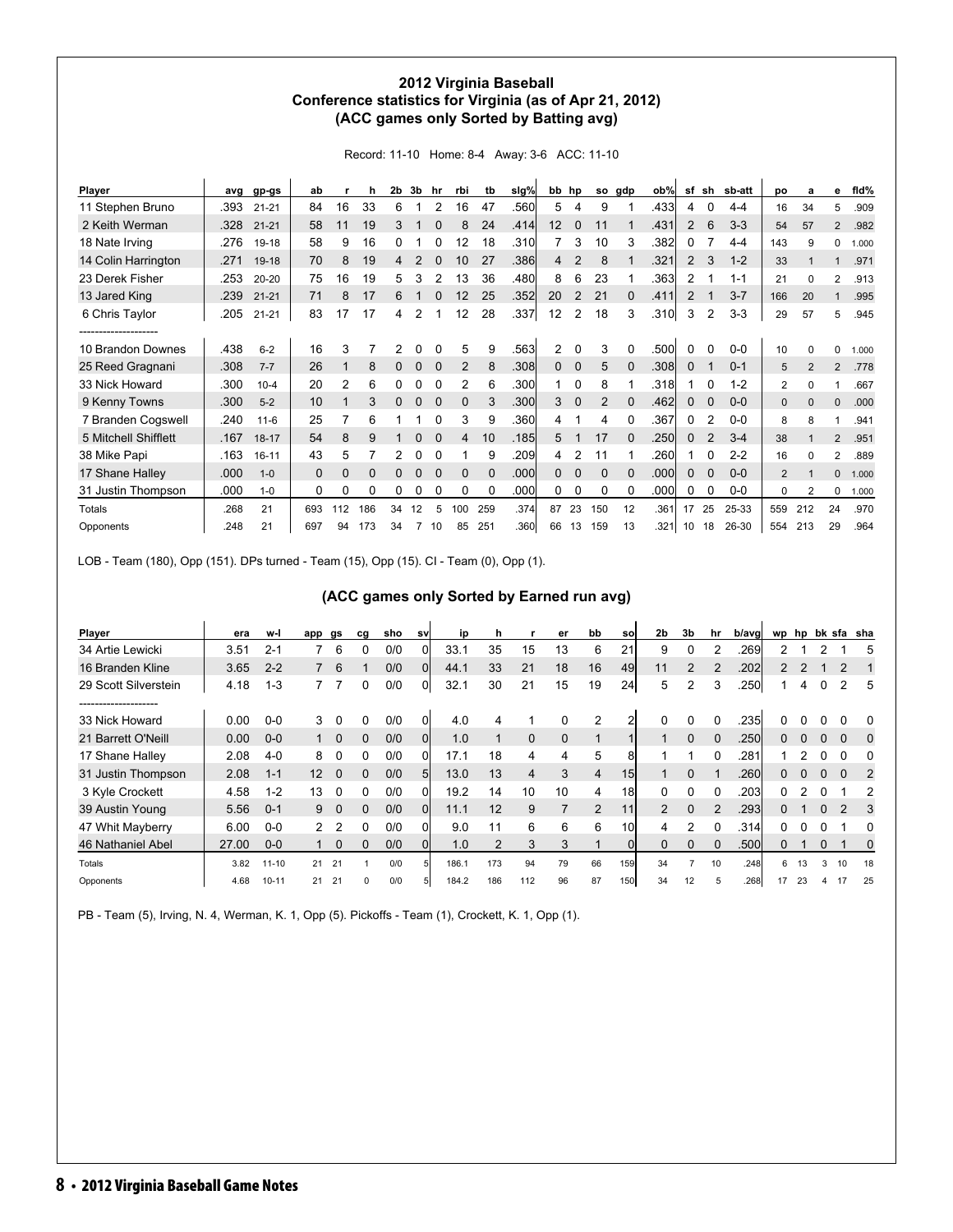#### **2012 Virginia Baseball Conference statistics for Virginia (as of Apr 21, 2012) (ACC games only Sorted by Batting avg)**

Record: 11-10 Home: 8-4 Away: 3-6 ACC: 11-10

| Player               | ava  | gp-gs     | ab          |     | h   | 2b | 3b          | hr       | rbi          | tb       | slg% | bb           | hp           | <b>SO</b>    | gdp      | ob%   | sf             | sh             | sb-att  | po             | a              | е              | fld%  |
|----------------------|------|-----------|-------------|-----|-----|----|-------------|----------|--------------|----------|------|--------------|--------------|--------------|----------|-------|----------------|----------------|---------|----------------|----------------|----------------|-------|
| 11 Stephen Bruno     | .393 | $21 - 21$ | 84          | 16  | 33  | 6  |             | 2        | 16           | 47       | .560 | 5            | 4            | 9            |          | .433  | 4              | 0              | $4 - 4$ | 16             | 34             | 5              | .909  |
| 2 Keith Werman       | .328 | $21 - 21$ | 58          | 11  | 19  | 3  |             | 0        | 8            | 24       | .414 | 12           | $\Omega$     | 11           |          | .431  | $\overline{2}$ | 6              | $3-3$   | 54             | 57             | $\overline{2}$ | .982  |
| 18 Nate Irving       | .276 | 19-18     | 58          | 9   | 16  | 0  |             |          | 12           | 18       | .310 |              | 3            | 10           | 3        | .382  | 0              |                | $4 - 4$ | 143            | 9              | 0              | 1.000 |
| 14 Colin Harrington  | .271 | $19 - 18$ | 70          | 8   | 19  | 4  |             |          | 10           | 27       | .386 | 4            | 2            | 8            |          | .321  | $\overline{2}$ | 3              | $1 - 2$ | 33             |                |                | .971  |
| 23 Derek Fisher      | .253 | $20 - 20$ | 75          | 16  | 19  | 5  | 3           |          | 13           | 36       | .480 | 8            | 6            | 23           |          | .363  | 2              |                | $1 - 1$ | 21             | 0              | 2              | .913  |
| 13 Jared King        | .239 | $21 - 21$ | 71          | 8   | 17  | 6  |             |          | 12           | 25       | .352 | 20           |              | 21           | $\Omega$ | .411  | 2              |                | $3 - 7$ | 166            | 20             |                | .995  |
| 6 Chris Taylor       | .205 | $21 - 21$ | 83          | 17  | 17  | 4  | 2           |          | 12           | 28       | .337 | 12           | 2            | 18           | 3        | .310  | 3              | 2              | $3-3$   | 29             | 57             | 5              | .945  |
|                      |      |           |             |     |     |    |             |          |              |          |      |              |              |              |          |       |                |                |         |                |                |                |       |
| 10 Brandon Downes    | .438 | $6 - 2$   | 16          | 3   |     | 2  | 0           |          | 5            | 9        | .563 | 2            | 0            | 3            | 0        | .500  | 0              | 0              | $0 - 0$ | 10             | $\Omega$       | 0              | 1.000 |
| 25 Reed Gragnani     | .308 | $7 - 7$   | 26          |     | 8   | 0  | $\mathbf 0$ | $\Omega$ | 2            | 8        | .308 | $\mathbf{0}$ | $\mathbf{0}$ | 5            | $\Omega$ | .308  | 0              |                | $0 - 1$ | 5              | $\overline{2}$ | $\overline{2}$ | .778  |
| 33 Nick Howard       | .300 | $10 - 4$  | 20          | 2   | 6   | 0  | 0           |          | 2            | 6        | .300 |              | $\Omega$     | 8            |          | .3181 |                | 0              | $1 - 2$ | $\overline{c}$ | 0              |                | .667  |
| 9 Kenny Towns        | .300 | $5 - 2$   | 10          |     | 3   | 0  | 0           | $\Omega$ | $\mathbf 0$  | 3        | .300 | 3            | $\mathbf 0$  | 2            | $\Omega$ | .462  | 0              | 0              | $0 - 0$ | 0              | $\Omega$       | 0              | .000  |
| 7 Branden Cogswell   | .240 | $11 - 6$  | 25          |     | 6   |    |             |          | 3            | 9        | .360 | 4            |              | 4            | 0        | .367  | 0              | 2              | $0-0$   | 8              | 8              |                | .941  |
| 5 Mitchell Shifflett | .167 | $18 - 17$ | 54          | 8   | 9   |    | 0           |          | 4            | 10       | .185 | 5            |              | 17           | $\Omega$ | .250  | 0              | $\overline{2}$ | $3 - 4$ | 38             |                | $\overline{2}$ | .951  |
| 38 Mike Papi         | .163 | $16 - 11$ | 43          | 5   |     | 2  | 0           | $\Omega$ |              | 9        | .209 | 4            | 2            | 11           |          | .260  |                | 0              | $2 - 2$ | 16             | 0              | 2              | .889  |
| 17 Shane Halley      | .000 | $1 - 0$   | $\mathbf 0$ | 0   | 0   | 0  | 0           | $\Omega$ | $\mathbf{0}$ | $\Omega$ | .000 | 0            | 0            | $\mathbf{0}$ | $\Omega$ | .000  | 0              | 0              | $0 - 0$ | $\overline{2}$ |                | 0              | 1.000 |
| 31 Justin Thompson   | .000 | $1 - 0$   | 0           | 0   | 0   | 0  | 0           | 0        | 0            | 0        | .000 | 0            | $\Omega$     | 0            | 0        | .000  | 0              | 0              | $0-0$   | 0              | 2              | 0              | 1.000 |
| Totals               | .268 | 21        | 693         | 112 | 186 | 34 | 12          | 5        | 100          | 259      | .374 | 87           | 23           | 150          | 12       | .361  | 17             | 25             | 25-33   | 559            | 212            | 24             | .970  |
| Opponents            | .248 | 21        | 697         | 94  | 173 | 34 |             | 10       | 85           | 251      | .360 | 66           | 13           | 159          | 13       | .3211 | 10             | 18             | 26-30   | 554            | 213            | 29             | .964  |

LOB - Team (180), Opp (151). DPs turned - Team (15), Opp (15). CI - Team (0), Opp (1).

| (ACC games only Sorted by Earned run avg) |  |  |  |
|-------------------------------------------|--|--|--|
|-------------------------------------------|--|--|--|

| Player                                       | era   | w-l       | app           | gs          | cq | sho | sv             | ip    | h   |                | er          | bb             | sol             | 2 <sub>b</sub> | 3b             | hr            | b/avgl | wp            | hp |          |                | bk sfa sha |
|----------------------------------------------|-------|-----------|---------------|-------------|----|-----|----------------|-------|-----|----------------|-------------|----------------|-----------------|----------------|----------------|---------------|--------|---------------|----|----------|----------------|------------|
| 34 Artie Lewicki                             | 3.51  | $2 - 1$   |               | 6           |    | 0/0 | 0              | 33.1  | 35  | 15             | 13          | 6              | 21              | 9              |                |               | .269   |               |    |          |                | 5          |
| 16 Branden Kline                             | 3.65  | $2 - 2$   |               | 6           |    | 0/0 | $\Omega$       | 44.1  | 33  | 21             | 18          | 16             | 49              | 11             | $\overline{2}$ |               | .202   | $\mathcal{P}$ |    |          | 2              |            |
| 29 Scott Silverstein<br>-------------------- | 4.18  | $1 - 3$   |               |             | 0  | 0/0 | 01             | 32.1  | 30  | 21             | 15          | 19             | 24              | 5              | 2              | 3             | .250   |               | 4  | 0        | 2              | 5          |
| 33 Nick Howard                               | 0.00  | $0-0$     | 3             | 0           | 0  | 0/0 | 0              | 4.0   |     |                | 0           | $\overline{2}$ |                 | 0              | 0              | 0             | .235   |               |    |          |                |            |
| 21 Barrett O'Neill                           | 0.00  | $0 - 0$   |               | $\mathbf 0$ | 0  | 0/0 | 0l             | 1.0   |     | $\mathbf 0$    | $\mathbf 0$ |                |                 |                | $\mathbf{0}$   | $\Omega$      | .250   | 0             |    | 0        | 0              | 0          |
| 17 Shane Halley                              | 2.08  | $4 - 0$   | 8             | 0           | 0  | 0/0 | 0              | 17.1  | 18  | 4              | 4           | 5              | 8               |                |                | 0             | .281   |               |    | 0        | 0              |            |
| 31 Justin Thompson                           | 2.08  | $1 - 1$   | 12            | $\Omega$    | 0  | 0/0 | 5 <sub>l</sub> | 13.0  | 13  | $\overline{4}$ | 3           | 4              | 15 <sub>l</sub> |                | $\Omega$       |               | .2601  | 0             |    | $\Omega$ | $\Omega$       | 2          |
| 3 Kyle Crockett                              | 4.58  | $1 - 2$   | 13            | 0           | 0  | 0/0 |                | 19.2  | 14  | 10             | 10          | 4              | 18              |                | 0              | 0             | .2031  | 0             |    | 0        |                | 2          |
| 39 Austin Young                              | 5.56  | $0 - 1$   | 9             | 0           | 0  | 0/0 | $\Omega$       | 11.1  | 12  | 9              | 7           | 2              | 11              | 2              | $\Omega$       | $\mathcal{P}$ | .2931  | 0             |    | $\Omega$ | $\mathfrak{p}$ | 3          |
| 47 Whit Mayberry                             | 6.00  | $0 - 0$   | $\mathcal{P}$ | 2           | 0  | 0/0 |                | 9.0   |     | 6              | 6           | 6              | 10              | 4              | 2              | 0             | .314   | 0             |    | $\Omega$ |                | 0          |
| 46 Nathaniel Abel                            | 27.00 | $0-0$     |               | 0           | 0  | 0/0 | 0              | 1.0   | 2   | 3              | 3           |                | 0l              | $\Omega$       | $\Omega$       |               | .500   | 0             |    | $\Omega$ |                | 0          |
| Totals                                       | 3.82  | $11 - 10$ | 21            | 21          |    | 0/0 |                | 186.1 | 173 | 94             | 79          | 66             | <b>159</b>      | 34             |                | 10            | .248   | 6             | 13 | 3        | 10             | 18         |
| Opponents                                    | 4.68  | $10 - 11$ | 21            | 21          | O  | 0/0 |                | 184.2 | 186 | 112            | 96          | 87             | 150             | 34             | 12             |               | .268   | 17            | 23 |          |                | 25         |

PB - Team (5), Irving, N. 4, Werman, K. 1, Opp (5). Pickoffs - Team (1), Crockett, K. 1, Opp (1).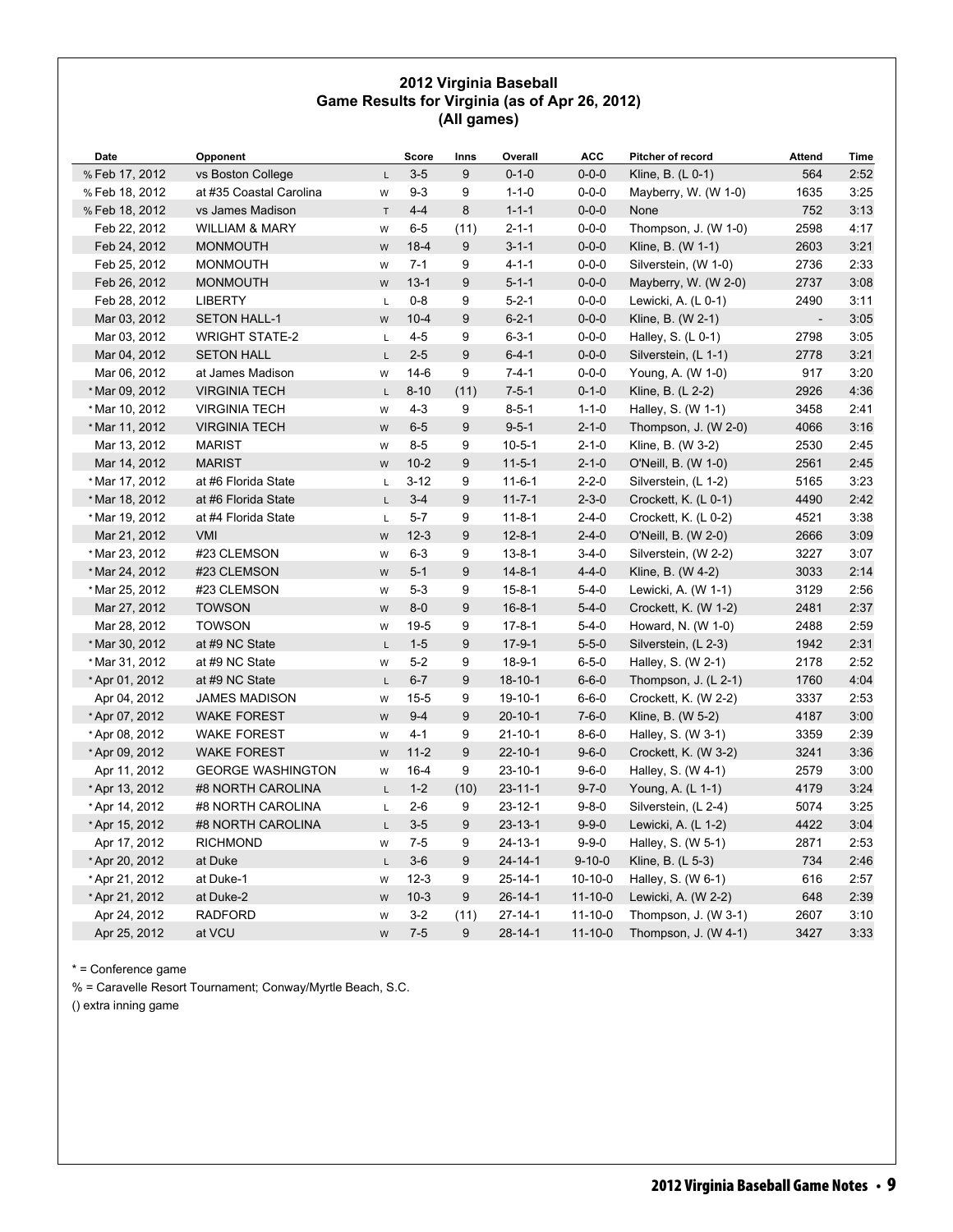#### **2012 Virginia Baseball Game Results for Virginia (as of Apr 26, 2012) (All games)**

| Date           | Opponent                  |              | Score    | Inns | Overall       | <b>ACC</b>    | Pitcher of record    | Attend | Time |
|----------------|---------------------------|--------------|----------|------|---------------|---------------|----------------------|--------|------|
| % Feb 17, 2012 | vs Boston College         | $\mathsf{L}$ | $3 - 5$  | 9    | $0 - 1 - 0$   | $0 - 0 - 0$   | Kline, B. (L 0-1)    | 564    | 2:52 |
| % Feb 18, 2012 | at #35 Coastal Carolina   | W            | $9 - 3$  | 9    | $1 - 1 - 0$   | $0 - 0 - 0$   | Mayberry, W. (W 1-0) | 1635   | 3:25 |
| % Feb 18, 2012 | vs James Madison          | $\top$       | $4 - 4$  | 8    | $1 - 1 - 1$   | $0 - 0 - 0$   | None                 | 752    | 3:13 |
| Feb 22, 2012   | <b>WILLIAM &amp; MARY</b> | W            | $6-5$    | (11) | $2 - 1 - 1$   | $0 - 0 - 0$   | Thompson, J. (W 1-0) | 2598   | 4:17 |
| Feb 24, 2012   | <b>MONMOUTH</b>           | W            | $18 - 4$ | 9    | $3 - 1 - 1$   | $0 - 0 - 0$   | Kline, B. (W 1-1)    | 2603   | 3:21 |
| Feb 25, 2012   | <b>MONMOUTH</b>           | W            | $7 - 1$  | 9    | $4 - 1 - 1$   | $0 - 0 - 0$   | Silverstein, (W 1-0) | 2736   | 2:33 |
| Feb 26, 2012   | <b>MONMOUTH</b>           | W            | $13 - 1$ | 9    | $5 - 1 - 1$   | $0 - 0 - 0$   | Mayberry, W. (W 2-0) | 2737   | 3:08 |
| Feb 28, 2012   | <b>LIBERTY</b>            | $\mathsf L$  | $0 - 8$  | 9    | $5 - 2 - 1$   | $0 - 0 - 0$   | Lewicki, A. (L 0-1)  | 2490   | 3:11 |
| Mar 03, 2012   | <b>SETON HALL-1</b>       | W            | $10 - 4$ | 9    | $6 - 2 - 1$   | $0 - 0 - 0$   | Kline, B. (W 2-1)    |        | 3:05 |
| Mar 03, 2012   | <b>WRIGHT STATE-2</b>     | L            | $4 - 5$  | 9    | $6 - 3 - 1$   | $0 - 0 - 0$   | Halley, S. (L 0-1)   | 2798   | 3:05 |
| Mar 04, 2012   | <b>SETON HALL</b>         | L            | $2 - 5$  | 9    | $6 - 4 - 1$   | $0 - 0 - 0$   | Silverstein, (L 1-1) | 2778   | 3:21 |
| Mar 06, 2012   | at James Madison          | W            | $14-6$   | 9    | $7 - 4 - 1$   | $0 - 0 - 0$   | Young, A. (W 1-0)    | 917    | 3:20 |
| * Mar 09, 2012 | <b>VIRGINIA TECH</b>      | $\mathsf{L}$ | $8 - 10$ | (11) | $7 - 5 - 1$   | $0 - 1 - 0$   | Kline, B. (L 2-2)    | 2926   | 4:36 |
| * Mar 10, 2012 | <b>VIRGINIA TECH</b>      | W            | $4 - 3$  | 9    | $8 - 5 - 1$   | $1 - 1 - 0$   | Halley, S. (W 1-1)   | 3458   | 2:41 |
| * Mar 11, 2012 | <b>VIRGINIA TECH</b>      | W            | $6-5$    | 9    | $9 - 5 - 1$   | $2 - 1 - 0$   | Thompson, J. (W 2-0) | 4066   | 3:16 |
| Mar 13, 2012   | <b>MARIST</b>             | W            | $8 - 5$  | 9    | $10 - 5 - 1$  | $2 - 1 - 0$   | Kline, B. (W 3-2)    | 2530   | 2:45 |
| Mar 14, 2012   | <b>MARIST</b>             | W            | $10-2$   | 9    | $11 - 5 - 1$  | $2 - 1 - 0$   | O'Neill, B. (W 1-0)  | 2561   | 2:45 |
| * Mar 17, 2012 | at #6 Florida State       | L            | $3 - 12$ | 9    | $11 - 6 - 1$  | $2 - 2 - 0$   | Silverstein, (L 1-2) | 5165   | 3:23 |
| * Mar 18, 2012 | at #6 Florida State       | L.           | $3-4$    | 9    | $11 - 7 - 1$  | $2 - 3 - 0$   | Crockett, K. (L 0-1) | 4490   | 2:42 |
| * Mar 19, 2012 | at #4 Florida State       | L            | $5-7$    | 9    | $11 - 8 - 1$  | $2 - 4 - 0$   | Crockett, K. (L 0-2) | 4521   | 3:38 |
| Mar 21, 2012   | <b>VMI</b>                | W            | $12-3$   | 9    | $12 - 8 - 1$  | $2 - 4 - 0$   | O'Neill, B. (W 2-0)  | 2666   | 3:09 |
| * Mar 23, 2012 | #23 CLEMSON               | W            | $6 - 3$  | 9    | $13 - 8 - 1$  | $3-4-0$       | Silverstein, (W 2-2) | 3227   | 3:07 |
| * Mar 24, 2012 | #23 CLEMSON               | ${\sf W}$    | $5 - 1$  | 9    | $14 - 8 - 1$  | $4 - 4 - 0$   | Kline, B. (W 4-2)    | 3033   | 2:14 |
| * Mar 25, 2012 | #23 CLEMSON               | W            | $5 - 3$  | 9    | $15 - 8 - 1$  | $5 - 4 - 0$   | Lewicki, A. (W 1-1)  | 3129   | 2:56 |
| Mar 27, 2012   | <b>TOWSON</b>             | W            | $8-0$    | 9    | $16 - 8 - 1$  | $5 - 4 - 0$   | Crockett, K. (W 1-2) | 2481   | 2:37 |
| Mar 28, 2012   | <b>TOWSON</b>             | W            | $19 - 5$ | 9    | $17 - 8 - 1$  | $5 - 4 - 0$   | Howard, N. (W 1-0)   | 2488   | 2:59 |
| * Mar 30, 2012 | at #9 NC State            | L            | $1 - 5$  | 9    | $17-9-1$      | $5 - 5 - 0$   | Silverstein, (L 2-3) | 1942   | 2:31 |
| * Mar 31, 2012 | at #9 NC State            | W            | $5-2$    | 9    | $18-9-1$      | $6 - 5 - 0$   | Halley, S. (W 2-1)   | 2178   | 2:52 |
| * Apr 01, 2012 | at #9 NC State            | L            | $6 - 7$  | 9    | $18 - 10 - 1$ | $6 - 6 - 0$   | Thompson, J. (L 2-1) | 1760   | 4:04 |
| Apr 04, 2012   | <b>JAMES MADISON</b>      | W            | $15 - 5$ | 9    | 19-10-1       | $6 - 6 - 0$   | Crockett, K. (W 2-2) | 3337   | 2:53 |
| * Apr 07, 2012 | <b>WAKE FOREST</b>        | W            | $9 - 4$  | 9    | $20 - 10 - 1$ | $7 - 6 - 0$   | Kline, B. (W 5-2)    | 4187   | 3:00 |
| * Apr 08, 2012 | <b>WAKE FOREST</b>        | W            | $4 - 1$  | 9    | $21 - 10 - 1$ | $8 - 6 - 0$   | Halley, S. (W 3-1)   | 3359   | 2:39 |
| *Apr 09, 2012  | <b>WAKE FOREST</b>        | W            | $11 - 2$ | 9    | $22 - 10 - 1$ | $9 - 6 - 0$   | Crockett, K. (W 3-2) | 3241   | 3:36 |
| Apr 11, 2012   | <b>GEORGE WASHINGTON</b>  | W            | $16 - 4$ | 9    | $23 - 10 - 1$ | $9 - 6 - 0$   | Halley, S. (W 4-1)   | 2579   | 3:00 |
| * Apr 13, 2012 | #8 NORTH CAROLINA         | L            | $1 - 2$  | (10) | $23 - 11 - 1$ | $9 - 7 - 0$   | Young, A. (L 1-1)    | 4179   | 3:24 |
| * Apr 14, 2012 | #8 NORTH CAROLINA         | L            | $2 - 6$  | 9    | $23 - 12 - 1$ | $9 - 8 - 0$   | Silverstein, (L 2-4) | 5074   | 3:25 |
| *Apr 15, 2012  | #8 NORTH CAROLINA         | L.           | $3-5$    | 9    | $23 - 13 - 1$ | $9 - 9 - 0$   | Lewicki, A. (L 1-2)  | 4422   | 3:04 |
| Apr 17, 2012   | <b>RICHMOND</b>           | W            | $7 - 5$  | 9    | $24 - 13 - 1$ | $9 - 9 - 0$   | Halley, S. (W 5-1)   | 2871   | 2:53 |
| * Apr 20, 2012 | at Duke                   | L            | $3-6$    | 9    | $24 - 14 - 1$ | $9 - 10 - 0$  | Kline, B. (L 5-3)    | 734    | 2:46 |
| *Apr 21, 2012  | at Duke-1                 | W            | $12-3$   | 9    | $25 - 14 - 1$ | $10-10-0$     | Halley, S. (W 6-1)   | 616    | 2:57 |
| * Apr 21, 2012 | at Duke-2                 | W            | $10-3$   | 9    | $26 - 14 - 1$ | $11 - 10 - 0$ | Lewicki, A. (W 2-2)  | 648    | 2:39 |
| Apr 24, 2012   | <b>RADFORD</b>            | W            | $3 - 2$  | (11) | $27 - 14 - 1$ | $11 - 10 - 0$ | Thompson, J. (W 3-1) | 2607   | 3:10 |
| Apr 25, 2012   | at VCU                    | W            | $7 - 5$  | 9    | $28 - 14 - 1$ | $11 - 10 - 0$ | Thompson, J. (W 4-1) | 3427   | 3:33 |

\* = Conference game

% = Caravelle Resort Tournament; Conway/Myrtle Beach, S.C.

() extra inning game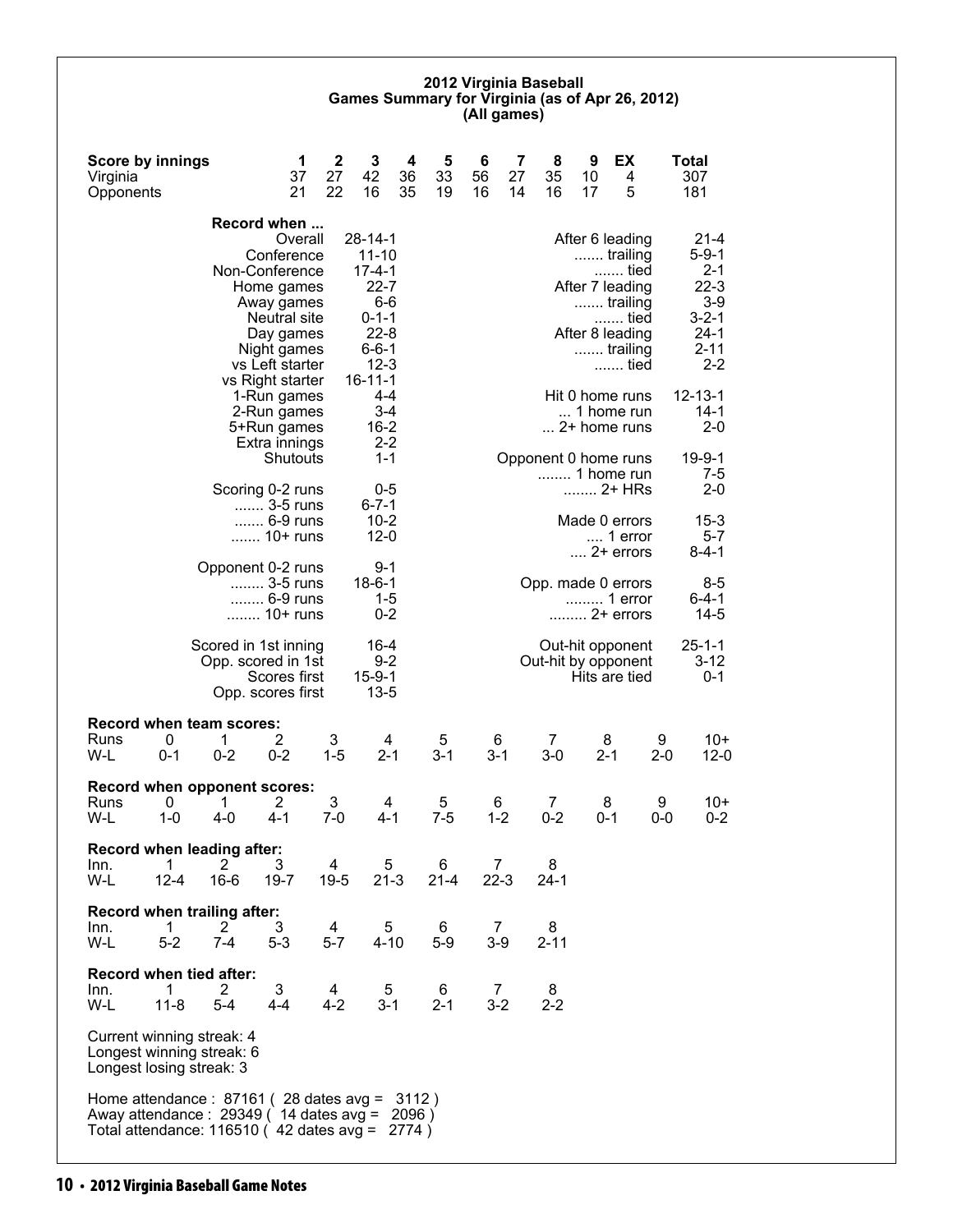#### **2012 Virginia Baseball Games Summary for Virginia (as of Apr 26, 2012) (All games)**

| <b>Score by innings</b><br>Virginia<br>Opponents                                                                                                                       |                                                                 | 1<br>37<br>21                                                                                                    | $\mathbf 2$<br>27<br>22   | 3<br>42<br>16                                                                                                         | 4<br>36<br>35 | 5<br>33<br>19 | 6<br>56<br>16            | 7<br>27<br>14 | 8<br>35<br>16           | 9<br>10<br>17 | EX<br>4<br>5                                                                                                      |              | <b>Total</b><br>307<br>181                                                                            |
|------------------------------------------------------------------------------------------------------------------------------------------------------------------------|-----------------------------------------------------------------|------------------------------------------------------------------------------------------------------------------|---------------------------|-----------------------------------------------------------------------------------------------------------------------|---------------|---------------|--------------------------|---------------|-------------------------|---------------|-------------------------------------------------------------------------------------------------------------------|--------------|-------------------------------------------------------------------------------------------------------|
|                                                                                                                                                                        | Record when<br>Non-Conference                                   | Overall<br>Conference<br>Home games<br>Away games<br>Neutral site<br>Day games<br>Night games<br>vs Left starter |                           | $28 - 14 - 1$<br>$11 - 10$<br>$17 - 4 - 1$<br>$22 - 7$<br>$6-6$<br>$0 - 1 - 1$<br>$22 - 8$<br>$6 - 6 - 1$<br>$12 - 3$ |               |               |                          |               |                         |               | After 6 leading<br>trailing<br>tied<br>After 7 leading<br>trailing<br>tied<br>After 8 leading<br>trailing<br>tied |              | $21 - 4$<br>$5 - 9 - 1$<br>$2 - 1$<br>$22-3$<br>$3-9$<br>$3 - 2 - 1$<br>$24-1$<br>$2 - 11$<br>$2 - 2$ |
|                                                                                                                                                                        |                                                                 | vs Right starter<br>1-Run games<br>2-Run games<br>5+Run games<br>Extra innings<br>Shutouts                       |                           | $16 - 11 - 1$<br>4-4<br>3-4<br>$16 - 2$<br>$2 - 2$<br>$1 - 1$                                                         |               |               |                          |               | Opponent 0 home runs    |               | Hit 0 home runs<br>1 home run<br>2+ home runs                                                                     |              | $12 - 13 - 1$<br>$14-1$<br>$2 - 0$<br>$19 - 9 - 1$                                                    |
|                                                                                                                                                                        | Scoring 0-2 runs                                                | 3-5 runs<br>6-9 runs                                                                                             |                           | 0-5<br>$6 - 7 - 1$<br>$10 - 2$                                                                                        |               |               |                          |               |                         |               | 1 home run<br>Made 0 errors                                                                                       |              | 7-5<br>$2 - 0$<br>$15 - 3$                                                                            |
|                                                                                                                                                                        | Opponent 0-2 runs                                               | 10+ runs                                                                                                         |                           | $12 - 0$<br>$9 - 1$                                                                                                   |               |               |                          |               |                         |               | 1 error<br>$\dots$ 2+ errors                                                                                      |              | $5 - 7$<br>$8 - 4 - 1$                                                                                |
|                                                                                                                                                                        |                                                                 | 3-5 runs<br>6-9 runs<br>10+ runs                                                                                 |                           | $18 - 6 - 1$<br>$1 - 5$<br>$0 - 2$                                                                                    |               |               |                          |               | Opp. made 0 errors      |               | 1 error<br>2+ errors                                                                                              |              | $8 - 5$<br>$6 - 4 - 1$<br>$14 - 5$                                                                    |
|                                                                                                                                                                        | Scored in 1st inning<br>Opp. scored in 1st<br>Opp. scores first | Scores first                                                                                                     |                           | 16-4<br>$9 - 2$<br>$15 - 9 - 1$<br>$13 - 5$                                                                           |               |               |                          |               | Out-hit by opponent     |               | Out-hit opponent<br>Hits are tied                                                                                 |              | $25 - 1 - 1$<br>$3 - 12$<br>$0 - 1$                                                                   |
| <b>Record when team scores:</b><br>0<br>Runs<br>W-L<br>$0 - 1$                                                                                                         | 1<br>$0 - 2$                                                    | 2<br>$0 - 2$                                                                                                     | 3<br>$1 - 5$              | 4<br>$2 - 1$                                                                                                          |               | 5<br>$3 - 1$  | 6<br>$3-1$               |               | $\overline{7}$<br>$3-0$ |               | 8<br>$2 - 1$                                                                                                      | 9<br>$2 - 0$ | $10+$<br>$12-0$                                                                                       |
| Record when opponent scores:<br>0<br>Runs<br>$1 - 0$<br>W-L                                                                                                            | 1<br>$4 - 0$                                                    | 2<br>$4 - 1$                                                                                                     | 3<br>$7-0$                | 4<br>$4 - 1$                                                                                                          |               | 5<br>$7-5$    | 6<br>$1 - 2$             |               | 7<br>0-2                |               | 8<br>0-1                                                                                                          | 9<br>0-0     | $10+$<br>$0 - 2$                                                                                      |
| Record when leading after:<br>$\overline{1}$<br>Inn.<br>$12 - 4$<br>W-L                                                                                                | 2<br>$16-6$                                                     | 3<br>$19 - 7$                                                                                                    | 4<br>$19 - 5$             | 5<br>$21 - 3$                                                                                                         |               | 6<br>$21 - 4$ | $\overline{7}$<br>$22-3$ |               | 8<br>$24-1$             |               |                                                                                                                   |              |                                                                                                       |
| Record when trailing after:<br>1<br>Inn.<br>$5-2$<br>W-L                                                                                                               | $\overline{2}$<br>$7 - 4$                                       | 3<br>$5 - 3$                                                                                                     | $\overline{4}$<br>$5 - 7$ | 5<br>$4 - 10$                                                                                                         |               | 6<br>$5-9$    | 7<br>$3-9$               |               | 8<br>$2 - 11$           |               |                                                                                                                   |              |                                                                                                       |
| <b>Record when tied after:</b><br>Inn.<br>1<br>W-L<br>$11 - 8$                                                                                                         | $\mathbf{2}^{\prime}$<br>$5 - 4$                                | 3<br>$4 - 4$                                                                                                     | 4<br>$4 - 2$              | 5<br>$3 - 1$                                                                                                          |               | 6<br>$2 - 1$  | 7<br>$3 - 2$             |               | 8<br>$2 - 2$            |               |                                                                                                                   |              |                                                                                                       |
| Current winning streak: 4<br>Longest winning streak: 6<br>Longest losing streak: 3                                                                                     |                                                                 |                                                                                                                  |                           |                                                                                                                       |               |               |                          |               |                         |               |                                                                                                                   |              |                                                                                                       |
| Home attendance : 87161 (28 dates avg = 3112)<br>Away attendance: $29349(14 \text{ dates avg} = 2096)$<br>Total attendance: 116510 ( $\overline{42}$ dates avg = 2774) |                                                                 |                                                                                                                  |                           |                                                                                                                       |               |               |                          |               |                         |               |                                                                                                                   |              |                                                                                                       |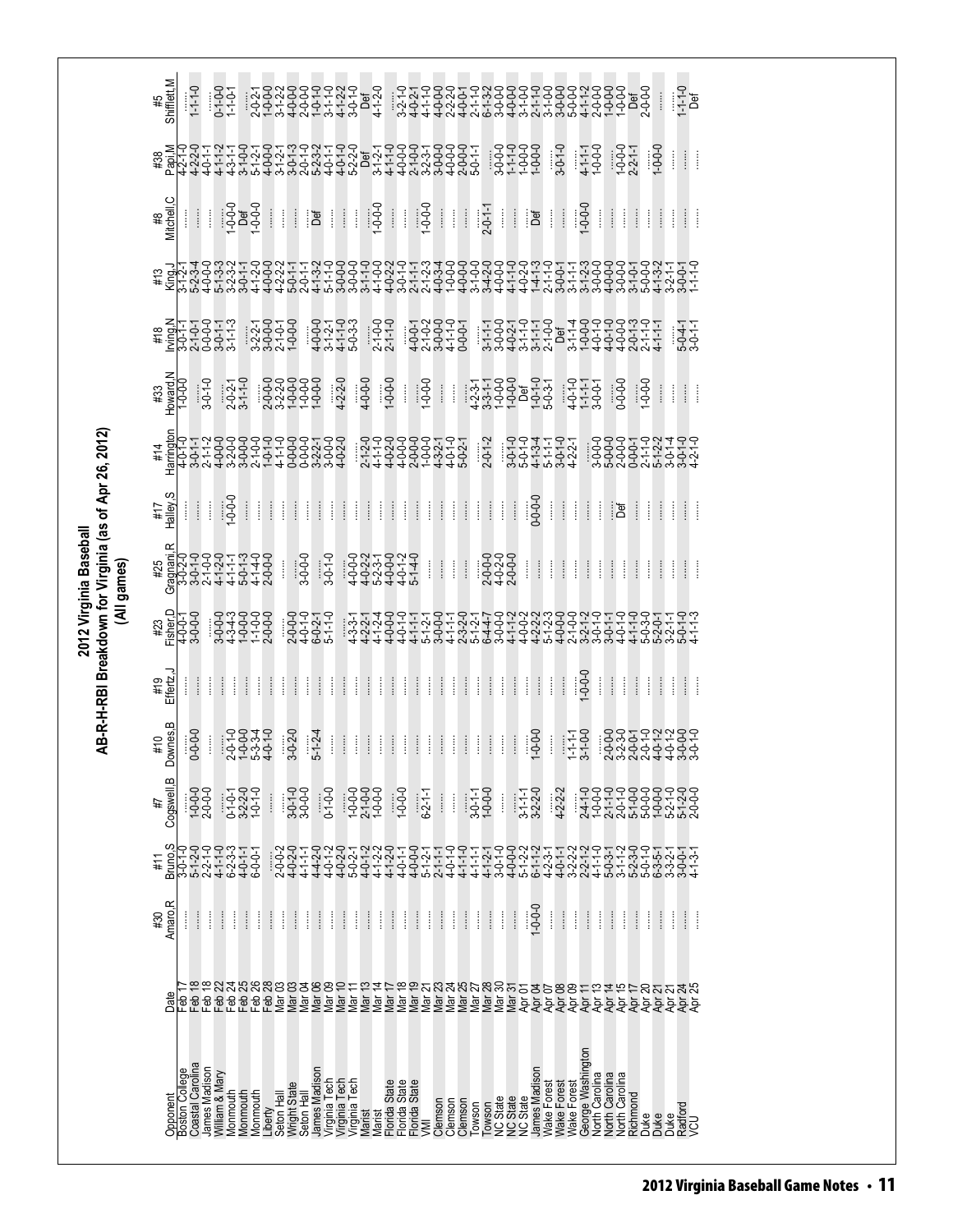**2012 Virginia Baseball AB-R-H-RBI Breakdown for Virginia (as of Apr 26, 2012)** 2012 Virginia Baseball<br>AB-R-H-RBI Breakdown for Virginia (as of Apr 26, 2012)<br>(All games)

| #5<br>Shifflett,M<br>$-1 - 1 - 0$<br>Def<br>$1 - 1 - 0$                                                                                                                                                                                                                                                                                                                                                                                                                                                                                                                                                                                                                                                                |
|------------------------------------------------------------------------------------------------------------------------------------------------------------------------------------------------------------------------------------------------------------------------------------------------------------------------------------------------------------------------------------------------------------------------------------------------------------------------------------------------------------------------------------------------------------------------------------------------------------------------------------------------------------------------------------------------------------------------|
| $3 - 0 - 1 - 0$<br>#38<br>Papi,M<br>$\begin{array}{c}\n 9999 \\  -999 \\  -999\n \end{array}$<br>$4 - 1 - 1$<br>1-0-0-0<br>$1 - 0 - 0 - 0$<br>$-2 - 1 - 1$<br>$-0.0 - 1$<br>ļ<br>ĺ                                                                                                                                                                                                                                                                                                                                                                                                                                                                                                                                     |
| #8<br>Mitchell,C<br>$\begin{array}{c} \begin{array}{c} \hline \text{1} & \text{0} \\ \text{0} & \text{0} \end{array} \end{array}$<br>$1 - 0 - 0 - 0$<br>$\frac{1}{1000}$<br>$\frac{1}{2}$ $\frac{1}{2}$ $\frac{1}{2}$ $\frac{1}{2}$ $\frac{1}{2}$ $\frac{1}{2}$<br>Ħ<br>Ħ<br>H<br>Ħ<br>ł<br>$\frac{1}{2}$<br>$\vdots$<br>ීප්<br>$\begin{array}{c} \vdots \\ \vdots \\ \vdots \end{array}$<br>İ<br>ිර්<br>Ť<br>ł<br>I<br>ŧ<br>ļ<br>ĺ                                                                                                                                                                                                                                                                                    |
|                                                                                                                                                                                                                                                                                                                                                                                                                                                                                                                                                                                                                                                                                                                        |
| צדדדסדרף וקסף פרפי<br># בסקרססד ואסקס פרידים<br># בסקרססד ואסקס פרידים<br># באליסטא ואמאל<br>$2 - 1 - 0 - 0$<br>$2 - 1 - 1 - 0$<br>$5-0-4-1$<br>$3-0-1-1$                                                                                                                                                                                                                                                                                                                                                                                                                                                                                                                                                              |
| #33<br>Howard,N<br>$\begin{bmatrix} 7 & 7 & 9 & 9 & 9 & 9 & 9 & 9 & 9 & 1 & 9 & 1 & 9 & 1 & 9 & 1 & 9 & 1 & 9 & 1 & 9 & 1 & 9 & 1 & 9 & 1 & 9 & 1 & 9 & 1 & 9 & 1 & 9 & 1 & 9 & 1 & 9 & 1 & 9 & 1 & 9 & 1 & 9 & 1 & 9 & 1 & 9 & 1 & 9 & 1 & 9 & 1 & 9 & 1 & 9 & 1 & 9 & 1 & 9 & 1 & 9 & 1 & 9 & 1 & 9 & 1 & 9 & 1 & 9 & 1 & 9 & $<br>$-0-0$<br>$\vdots$<br>I                                                                                                                                                                                                                                                                                                                                                           |
| #14<br>Harrington                                                                                                                                                                                                                                                                                                                                                                                                                                                                                                                                                                                                                                                                                                      |
| Halley, S<br>$-0.0 - 0.0$<br>$-0.0$<br>$\frac{1}{2}$<br>Ħ<br>$\frac{1}{2}$<br>Î<br>H<br>Ť.<br>$\frac{1}{2}$<br>$\frac{1}{2}$<br>ŧ<br>Î<br>Î<br>Î<br>$\vdots$<br>$\frac{1}{2}$<br>ł<br>$\begin{array}{c} \begin{array}{c} \bullet \\ \bullet \\ \bullet \end{array} \end{array}$<br>$\ddot{\ddot{\cdot}}$<br>ĺ<br>$\vdots$<br>ł<br>$\frac{1}{2}$<br>Î<br>I<br>$\vdots$<br>ł<br>Î<br>ŧ<br>Î<br>İ<br>ීප්<br>ł<br>ĺ<br>#17                                                                                                                                                                                                                                                                                                 |
| Gragnani,R<br>$3 - 0 - 1 - 0$<br>$3 - 0 - 0 - 0$<br>4464446<br>4464444<br>446444<br>$2-0-0$<br>2-0-2-0-0<br>2-0-0-0<br>$\frac{1}{2}$<br>$\frac{1}{2}$<br>Ħ<br>ł<br>$\frac{1}{2}$<br>ĵ.<br>ļ<br>ł<br>İ<br>$\ddot{\ddot{\cdot}}$<br>ĺ<br>ĺ<br>#25<br>İ<br>ł<br>ĺ                                                                                                                                                                                                                                                                                                                                                                                                                                                         |
| #23<br>#290-0-1<br>!sher?<br>!20-0-1<br><del>ؘ<br/>ؘؘؘؘؘۨۜڹ؋ٵ؋؇؇؇؇؇؇ۻٵ؋؆ڂ؋؇؇؇؇ۻۻۻۻۻۻۻۻ<br/>ؙۻ؋ٵۻڂۻۻۻۻۻۻۻۻۻۻۻۻۻۻۻۻۻۻۻۻۻۻۻ<br/>ۻٵ؋ٵ؋؆ۻ؊؋؆؋؇؋؇؋؇؋؇؋؇؋؇؋؇؋؋؋؋</del><br>$\begin{array}{c} -0.00000 \\ -0.00000 \\ -0.00000 \\ -0.00000 \\ -0.00000 \\ -0.00000 \\ -0.00000 \\ -0.00000 \\ -0.00000 \\ -0.00000 \\ -0.00000 \\ -0.00000 \\ -0.00000 \\ -0.00000 \\ -0.00000 \\ -0.00000 \\ -0.00000 \\ -0.00000 \\ -0.00000 \\ -0.00000 \\ -0.00000 \\ -0.00000 \\ -0.00000 \\ -0.000$<br>2-0-1-0<br>2-0-1-0<br>4-0-2-1<br>5-1-1-0                                                                                                                                                                                           |
| $-0.0 - 0$<br>#19<br>Effertz,J<br>ļ<br>Î<br>Î<br>$\frac{1}{2}$<br>ļ<br>ł<br>Î<br>$\frac{1}{2}$<br>Î<br>ļ<br>ł<br>Î<br>ł<br>ļ<br>İ<br>Î<br>ļ<br>$\begin{array}{c} \vdots \\ \vdots \\ \vdots \end{array}$<br>ł<br>ĺ<br>Î<br>ļ<br>ļ<br>Î<br>Î<br>ł<br>ł<br>ĺ<br>ļ<br>Î<br>$\ddot{\ddot{\phantom{}}\phantom{}}$<br>Î<br>İ<br>Î<br>ĺ                                                                                                                                                                                                                                                                                                                                                                                       |
| lownes, B<br>$5 - 1 - 2 - 4$<br>$0 - 0 - 0 - 0$<br>$23 - 0 - 0 - 1 - 0 - 1 - 0 - 1 - 0 - 1 - 0 - 1 - 0 - 1 - 0 - 1 - 0 - 1 - 0 - 1 - 0 - 1 - 0 - 1 - 0 - 1 - 0 - 1 - 0 - 1 - 0 - 1 - 0 - 1 - 0 - 1 - 0 - 1 - 0 - 1 - 0 - 1 - 0 - 1 - 0 - 1 - 0 - 1 - 0 - 1 - 0 - 1 - 0 - 1 - 0 - 1 - 0 - 1 - 0 - 1 - 0 - 1 - 0 - 1 - 0 - 1 - 0 - 1 - 0 - 1 - 0 - 1 - 0 - $<br>$3 - 0 - 2 - 0$<br>$\frac{1}{1-1-1}$<br>3-1-0-0<br>$\begin{array}{c} \begin{array}{c} \begin{array}{c} \begin{array}{c} \end{array}\\ \end{array} \end{array} \end{array}$<br>$\frac{1}{2}$<br>ļ<br>$\frac{1}{2}$<br>Î<br>$\vdots$<br>$\frac{1}{2}$<br>Ħ<br>H<br>ł,<br>#10<br>İ<br>Î<br>c                                                                |
| $\bf{m}$<br>Cogswell,<br>$1 - 0 - 0 - 0$<br>3-0-1-0<br>3-0-0-0<br>$4 - 2 - 2 - 2$<br>$3-2-2-0$<br>$1-0-1-0$<br>$1 - 0 - 0 - 0$<br>$1 - 0 - 0 - 0$<br>$0-1-0-0$<br>$10 - 0 - 0$<br>$2 - 1 - 0 - 0$<br>$1 - 0 - 0 - 0$<br>$24-1-0$<br>1-0-0-0<br>$6 - 2 - 1 - 1$<br>$3-1-1$<br>$3-2-2-0$<br>$2 - 0 - 1 - 0$<br>$3 - 1 - 1$<br>$2 - 0 - 0$<br>$2 - 1 - 1 - C$<br>$0 - 1 - 0 - 0$<br>j<br>ĺ<br>İ<br>İ<br>1#                                                                                                                                                                                                                                                                                                                |
| Bruno <sub>,</sub> S<br>$5 - 1 - 2 - 0$<br>$2 - 2 - 1 - 0$<br>$2 - 0 - 0 - 2$<br>$4 - 0 - 2 - 0$<br>$4 - 1 - 1 - 1$<br>$4 - 1 - 0$<br>1111224<br>2111224<br>2224111<br>$4 - 1 - 0$<br>$6-2-3-3$<br>$6-4-0-1$<br>$6-0-1$<br>$4 - 4 - 2 - 0$<br>5-0-3-1<br>5-1-1-2-0-5<br>5-2-2-0-1<br>5-0-1-0-1<br>$3-0-1-0$<br>$4 - 0 - 1 - 2$<br>$2 - 1 - 1 - 1$<br>$4 - 0 - 1 - 0$<br>$4 - 1 - 1 - 1$<br>$4 - 1 - 3 -$<br>#11                                                                                                                                                                                                                                                                                                        |
| Amaro, R<br>$0 - 0 - 1$<br>ļ<br>ļ<br>İ<br>ĺ<br>ĺ<br>$\vdots$<br>ļ<br>İ<br>Î<br>ļ<br>$\vdots$<br>İ<br>Î<br>İ<br>İ<br>ĺ<br>ĺ<br>İ<br>ĺ<br>İ<br>ļ<br>İ<br>Î<br>ĺ<br>İ<br>$\vdots$<br>ĺ<br>ļ<br>ĺ<br>ĺ<br>İ<br>İ<br>ĺ<br>İ<br>ĺ<br>#30<br>ļ<br>$\vdots$<br>$\vdots$<br>İ<br>$\vdots$                                                                                                                                                                                                                                                                                                                                                                                                                                       |
| Feb 18<br>Feb 18<br>FFFFF22222<br>\$\$\$\$\$\$\$\$<br>\$\$\$\$\$\$\$\$<br>Mar 17<br>Mar 18<br>Mar 21<br>Mar 21<br>Mar <sub>23</sub><br>ZZZZZZZZZZZZZZZZZZZ<br>Feb 22<br>Mar 10<br>Mar 11<br>Mar 13<br>Mar 14<br>2021<br>2021<br>2021<br>Date<br>န္မ<br>ই<br>২ই                                                                                                                                                                                                                                                                                                                                                                                                                                                         |
| George Washington<br>Coastal Carolina<br>James Madison<br>James Madison<br>James Madison<br>Boston College<br>William & Mary<br>North Carolina<br>North Carolina<br><b>North Carolina</b><br>Virginia<br>Tech<br>Virginia Tech<br>Virginia Tech<br>State<br>State<br>State<br><b>Nake Forest</b><br><b>Nake Forest</b><br>Wake Forest<br>Wright State<br>Vionmouth<br>Monmouth<br>Vlonmouth<br>Seton Hal<br>Richmond<br>Seton Hal<br>Opponent<br><b>NC State</b><br><b>NC State</b><br><b>NC</b> State<br>Clemson<br>Clemson<br>Clemson<br>owson<br>owson<br>Radford<br>VCU<br>Florida <sup>s</sup><br>Florida <sup>1</sup><br>Florida <sup>:</sup><br>Liberty<br><b>Marist</b><br>Marist<br>Duke<br>Duke<br>Duke<br>⋚ |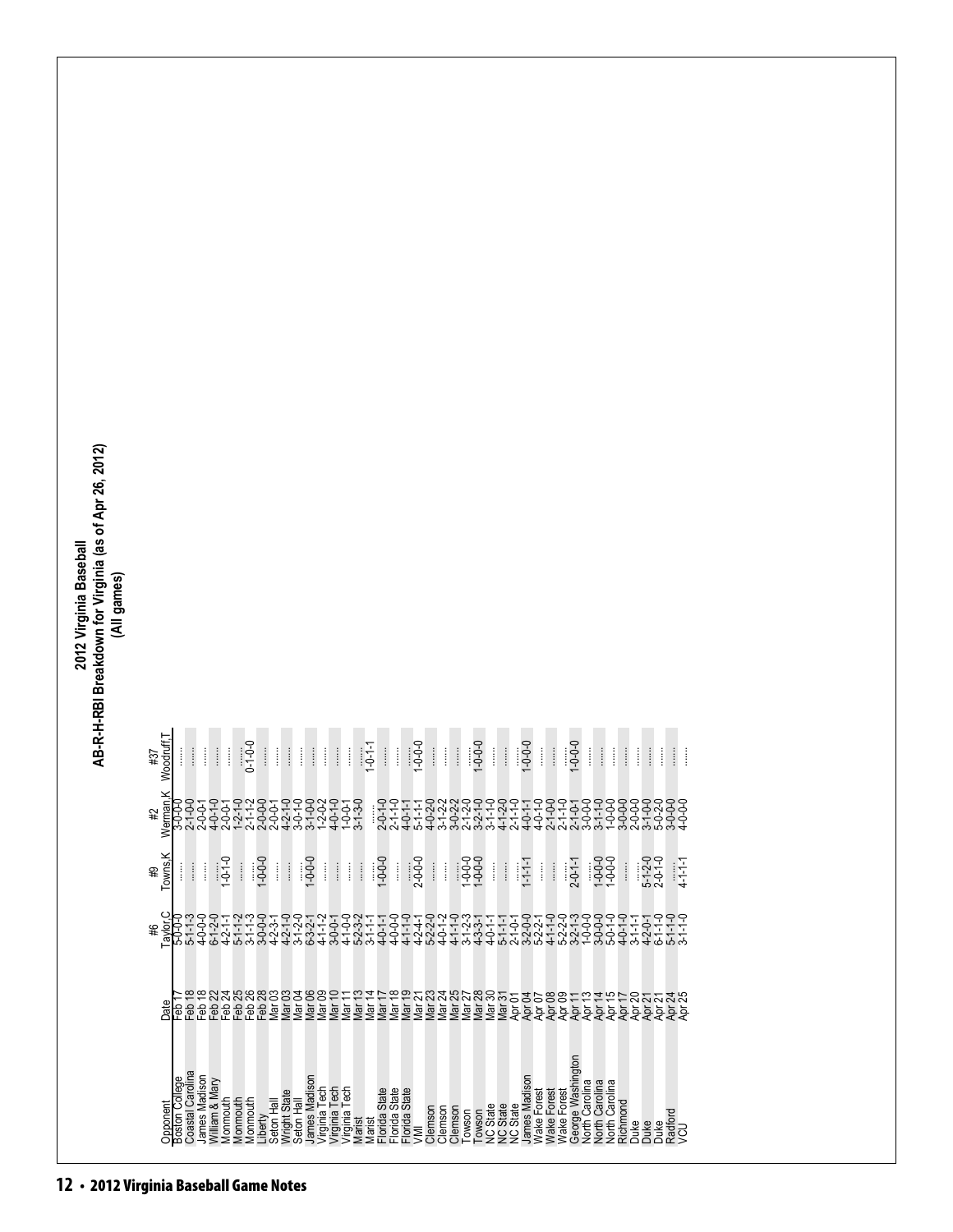| (All games)<br>Woodruff,T<br>$1 - 0 - 0$<br>$\vdots$<br>$1 - 0 - 0 - 0$<br>$\vdots$<br>$\frac{1}{2}$<br>$\begin{array}{c} \vdots \\ \vdots \\ \vdots \end{array}$<br>$1 - 0 - 0 - 0$<br>$\vdots$<br>$-0.0 - 0$<br>$\vdots$<br>$0 - 1 - 0 - 0$<br>$\vdots$<br>$\frac{1}{2}$<br>$1 - 0 - 1 - 1$<br>$\vdots$<br>$\begin{array}{c} \begin{array}{c} \begin{array}{c} \begin{array}{c} \end{array} \end{array} \\ \begin{array}{c} \end{array} \end{array} \end{array} \end{array}$<br>$\vdots$<br>$\vdots$<br>$\frac{1}{2}$<br>$\vdots$<br>İ<br>$\vdots$<br>$\vdots$<br>$\vdots$<br>ł<br>$\vdots$<br>$\frac{1}{2}$<br>$\frac{1}{2}$<br>$\frac{1}{2}$<br>Ĵ<br>$\frac{1}{2}$<br>$\frac{1}{2}$<br>$\frac{1}{2}$<br>$\vdots$<br>$\vdots$<br>ł<br>#37<br>İ<br>rman,K<br>╒╒╒╒╒╒╒╒┰╤╤╤┰╤╤╤╤╤╤╤╤<br>╤╤╩╩╬╩╬╁╤╤╤╤╤╤╤╤╤╤╤╤╤╤<br>┙┰┰╊<br>ᢩᡉᢩ᠆ᠹ᠇ᢩ᠊ᡇᢩᠬᡇᠢᢩᢩᡉᡇᡇᡇᡇᡏᡇ<br>ᡇᡇᢅᡳᡇᠢ᠇ᢅᡇᡇᠢ᠇ᢅᡇᡇᡳ᠇ᡇᡇ᠇ᢅᡇᡃ<br>᠋ᡊᡇᡇᡇᠬᡳᡏᡇᡇᡎᡇᢩᠮᢂᠹ᠋ᡇ᠇<br>$-1 - 0$<br>$-1 - 0$<br>$-0-0$<br>#2<br>≷<br>いいすい4000004044000000000004<br>maad-a-aaddom-<br>$4 - \omega$<br>Towns,K<br>$1 - 0 - 0 - 0$<br>$1 - 0 - 0 - 0$<br>$1 - 0 - 0 - 1$<br>1-0-0-0<br>1-0-0-1<br>$5 - 1 - 2 - 0$<br>$2 - 0 - 1 - 0$<br>$-0.0 - 0$<br>$1 - 0 - 1 - 0$<br>$2 - 0 - 0 - 0$<br>$2 - 0 - 1 - 1$<br>$4 - 1 - 1 - 1$<br>$1 - 1 - 1 - 1$<br>$\vdots$<br>$\frac{1}{2}$<br>$\vdots$<br>$\frac{1}{2}$<br>$\frac{1}{2}$<br>$\begin{array}{c} \vdots \\ \vdots \\ \vdots \end{array}$<br>$\begin{array}{c} \vdots \\ \vdots \\ \vdots \end{array}$<br>$\vdots$<br>ł<br>$\frac{1}{2}$<br>$\frac{1}{2}$<br>$\frac{1}{2}$<br>$\begin{array}{c} \vdots \\ \vdots \\ \vdots \end{array}$<br>$\vdots$<br>ļ<br>Ĵ<br>Î<br>ĺ<br>#9<br>Taylor, C<br>$5 - 1 - 3$<br>$4 - 0 - 0 - 0$<br>$4 - 1 - 1 - 1$<br>$4 - 2 - 1 - 1$<br>トトロトロロをきりロートーマングーン<br>トーマングトントロロトートーングループ<br>؇ؖۜٛۺ؏ڂڂڞۄڂۄۼۄۿۿۼٷۼ؋ۄۼۼۄۿۼۼ<br>ڂڂۻۺڂڛڂڮڂۻڂۻڂڂۻڂۻۻڂڂۺۻ<br>ۻڶۻڞڂۻۻڂۻۻڂڂۻڂۻۻۻڂڂۺۻ<br>$42 - 0 - 0$<br>$42 - 1 - 0$<br>$6 - 1 - 1 - 0$<br>$5 - 1 - 1 - 0$<br>$4 - 0 - 1 - 0$<br>$5 - 0 - 0 - 0$<br>$3-1-1-1$<br>ゃなななあるもないではあるいかなかなか。それはあるかのかなかなかかかかかかかかかかかかかかかなかかなかなかなかでもあるはのはあるではあるではあるのはないのかですか?<br>あるはななななのはなのかとちなけるものだななななかでなけるのかななわかない |  |  |  |  |  |  |  |  |  |  |  |  |  |  |  |  |  |  |
|----------------------------------------------------------------------------------------------------------------------------------------------------------------------------------------------------------------------------------------------------------------------------------------------------------------------------------------------------------------------------------------------------------------------------------------------------------------------------------------------------------------------------------------------------------------------------------------------------------------------------------------------------------------------------------------------------------------------------------------------------------------------------------------------------------------------------------------------------------------------------------------------------------------------------------------------------------------------------------------------------------------------------------------------------------------------------------------------------------------------------------------------------------------------------------------------------------------------------------------------------------------------------------------------------------------------------------------------------------------------------------------------------------------------------------------------------------------------------------------------------------------------------------------------------------------------------------------------------------------------------------------------------------------------------------------------------------------------------------------------------------------------------------------------------------------------------------------------------------------------------------------------------------------------------------------------------------------------------------------------------------------------------------------------------------------------------------------------------------------------|--|--|--|--|--|--|--|--|--|--|--|--|--|--|--|--|--|--|
|                                                                                                                                                                                                                                                                                                                                                                                                                                                                                                                                                                                                                                                                                                                                                                                                                                                                                                                                                                                                                                                                                                                                                                                                                                                                                                                                                                                                                                                                                                                                                                                                                                                                                                                                                                                                                                                                                                                                                                                                                                                                                                                      |  |  |  |  |  |  |  |  |  |  |  |  |  |  |  |  |  |  |
|                                                                                                                                                                                                                                                                                                                                                                                                                                                                                                                                                                                                                                                                                                                                                                                                                                                                                                                                                                                                                                                                                                                                                                                                                                                                                                                                                                                                                                                                                                                                                                                                                                                                                                                                                                                                                                                                                                                                                                                                                                                                                                                      |  |  |  |  |  |  |  |  |  |  |  |  |  |  |  |  |  |  |
|                                                                                                                                                                                                                                                                                                                                                                                                                                                                                                                                                                                                                                                                                                                                                                                                                                                                                                                                                                                                                                                                                                                                                                                                                                                                                                                                                                                                                                                                                                                                                                                                                                                                                                                                                                                                                                                                                                                                                                                                                                                                                                                      |  |  |  |  |  |  |  |  |  |  |  |  |  |  |  |  |  |  |
|                                                                                                                                                                                                                                                                                                                                                                                                                                                                                                                                                                                                                                                                                                                                                                                                                                                                                                                                                                                                                                                                                                                                                                                                                                                                                                                                                                                                                                                                                                                                                                                                                                                                                                                                                                                                                                                                                                                                                                                                                                                                                                                      |  |  |  |  |  |  |  |  |  |  |  |  |  |  |  |  |  |  |
|                                                                                                                                                                                                                                                                                                                                                                                                                                                                                                                                                                                                                                                                                                                                                                                                                                                                                                                                                                                                                                                                                                                                                                                                                                                                                                                                                                                                                                                                                                                                                                                                                                                                                                                                                                                                                                                                                                                                                                                                                                                                                                                      |  |  |  |  |  |  |  |  |  |  |  |  |  |  |  |  |  |  |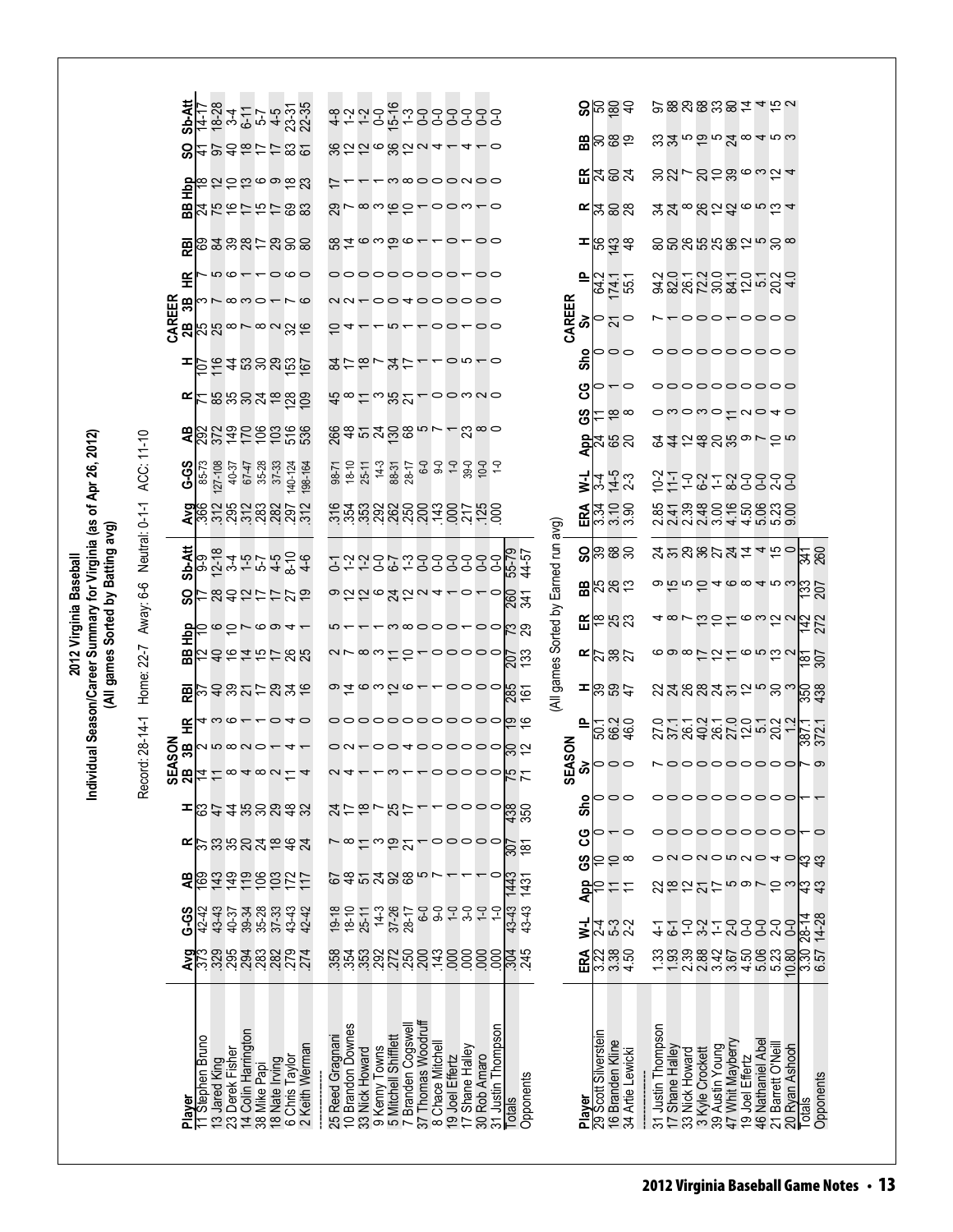|                                                                                                                               | ACC: 11-10                          | <b>Sb-Att</b><br>င္တ<br>H <sub>D</sub> P<br>88<br>霞<br>또<br>CAREER<br>2B<br>3B<br>œ<br>æ<br><b>G-S</b> | $14-1$<br>27-108<br>85-73      | 40-37           | 35-28<br>67-47      | 8245755822358<br>223427582<br>ほにけいもっかい<br><b>22かけおけ88</b><br>68387-898<br>$000 - 000$<br>$-\infty$ $\infty$ $\infty$ $\sim$<br>10.587826<br>$P$ $548888$<br><u>ដនួងខ្នង់តូនីក</u><br>823229888<br>37-33<br>140-124 | 198-164     | $98-71$<br>$18-10$     | $25 - 11$                           | はけはしおけ<br>ధ∞౬∾నర<br>ន្ល័ <sub>ទី</sub> កង់ទីន<br>$14-3$ | 88-31<br>28-17                                            | 8226822 <del>1</del>                  |                                     | m∞ooonoo<br>$\infty$ webseque<br>826396--0-00<br>ooooooooo <del>-</del> oo<br>004000000<br>$\circ$ $\circ$<br><u>-00mu0</u><br>00000000000 | $4 - 0$<br>00<br>$2^{\infty}$ |                                                                                                                        |                                      | 으<br>CAREER<br>જ્રે<br>o<br>န္တ<br>ပ္ပ<br>ဖိ | 3895<br>$B \approx 3$<br>$E$ $\approx$ $\approx$ $\approx$<br>ຮֲ⊠ຮ<br>ರ ಸ<br>ಇ ಸ ಭ<br>ెన్<br>000<br>27.88 | $\circ$<br>$\frac{\infty}{6}$ |                    |                                   |                                    |                  | <u> జనలలానలా లం</u><br>ສສ∽ສ≘ສ∞∾ຊ <del>∽</del><br><u>yy shaho wa 4</u><br>៙៰៙៰៷៷៙៹៲៰ៜ៙<br>asanganga<br>3885832534<br>--000-0000<br>000000000<br>$\sim$ wowo $\sim$ wo $\sim$<br><b>245&amp;S&amp;</b> or 5 r |                    |                          |                                   |
|-------------------------------------------------------------------------------------------------------------------------------|-------------------------------------|--------------------------------------------------------------------------------------------------------|--------------------------------|-----------------|---------------------|--------------------------------------------------------------------------------------------------------------------------------------------------------------------------------------------------------------------|-------------|------------------------|-------------------------------------|---------------------------------------------------------|-----------------------------------------------------------|---------------------------------------|-------------------------------------|--------------------------------------------------------------------------------------------------------------------------------------------|-------------------------------|------------------------------------------------------------------------------------------------------------------------|--------------------------------------|----------------------------------------------|-----------------------------------------------------------------------------------------------------------|-------------------------------|--------------------|-----------------------------------|------------------------------------|------------------|-------------------------------------------------------------------------------------------------------------------------------------------------------------------------------------------------------------|--------------------|--------------------------|-----------------------------------|
|                                                                                                                               |                                     |                                                                                                        | <b>DRE</b><br>Ang              |                 |                     | ភ្នំ ដូង និង ខ្លួន ដូ<br>ដូង ដូង និង ខ្លួន ដូ                                                                                                                                                                      |             |                        |                                     |                                                         |                                                           |                                       |                                     | <u>ូ</u><br>មិដ្ឋីជំនួនក្នុមីមីមីមីមីដូន<br>មិដ្ឋីជំនួនក្នុមីមីមី                                                                          |                               |                                                                                                                        |                                      | ₹<br>ERA                                     | 24<br>3408                                                                                                | $14-5$<br>2-3                 | $22 - 7$           |                                   | $-0.7$                             |                  | 85188666888<br>និងមិនទិក្ខិចនិង9                                                                                                                                                                            |                    |                          |                                   |
|                                                                                                                               |                                     | Sb-Att                                                                                                 |                                |                 |                     | ой - с с 4 Ф 4<br>Ф 4 Ф 1 Ф 5 Ф<br>Ф 4 Ф 1 Ф 5 Ф                                                                                                                                                                   |             |                        |                                     |                                                         |                                                           |                                       |                                     | ~~~~~~~~~~<br>o 2262224-0-                                                                                                                 | $\circ$                       | 55-79<br>44-57                                                                                                         |                                      |                                              | <b>ន</b> ន្ទ្រន្ទ្រ<br>$B\approx 25$                                                                      |                               |                    |                                   |                                    |                  | <b>みかのおひみはょちっ</b><br>$\omega$ $\bar{\omega}$ $\omega$ $\bar{\omega}$ $\sim$ $\alpha$ $\omega$ $\sim$                                                                                                        |                    |                          | <u>48</u><br>$\frac{25}{207}$     |
| vidual Season/Career Summary for Virginia (as of Apr 26, 2012)<br>(All games Sorted by Batting avg)<br>2012 Virginia Baseball | Home: 22-7 Away: 6-6 Neutral: 0-1-1 | င္တ<br>월<br>æ                                                                                          |                                |                 |                     | けぬれけけひね<br>6051004-<br>なのなはおけあお                                                                                                                                                                                    |             |                        |                                     |                                                         |                                                           |                                       |                                     | $\mathcal{A} \otimes \mathcal{A} \otimes \mathcal{A} \rightarrow \mathcal{A}$<br>arxwizatooooo                                             | 00                            | 841<br>89<br>$\frac{207}{133}$                                                                                         | (All games Sorted by Earned run avg) |                                              | <b>EE</b> <sup>@</sup> 83<br>$E_{0.82}^{2}$                                                               |                               |                    |                                   |                                    |                  | 6987216582                                                                                                                                                                                                  |                    |                          | $\frac{142}{272}$<br>영희           |
|                                                                                                                               |                                     | 巼                                                                                                      |                                |                 |                     | <b>できやりけのみも</b><br>4 w c + + 0 4 0                                                                                                                                                                                 |             |                        |                                     |                                                         |                                                           |                                       |                                     |                                                                                                                                            |                               | 00000000000000                                                                                                         |                                      | ≞                                            | ≖险않순                                                                                                      |                               |                    |                                   |                                    |                  |                                                                                                                                                                                                             |                    |                          | <b>es</b>                         |
| 홀                                                                                                                             | Record: 28-14-1                     | 또<br>SON<br>æ<br>₹<br>ဖာ                                                                               |                                |                 |                     | 2510000000<br>$\frac{\mathsf{m}}{\mathsf{a}}$ $\frac{\mathsf{m}}{\mathsf{c}}$ $\frac{\mathsf{m}}{\mathsf{c}}$ $\mathsf{m}$ $\mathsf{m}$ $\mathsf{m}$ $\mathsf{m}$ $\mathsf{m}$ $\mathsf{m}$ $\mathsf{m}$           |             |                        |                                     |                                                         |                                                           |                                       |                                     |                                                                                                                                            |                               | $\circ$ u-oo4oooooo $\breve{\phantom{0}}$<br>29000000000000000                                                         |                                      | EASON<br>စိ<br>ഗ                             | ២<br>២៩៩<br><u>២</u><br>000                                                                               |                               |                    |                                   |                                    |                  | 0.1.1.0.0.1.0.0.1<br>25.84822.0.2.1<br><u>NOOOOOOOO</u>                                                                                                                                                     |                    |                          | 387.1<br>⊩ ග                      |
|                                                                                                                               |                                     | ᆂ                                                                                                      |                                |                 |                     | 874888\$8<br>$E$ $\approx$ $3888829942$                                                                                                                                                                            |             |                        |                                     | <b>みけねてあけ</b>                                           | ಿದರ                                                       |                                       |                                     | $\sim$ 0000<br>$\circ \circ \circ \circ \circ$                                                                                             |                               | $\frac{43}{350}$<br><u>961</u><br>185                                                                                  |                                      | Sho<br>ပ္ပ                                   | 000                                                                                                       | 0 – 0                         |                    |                                   |                                    |                  | 000000000<br>000000000                                                                                                                                                                                      |                    |                          |                                   |
|                                                                                                                               |                                     | æ                                                                                                      |                                |                 |                     | <b>B339882217</b>                                                                                                                                                                                                  |             |                        |                                     | 635288                                                  |                                                           | ယ                                     |                                     |                                                                                                                                            |                               | 1431<br>1431                                                                                                           |                                      | <b>S</b> ၁<br>App                            |                                                                                                           | $\approx$                     |                    |                                   |                                    |                  | onononno4o<br>なみけちゅうねる                                                                                                                                                                                      |                    |                          | ¦ದೆ ದೆ<br> ဌ ဌ<br>                |
|                                                                                                                               |                                     | G-S                                                                                                    | 43-43<br>42-42                 |                 |                     | 4888545454888548<br><b>S</b> ER 35 35 32 32 31                                                                                                                                                                     |             | $19 - 18$<br>$18 - 10$ | $25-11$                             | $14-3$                                                  | 37-26<br>28-17                                            |                                       |                                     | $C$ $C$ $C$ $C$ $C$ $C$ $C$ $C$                                                                                                            |                               | 43-43<br>43-43<br><u>ឆ្លុំ ឆ្លុំ ឆ្លុំ ខ្លួន ដូច ខ្លួន ខ្លួន ដូច</u><br>ឆ្លុំ ឆ្លុំ ឆ្លុំ ខ្លួន ដូច ខ្លួន ខ្លួន ដូច អូ |                                      | ₹<br>ERA                                     | 252<br>452<br>$\frac{25}{25}$                                                                             |                               |                    | 5                                 |                                    |                  | <b>PPPPPP</b><br>2238846588358835888                                                                                                                                                                        | 10.80              |                          | 28-14<br>14-28<br>$\frac{35}{65}$ |
|                                                                                                                               |                                     | Player                                                                                                 | Stephen Bruno<br>13 Jared King | 23 Derek Fisher | 14 Colin Harrington | 38 Mike Papi<br>18 Nate Irving<br>6 Chris Taylor<br>2 Keith Werman                                                                                                                                                 | Keith Werma | 25 Reed Gragnani       | 10 Brandon Downes<br>33 Nick Howard |                                                         | 9 Kenny Towns<br>5 Mitchell Shifflett<br>7 Branden Cogswe | 37 Thomas Woodruff<br>Branden Cogswel | 8 Chace Mitchell<br>19 Joel Effertz | 17 Shane Halley<br>30 Rob Amaro<br>$\overline{1}$                                                                                          | 31 Justin Thompson            | Opponents<br>Totals                                                                                                    |                                      | Player                                       | 29 Scott Silverstein<br>16 Branden Kline                                                                  | 34 Artie Lewicki              | 31 Justin Thompson | 17 Shane Halley<br>33 Nick Howard | 3 Kyle Crockett<br>39 Austin Young | 47 Whit Mayberry | 46 Nathaniel Abel<br>19 Joel Effertz                                                                                                                                                                        | 21 Barrett O'Neill | 20 Ryan Ashooh<br>Totals | Opponents                         |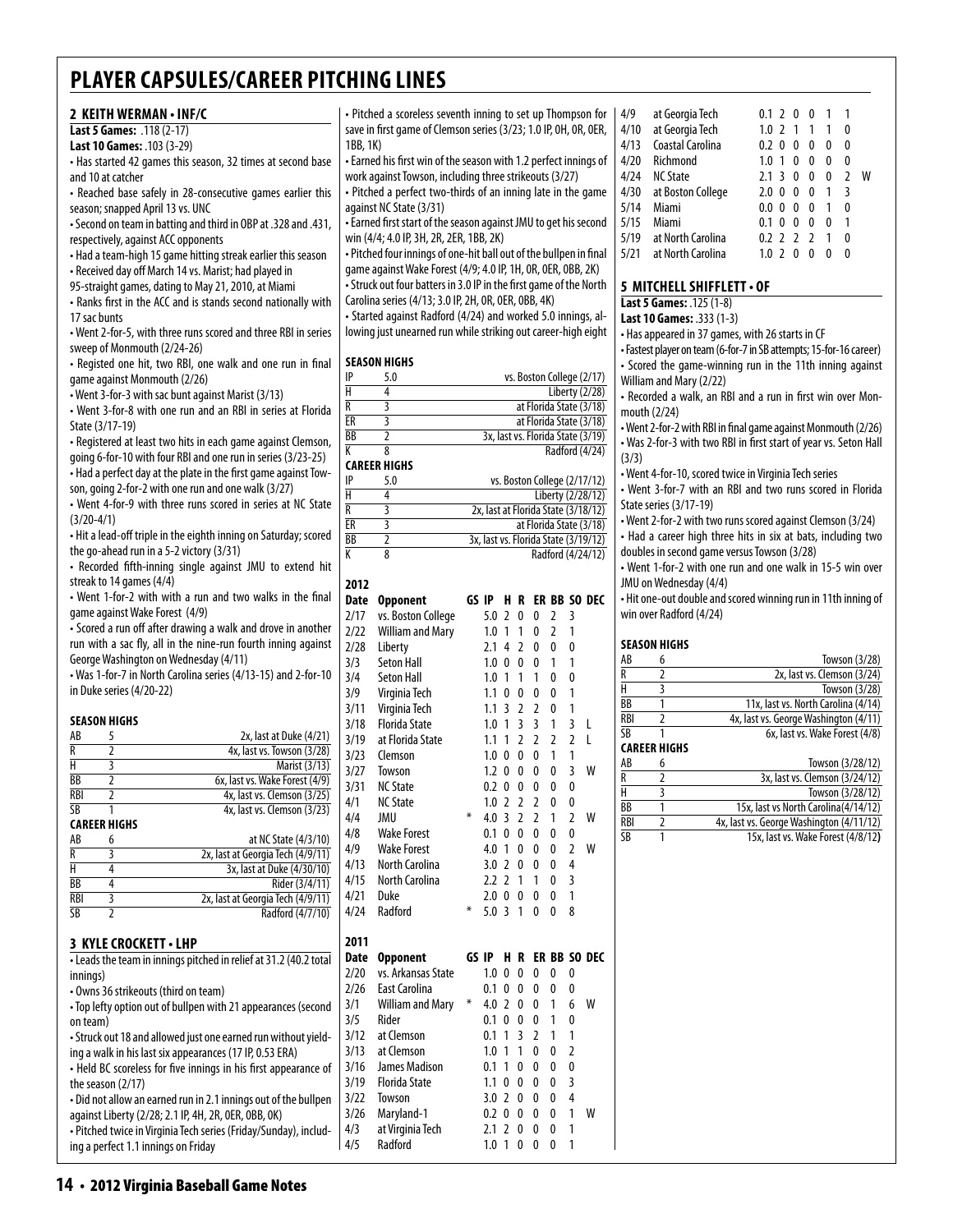| 2 KEITH WERMAN . INF/C                                                                                                                                                                                                                                                                                                                  |                                          | • Pitched a scoreless seventh inning to set up Thompson for                                                            |                                |                |                                      | 4/9                    | at Georgia Tech                                                     |  | 0.1 2 0 0 1                          | $\overline{1}$                                 |
|-----------------------------------------------------------------------------------------------------------------------------------------------------------------------------------------------------------------------------------------------------------------------------------------------------------------------------------------|------------------------------------------|------------------------------------------------------------------------------------------------------------------------|--------------------------------|----------------|--------------------------------------|------------------------|---------------------------------------------------------------------|--|--------------------------------------|------------------------------------------------|
| Last 5 Games: .118 (2-17)                                                                                                                                                                                                                                                                                                               |                                          | save in first game of Clemson series (3/23; 1.0 IP, 0H, 0R, 0ER,                                                       |                                |                |                                      | 4/10                   | at Georgia Tech                                                     |  | $1.0$ 2 1 1 1                        | $\mathbf{0}$                                   |
| Last 10 Games: .103 (3-29)                                                                                                                                                                                                                                                                                                              | 1BB, 1K)                                 |                                                                                                                        |                                |                |                                      | 4/13                   | Coastal Carolina                                                    |  | 0.2 0 0 0 0                          | $\mathbf{0}$                                   |
| • Has started 42 games this season, 32 times at second base                                                                                                                                                                                                                                                                             |                                          | • Earned his first win of the season with 1.2 perfect innings of                                                       |                                |                |                                      | 4/20                   | Richmond                                                            |  | 1.0 1 0 0 0                          | $\mathbf{0}$                                   |
| and 10 at catcher                                                                                                                                                                                                                                                                                                                       |                                          | work against Towson, including three strikeouts (3/27)<br>• Pitched a perfect two-thirds of an inning late in the game |                                |                |                                      | 4/24<br>4/30           | <b>NC State</b>                                                     |  |                                      | 2.1 3 0 0 0 2 W<br>3                           |
| • Reached base safely in 28-consecutive games earlier this<br>season; snapped April 13 vs. UNC                                                                                                                                                                                                                                          | against NC State (3/31)                  |                                                                                                                        |                                |                |                                      | 5/14                   | at Boston College<br>Miami                                          |  | $2.0 \t0 \t0 \t0 \t1$<br>0.0 0 0 0 1 | $\mathbf{0}$                                   |
| . Second on team in batting and third in OBP at .328 and .431,                                                                                                                                                                                                                                                                          |                                          | • Earned first start of the season against JMU to get his second                                                       |                                |                |                                      | 5/15                   | Miami                                                               |  | 0.1 0 0 0 0                          | $\overline{\phantom{a}}$                       |
| respectively, against ACC opponents                                                                                                                                                                                                                                                                                                     |                                          | win (4/4; 4.0 IP, 3H, 2R, 2ER, 1BB, 2K)                                                                                |                                |                |                                      | 5/19                   | at North Carolina                                                   |  | $0.2$ 2 2 2 1                        | $\mathbf{0}$                                   |
| • Had a team-high 15 game hitting streak earlier this season                                                                                                                                                                                                                                                                            |                                          | • Pitched four innings of one-hit ball out of the bullpen in final                                                     |                                |                |                                      | 5/21                   | at North Carolina                                                   |  | 1.0 2 0 0 0 0                        |                                                |
| • Received day off March 14 vs. Marist; had played in                                                                                                                                                                                                                                                                                   |                                          | game against Wake Forest (4/9; 4.0 IP, 1H, 0R, 0ER, 0BB, 2K)                                                           |                                |                |                                      |                        |                                                                     |  |                                      |                                                |
| 95-straight games, dating to May 21, 2010, at Miami                                                                                                                                                                                                                                                                                     |                                          | • Struck out four batters in 3.0 IP in the first game of the North                                                     |                                |                |                                      |                        | 5 MITCHELL SHIFFLETT . OF                                           |  |                                      |                                                |
| • Ranks first in the ACC and is stands second nationally with                                                                                                                                                                                                                                                                           |                                          | Carolina series (4/13; 3.0 IP, 2H, 0R, 0ER, 0BB, 4K)                                                                   |                                |                |                                      |                        | Last 5 Games: .125 (1-8)                                            |  |                                      |                                                |
| 17 sac bunts                                                                                                                                                                                                                                                                                                                            |                                          | - Started against Radford (4/24) and worked 5.0 innings, al-                                                           |                                |                |                                      |                        | Last 10 Games: .333 (1-3)                                           |  |                                      |                                                |
| • Went 2-for-5, with three runs scored and three RBI in series                                                                                                                                                                                                                                                                          |                                          | lowing just unearned run while striking out career-high eight                                                          |                                |                |                                      |                        | • Has appeared in 37 games, with 26 starts in CF                    |  |                                      |                                                |
| sweep of Monmouth (2/24-26)                                                                                                                                                                                                                                                                                                             |                                          |                                                                                                                        |                                |                |                                      |                        | • Fastest player on team (6-for-7 in SB attempts; 15-for-16 career) |  |                                      |                                                |
| • Registed one hit, two RBI, one walk and one run in final                                                                                                                                                                                                                                                                              | <b>SEASON HIGHS</b>                      |                                                                                                                        |                                |                |                                      |                        | • Scored the game-winning run in the 11th inning against            |  |                                      |                                                |
| game against Monmouth (2/26)                                                                                                                                                                                                                                                                                                            | IP<br>5.0                                |                                                                                                                        |                                |                | vs. Boston College (2/17)            |                        | William and Mary (2/22)                                             |  |                                      |                                                |
| • Went 3-for-3 with sac bunt against Marist (3/13)                                                                                                                                                                                                                                                                                      | $\overline{\mathsf{H}}$<br>4             |                                                                                                                        |                                |                | Liberty (2/28)                       |                        | • Recorded a walk, an RBI and a run in first win over Mon-          |  |                                      |                                                |
| • Went 3-for-8 with one run and an RBI in series at Florida                                                                                                                                                                                                                                                                             | R<br>3                                   |                                                                                                                        |                                |                | at Florida State (3/18)              |                        | mouth (2/24)                                                        |  |                                      |                                                |
| State (3/17-19)                                                                                                                                                                                                                                                                                                                         | $\overline{\text{ER}}$<br>$\overline{3}$ |                                                                                                                        |                                |                | at Florida State (3/18)              |                        | • Went 2-for-2 with RBI in final game against Monmouth (2/26)       |  |                                      |                                                |
| • Registered at least two hits in each game against Clemson,                                                                                                                                                                                                                                                                            | $\overline{BB}$<br>$\overline{2}$        |                                                                                                                        |                                |                | 3x, last vs. Florida State (3/19)    |                        | . Was 2-for-3 with two RBI in first start of year vs. Seton Hall    |  |                                      |                                                |
| going 6-for-10 with four RBI and one run in series (3/23-25)                                                                                                                                                                                                                                                                            | K<br>8                                   |                                                                                                                        |                                |                | Radford (4/24)                       | (3/3)                  |                                                                     |  |                                      |                                                |
| - Had a perfect day at the plate in the first game against Tow-                                                                                                                                                                                                                                                                         | <b>CAREER HIGHS</b><br>IP<br>5.0         |                                                                                                                        |                                |                | vs. Boston College (2/17/12)         |                        | • Went 4-for-10, scored twice in Virginia Tech series               |  |                                      |                                                |
| son, going 2-for-2 with one run and one walk (3/27)                                                                                                                                                                                                                                                                                     | $\overline{H}$<br>4                      |                                                                                                                        |                                |                | Liberty (2/28/12)                    |                        | • Went 3-for-7 with an RBI and two runs scored in Florida           |  |                                      |                                                |
| • Went 4-for-9 with three runs scored in series at NC State                                                                                                                                                                                                                                                                             | $\overline{R}$<br>3                      |                                                                                                                        |                                |                | 2x, last at Florida State (3/18/12)  |                        | State series (3/17-19)                                              |  |                                      |                                                |
| $(3/20-4/1)$                                                                                                                                                                                                                                                                                                                            | $\overline{\overline{3}}$<br>ER          |                                                                                                                        |                                |                | at Florida State (3/18)              |                        | • Went 2-for-2 with two runs scored against Clemson (3/24)          |  |                                      |                                                |
| • Hit a lead-off triple in the eighth inning on Saturday; scored                                                                                                                                                                                                                                                                        | $\overline{BB}$<br>$\overline{2}$        |                                                                                                                        |                                |                | 3x, last vs. Florida State (3/19/12) |                        | • Had a career high three hits in six at bats, including two        |  |                                      |                                                |
| the go-ahead run in a 5-2 victory (3/31)                                                                                                                                                                                                                                                                                                | K<br>$\overline{8}$                      |                                                                                                                        |                                |                | Radford (4/24/12)                    |                        | doubles in second game versus Towson (3/28)                         |  |                                      |                                                |
| • Recorded fifth-inning single against JMU to extend hit                                                                                                                                                                                                                                                                                |                                          |                                                                                                                        |                                |                |                                      |                        | • Went 1-for-2 with one run and one walk in 15-5 win over           |  |                                      |                                                |
| streak to 14 games (4/4)                                                                                                                                                                                                                                                                                                                | 2012                                     |                                                                                                                        |                                |                |                                      |                        | JMU on Wednesday (4/4)                                              |  |                                      |                                                |
| • Went 1-for-2 with with a run and two walks in the final                                                                                                                                                                                                                                                                               | Date Opponent                            |                                                                                                                        |                                |                | GS IP H R ER BB SO DEC               |                        | • Hit one-out double and scored winning run in 11th inning of       |  |                                      |                                                |
| game against Wake Forest (4/9)                                                                                                                                                                                                                                                                                                          | 2/17                                     | vs. Boston College                                                                                                     | 5.0 2 0 0 2 3                  |                |                                      |                        | win over Radford (4/24)                                             |  |                                      |                                                |
| • Scored a run off after drawing a walk and drove in another                                                                                                                                                                                                                                                                            | 2/22                                     | <b>William and Mary</b>                                                                                                | $1.0$ 1 1 0 2 1                |                |                                      |                        |                                                                     |  |                                      |                                                |
| run with a sac fly, all in the nine-run fourth inning against                                                                                                                                                                                                                                                                           | 2/28<br>Liberty                          |                                                                                                                        | 2.1 4 2 0 0 0                  |                |                                      |                        | <b>SEASON HIGHS</b>                                                 |  |                                      |                                                |
| George Washington on Wednesday (4/11)                                                                                                                                                                                                                                                                                                   | 3/3<br>Seton Hall                        |                                                                                                                        | 1.0 0 0 0 1 1                  |                |                                      | AB<br>$\overline{R}$   | 6<br>$\overline{2}$                                                 |  |                                      | Towson (3/28)                                  |
| • Was 1-for-7 in North Carolina series (4/13-15) and 2-for-10                                                                                                                                                                                                                                                                           | 3/4<br><b>Seton Hall</b>                 |                                                                                                                        | $1.0$ 1 1 1 0 0                |                |                                      | H                      | 3                                                                   |  |                                      | 2x, last vs. Clemson (3/24)<br>Towson $(3/28)$ |
| in Duke series (4/20-22)                                                                                                                                                                                                                                                                                                                | 3/9                                      | Virginia Tech                                                                                                          | $1.1 \t0 \t0 \t0$              | 0 <sub>1</sub> |                                      | BB                     | $\mathbf{1}$                                                        |  |                                      | 11x, last vs. North Carolina (4/14)            |
| <b>SEASON HIGHS</b>                                                                                                                                                                                                                                                                                                                     | 3/11                                     | Virginia Tech                                                                                                          | 1.1 3 2 2 0 1                  |                |                                      | <b>RBI</b>             | $\overline{2}$                                                      |  |                                      | 4x, last vs. George Washington (4/11)          |
| AB<br>5<br>2x, last at Duke (4/21)                                                                                                                                                                                                                                                                                                      | 3/18                                     | <b>Florida State</b>                                                                                                   | $1.0$ 1 3 3 1                  |                | 3 <sub>l</sub>                       | <b>SB</b>              | $\mathbf{1}$                                                        |  |                                      | 6x, last vs. Wake Forest (4/8)                 |
| $\overline{2}$<br>R<br>4x, last vs. Towson (3/28)                                                                                                                                                                                                                                                                                       | 3/19<br>3/23<br>Clemson                  | at Florida State                                                                                                       |                                |                | 1.1 1 2 2 2 2 L                      |                        | <b>CAREER HIGHS</b>                                                 |  |                                      |                                                |
| Η<br>3<br>Marist (3/13)                                                                                                                                                                                                                                                                                                                 | 3/27                                     |                                                                                                                        | 1.0 0 0 0 1 1                  |                | 1.2 0 0 0 0 3 W                      | AB                     | 6                                                                   |  |                                      | Towson (3/28/12)                               |
| BB<br>$\overline{2}$<br>6x, last vs. Wake Forest (4/9)                                                                                                                                                                                                                                                                                  | Towson<br>3/31 NC State                  |                                                                                                                        | 0.2 0 0 0 0 0                  |                |                                      | $\overline{R}$         | $\overline{2}$                                                      |  |                                      | 3x, last vs. Clemson (3/24/12)                 |
| 4x, last vs. Clemson (3/25)<br>RBI<br>$\overline{2}$                                                                                                                                                                                                                                                                                    | 4/1<br><b>NC State</b>                   |                                                                                                                        | $1.0$ 2 2 2 0 0                |                |                                      | Н                      | 3                                                                   |  |                                      | Towson (3/28/12)                               |
| SB<br>4x, last vs. Clemson (3/23)<br>$\mathbf{1}$                                                                                                                                                                                                                                                                                       | JMU<br>4/4                               |                                                                                                                        | 4.0 3 2 2 1                    |                | 2 W                                  | $\overline{BB}$        | 1                                                                   |  |                                      | 15x, last vs North Carolina(4/14/12)           |
| <b>CAREER HIGHS</b>                                                                                                                                                                                                                                                                                                                     | 4/8                                      | <b>Wake Forest</b>                                                                                                     | 0.1 0 0 0                      | $\mathbf{0}$   | 0                                    | RBI                    | $\overline{2}$                                                      |  |                                      | 4x, last vs. George Washington (4/11/12)       |
| at NC State (4/3/10)<br>AB<br>6                                                                                                                                                                                                                                                                                                         | 4/9                                      | <b>Wake Forest</b>                                                                                                     |                                |                | 4.0 1 0 0 0 2 W                      | $\overline{\text{SB}}$ | $\mathbf{1}$                                                        |  |                                      | 15x, last vs. Wake Forest (4/8/12)             |
| 2x, last at Georgia Tech (4/9/11)<br>R<br>3                                                                                                                                                                                                                                                                                             | 4/13                                     | North Carolina                                                                                                         | $3.0 \t2 \t0 \t0$              | $0\quad 4$     |                                      |                        |                                                                     |  |                                      |                                                |
| H<br>4<br>3x, last at Duke (4/30/10)                                                                                                                                                                                                                                                                                                    | 4/15                                     | North Carolina                                                                                                         | 2.2 2 1 1 0 3                  |                |                                      |                        |                                                                     |  |                                      |                                                |
| BB<br>4<br>Rider (3/4/11)                                                                                                                                                                                                                                                                                                               | 4/21<br>Duke                             |                                                                                                                        | 2.0 0 0 0 0 1                  |                |                                      |                        |                                                                     |  |                                      |                                                |
| <b>RBI</b><br>3<br>2x, last at Georgia Tech (4/9/11)<br>$\overline{\text{SB}}$<br>$\overline{2}$                                                                                                                                                                                                                                        | Radford<br>4/24                          |                                                                                                                        | 5.0 3 1 0 0 8                  |                |                                      |                        |                                                                     |  |                                      |                                                |
| Radford (4/7/10)                                                                                                                                                                                                                                                                                                                        |                                          |                                                                                                                        |                                |                |                                      |                        |                                                                     |  |                                      |                                                |
| <b>3 KYLE CROCKETT · LHP</b>                                                                                                                                                                                                                                                                                                            | 2011                                     |                                                                                                                        |                                |                |                                      |                        |                                                                     |  |                                      |                                                |
|                                                                                                                                                                                                                                                                                                                                         | Date Opponent                            |                                                                                                                        |                                |                | GS IP H R ER BB SO DEC               |                        |                                                                     |  |                                      |                                                |
|                                                                                                                                                                                                                                                                                                                                         | 2/20                                     | vs. Arkansas State                                                                                                     | 1.0 0 0 0 0 0                  |                |                                      |                        |                                                                     |  |                                      |                                                |
|                                                                                                                                                                                                                                                                                                                                         |                                          | East Carolina                                                                                                          | 0.1 0 0 0 0 0                  |                |                                      |                        |                                                                     |  |                                      |                                                |
| • Leads the team in innings pitched in relief at 31.2 (40.2 total<br>innings)                                                                                                                                                                                                                                                           |                                          |                                                                                                                        |                                |                | 4.0 2 0 0 1 6 W                      |                        |                                                                     |  |                                      |                                                |
|                                                                                                                                                                                                                                                                                                                                         | 2/26                                     |                                                                                                                        |                                |                |                                      |                        |                                                                     |  |                                      |                                                |
|                                                                                                                                                                                                                                                                                                                                         | 3/1                                      | William and Mary *                                                                                                     |                                |                |                                      |                        |                                                                     |  |                                      |                                                |
|                                                                                                                                                                                                                                                                                                                                         | 3/5<br>Rider                             |                                                                                                                        | 0.1 0 0 0 1 0                  |                |                                      |                        |                                                                     |  |                                      |                                                |
|                                                                                                                                                                                                                                                                                                                                         | at Clemson<br>3/12                       |                                                                                                                        | $0.1$ 1 3 2 1 1                |                |                                      |                        |                                                                     |  |                                      |                                                |
|                                                                                                                                                                                                                                                                                                                                         | at Clemson<br>3/13                       |                                                                                                                        | $1.0$ 1 1 0 0 2                |                |                                      |                        |                                                                     |  |                                      |                                                |
|                                                                                                                                                                                                                                                                                                                                         | 3/16                                     | James Madison                                                                                                          | 0.1 1 0 0 0 0                  |                |                                      |                        |                                                                     |  |                                      |                                                |
| • Owns 36 strikeouts (third on team)<br>• Top lefty option out of bullpen with 21 appearances (second<br>on team)<br>- Struck out 18 and allowed just one earned run without yield-<br>ing a walk in his last six appearances (17 IP, 0.53 ERA)<br>• Held BC scoreless for five innings in his first appearance of<br>the season (2/17) | 3/19                                     | <b>Florida State</b>                                                                                                   | 1.1 0 0 0 0 3                  |                |                                      |                        |                                                                     |  |                                      |                                                |
| • Did not allow an earned run in 2.1 innings out of the bullpen                                                                                                                                                                                                                                                                         | Towson<br>3/22<br>3/26                   |                                                                                                                        | $3.0 \t2 \t0 \t0$              | $0 \quad 4$    |                                      |                        |                                                                     |  |                                      |                                                |
| against Liberty (2/28; 2.1 IP, 4H, 2R, 0ER, 0BB, 0K)                                                                                                                                                                                                                                                                                    | 4/3                                      | Maryland-1                                                                                                             |                                |                | 0.2 0 0 0 0 1 W                      |                        |                                                                     |  |                                      |                                                |
| - Pitched twice in Virginia Tech series (Friday/Sunday), includ-<br>ing a perfect 1.1 innings on Friday                                                                                                                                                                                                                                 | 4/5<br>Radford                           | at Virginia Tech                                                                                                       | 2.1 2 0 0 0 1<br>1.0 1 0 0 0 1 |                |                                      |                        |                                                                     |  |                                      |                                                |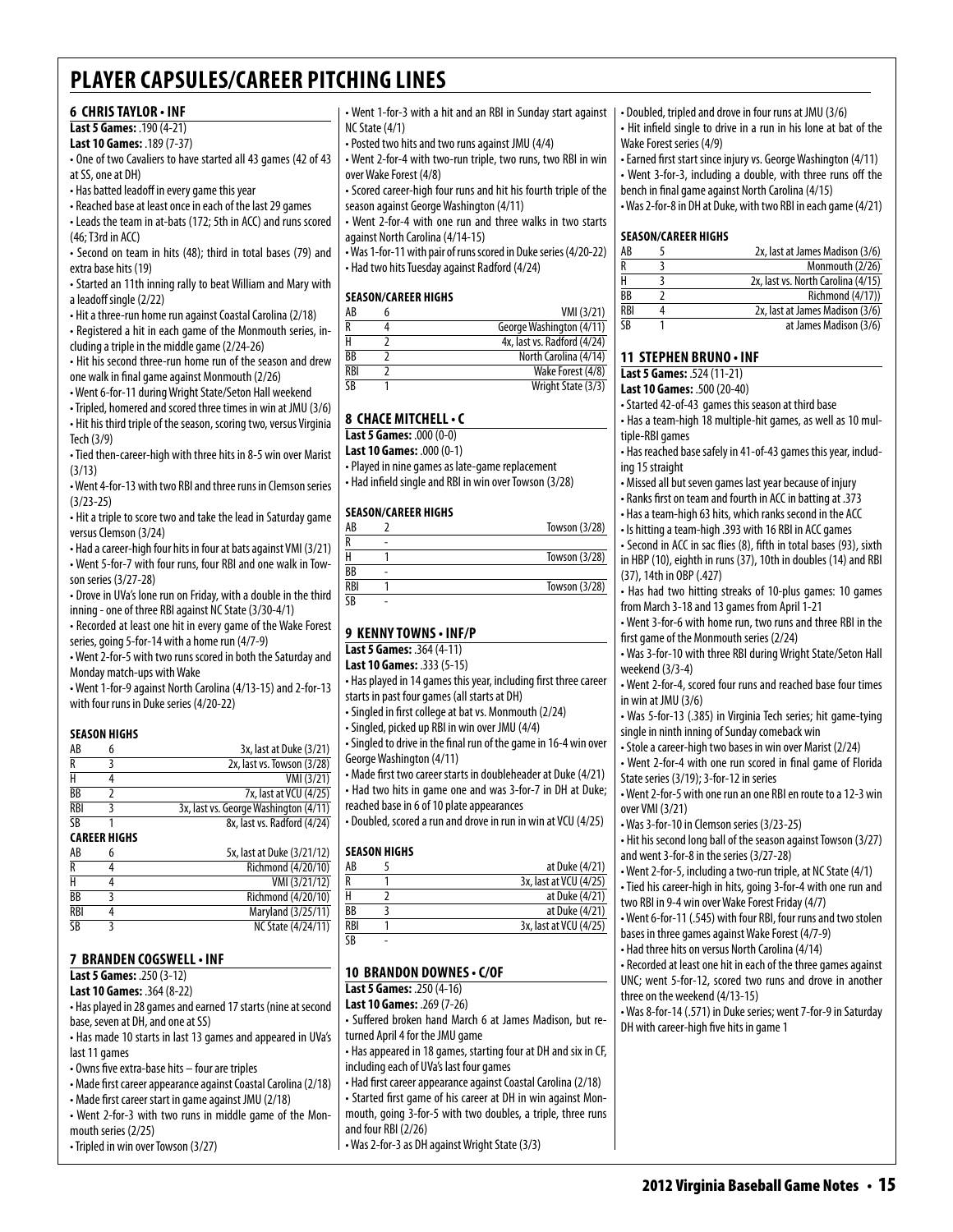#### **6 Chris Taylor • INF**

**Last 5 Games:** .190 (4-21)

**Last 10 Games:** .189 (7-37)

• One of two Cavaliers to have started all 43 games (42 of 43 at SS, one at DH)

• Has batted leadoff in every game this year

• Reached base at least once in each of the last 29 games

• Leads the team in at-bats (172; 5th in ACC) and runs scored (46; T3rd in ACC)

• Second on team in hits (48); third in total bases (79) and extra base hits (19)

• Started an 11th inning rally to beat William and Mary with a leadoff single (2/22)

• Hit a three-run home run against Coastal Carolina (2/18) • Registered a hit in each game of the Monmouth series, in-

cluding a triple in the middle game (2/24-26) • Hit his second three-run home run of the season and drew one walk in final game against Monmouth (2/26)

• Went 6-for-11 during Wright State/Seton Hall weekend

• Tripled, homered and scored three times in win at JMU (3/6) • Hit his third triple of the season, scoring two, versus Virginia

Tech (3/9) • Tied then-career-high with three hits in 8-5 win over Marist

(3/13)

• Went 4-for-13 with two RBI and three runs in Clemson series (3/23-25)

• Hit a triple to score two and take the lead in Saturday game versus Clemson (3/24)

• Had a career-high four hits in four at bats against VMI (3/21) • Went 5-for-7 with four runs, four RBI and one walk in Towson series (3/27-28)

• Drove in UVa's lone run on Friday, with a double in the third inning - one of three RBI against NC State (3/30-4/1)

• Recorded at least one hit in every game of the Wake Forest series, going 5-for-14 with a home run (4/7-9)

• Went 2-for-5 with two runs scored in both the Saturday and Monday match-ups with Wake

• Went 1-for-9 against North Carolina (4/13-15) and 2-for-13 with four runs in Duke series (4/20-22)

#### **Season Highs**

| AB         | 3x, last at Duke (3/21)               |
|------------|---------------------------------------|
| R          | 2x, last vs. Towson (3/28)            |
| Н          | VMI (3/21)                            |
| BB         | 7x, last at VCU (4/25)                |
| <b>RBI</b> | 3x, last vs. George Washington (4/11) |
| SB         | 8x, last vs. Radford (4/24)           |

**Career Highs**

| AB         | n | 5x, last at Duke (3/21/12) |
|------------|---|----------------------------|
| R          |   | Richmond (4/20/10)         |
| н          |   | VMI (3/21/12)              |
| BB         |   | Richmond (4/20/10)         |
| <b>RBI</b> |   | Maryland (3/25/11)         |
| SB         |   | NC State (4/24/11)         |

#### **7 Branden Cogswell• INF**

**Last 5 Games:** .250 (3-12)

**Last 10 Games:** .364 (8-22)

• Has played in 28 games and earned 17 starts (nine at second base, seven at DH, and one at SS)

• Has made 10 starts in last 13 games and appeared in UVa's last 11 games

• Owns five extra-base hits – four are triples

• Made first career appearance against Coastal Carolina (2/18)

• Made first career start in game against JMU (2/18)

• Went 2-for-3 with two runs in middle game of the Monmouth series (2/25)

• Tripled in win over Towson (3/27)

• Went 1-for-3 with a hit and an RBI in Sunday start against NC State (4/1)

• Posted two hits and two runs against JMU (4/4)

• Went 2-for-4 with two-run triple, two runs, two RBI in win over Wake Forest (4/8)

• Scored career-high four runs and hit his fourth triple of the season against George Washington (4/11)

• Went 2-for-4 with one run and three walks in two starts against North Carolina (4/14-15)

• Was 1-for-11 with pair of runs scored in Duke series (4/20-22) • Had two hits Tuesday against Radford (4/24)

#### **Season/Career Highs**

| AB                      | VMI (3/21)                  |
|-------------------------|-----------------------------|
| R                       | George Washington (4/11)    |
|                         | 4x, last vs. Radford (4/24) |
| BB                      | North Carolina (4/14)       |
| RBI                     | Wake Forest (4/8)           |
| $\overline{\textsf{S}}$ | Wright State (3/3)          |
|                         |                             |

#### **8 chace mitchell• c**

**Last 5 Games:** .000 (0-0)

**Last 10 Games:** .000 (0-1)

• Played in nine games as late-game replacement • Had infield single and RBI in win over Towson (3/28)

#### **Season/career Highs**

| AB  |   | Towson (3/28) |
|-----|---|---------------|
| R   |   |               |
|     |   | Towson (3/28) |
| ВB  | ۰ |               |
| RBI |   | Towson (3/28) |
| ٢R  | ۰ |               |
|     |   |               |

#### **9 Kenny towns • INF/P**

**Last 5 Games:** .364 (4-11)

**Last 10 Games:** .333 (5-15)

• Has played in 14 games this year, including first three career starts in past four games (all starts at DH)

• Singled in first college at bat vs. Monmouth (2/24)

• Singled, picked up RBI in win over JMU (4/4)

• Singled to drive in the final run of the game in 16-4 win over George Washington (4/11)

• Made first two career starts in doubleheader at Duke (4/21) • Had two hits in game one and was 3-for-7 in DH at Duke; reached base in 6 of 10 plate appearances

• Doubled, scored a run and drove in run in win at VCU (4/25)

#### **Season Highs**

| AB                     | at Duke (4/21)         |
|------------------------|------------------------|
| R                      | 3x, last at VCU (4/25) |
|                        | at Duke (4/21)         |
| BB                     | at Duke (4/21)         |
| <b>RBI</b>             | 3x, last at VCU (4/25) |
| $\overline{\text{SB}}$ |                        |

#### **10 brandon downes • c/OF**

**Last 5 Games:** .250 (4-16)

**Last 10 Games:** .269 (7-26)

• Suffered broken hand March 6 at James Madison, but returned April 4 for the JMU game

• Has appeared in 18 games, starting four at DH and six in CF, including each of UVa's last four games

• Had first career appearance against Coastal Carolina (2/18) • Started first game of his career at DH in win against Monmouth, going 3-for-5 with two doubles, a triple, three runs and four RBI (2/26)

• Was 2-for-3 as DH against Wright State (3/3)

• Doubled, tripled and drove in four runs at JMU (3/6) • Hit infield single to drive in a run in his lone at bat of the Wake Forest series (4/9)

• Earned first start since injury vs. George Washington (4/11) • Went 3-for-3, including a double, with three runs off the bench in final game against North Carolina (4/15)

• Was 2-for-8 in DH at Duke, with two RBI in each game (4/21)

#### **Season/Career Highs**

| AB                   | 2x, last at James Madison (3/6)    |
|----------------------|------------------------------------|
| R                    | Monmouth (2/26)                    |
| н                    | 2x, last vs. North Carolina (4/15) |
| <b>B<sub>R</sub></b> | <b>Richmond (4/17))</b>            |
| RBI                  | 2x, last at James Madison (3/6)    |
| <b>SR</b>            | at James Madison (3/6)             |

#### **11 Stephen Bruno • INF**

**Last 5 Games:** .524 (11-21)

#### **Last 10 Games:** .500 (20-40)

• Started 42-of-43 games this season at third base

• Has a team-high 18 multiple-hit games, as well as 10 multiple-RBI games

• Has reached base safely in 41-of-43 games this year, including 15 straight

• Missed all but seven games last year because of injury

• Ranks first on team and fourth in ACC in batting at .373

• Has a team-high 63 hits, which ranks second in the ACC

• Is hitting a team-high .393 with 16 RBI in ACC games

• Second in ACC in sac flies (8), fifth in total bases (93), sixth in HBP (10), eighth in runs (37), 10th in doubles (14) and RBI (37), 14th in OBP (.427)

• Has had two hitting streaks of 10-plus games: 10 games from March 3-18 and 13 games from April 1-21

• Went 3-for-6 with home run, two runs and three RBI in the first game of the Monmouth series (2/24)

• Was 3-for-10 with three RBI during Wright State/Seton Hall weekend (3/3-4)

• Went 2-for-4, scored four runs and reached base four times in win at JMU (3/6)

• Was 5-for-13 (.385) in Virginia Tech series; hit game-tying single in ninth inning of Sunday comeback win

• Stole a career-high two bases in win over Marist (2/24)

• Went 2-for-4 with one run scored in final game of Florida State series (3/19); 3-for-12 in series

• Went 2-for-5 with one run an one RBI en route to a 12-3 win over VMI (3/21)

• Was 3-for-10 in Clemson series (3/23-25)

• Hit his second long ball of the season against Towson (3/27) and went 3-for-8 in the series (3/27-28)

• Went 2-for-5, including a two-run triple, at NC State (4/1)

• Tied his career-high in hits, going 3-for-4 with one run and two RBI in 9-4 win over Wake Forest Friday (4/7)

• Went 6-for-11 (.545) with four RBI, four runs and two stolen bases in three games against Wake Forest (4/7-9)

• Had three hits on versus North Carolina (4/14)

DH with career-high five hits in game 1

• Recorded at least one hit in each of the three games against UNC; went 5-for-12, scored two runs and drove in another three on the weekend (4/13-15) • Was 8-for-14 (.571) in Duke series; went 7-for-9 in Saturday

2012 Virginia Baseball Game Notes • 15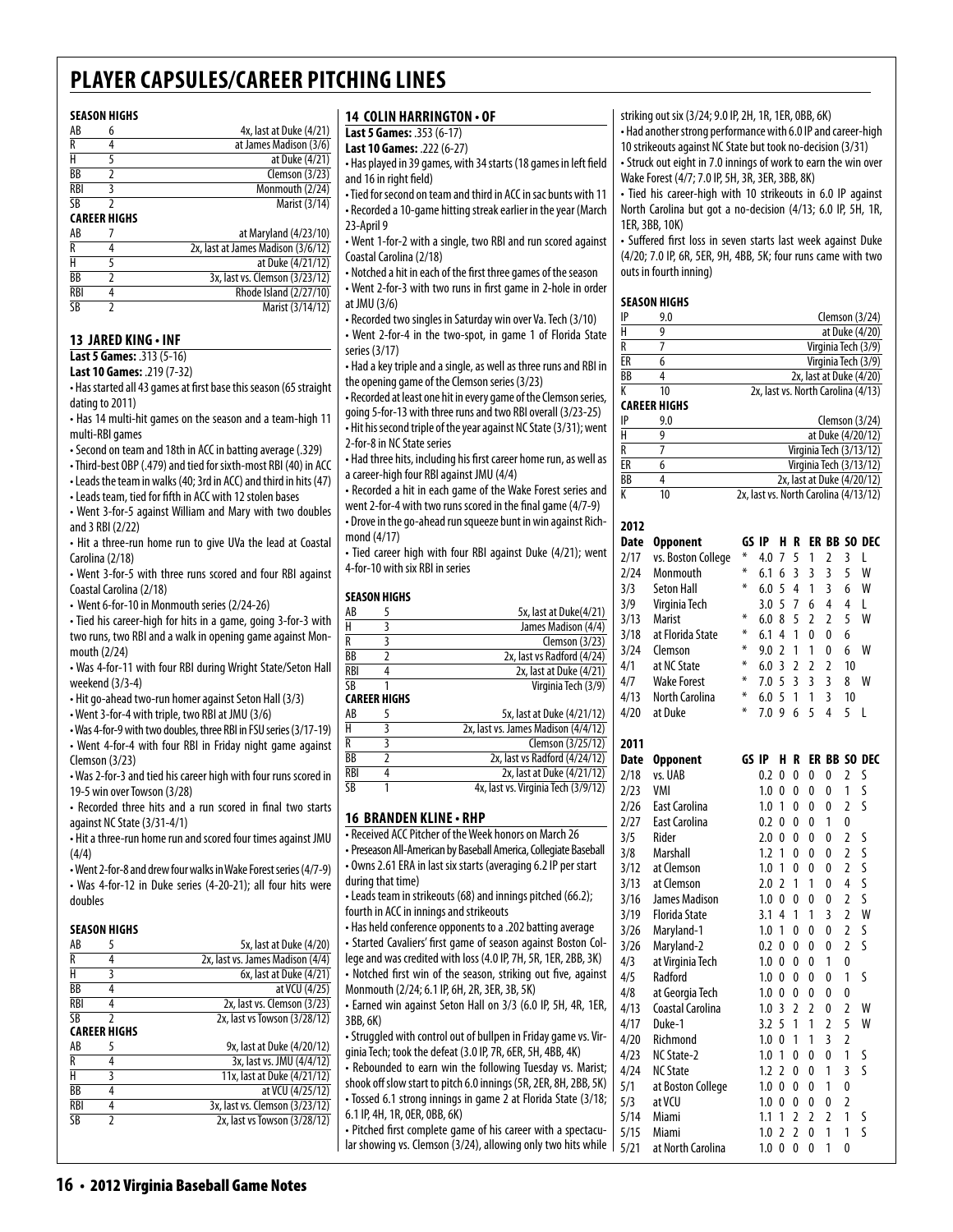Marist (3/14/12)

#### **Season Highs**

| AB  | 6                   | 4x, last at Duke (4/21)            |
|-----|---------------------|------------------------------------|
| R   | 4                   | at James Madison (3/6)             |
| н   | 5                   | at Duke (4/21)                     |
| ВB  | 2                   | Clemson $(3/23)$                   |
| RBI | 3                   | Monmouth (2/24)                    |
| SB  | 2                   | Marist (3/14)                      |
|     | <b>CAREER HIGHS</b> |                                    |
| AB  |                     | at Maryland (4/23/10)              |
| R   | 4                   | 2x, last at James Madison (3/6/12) |
| н   | 5                   | at Duke (4/21/12)                  |
| ВB  | 2                   | 3x, last vs. Clemson (3/23/12)     |
| RBI | 4                   | Rhode Island (2/27/10)             |
| SB  |                     | Marist (3/14/12)                   |

#### **13 Jared King • INF**

**Last 5 Games:** .313 (5-16) **Last 10 Games:** .219 (7-32)

• Has started all 43 games at first base this season (65 straight dating to 2011)

• Has 14 multi-hit games on the season and a team-high 11 multi-RBI games

• Second on team and 18th in ACC in batting average (.329)

• Third-best OBP (.479) and tied for sixth-most RBI (40) in ACC

• Leads the team in walks (40; 3rd in ACC) and third in hits (47)

• Leads team, tied for fifth in ACC with 12 stolen bases

• Went 3-for-5 against William and Mary with two doubles and 3 RBI (2/22)

• Hit a three-run home run to give UVa the lead at Coastal Carolina (2/18)

• Went 3-for-5 with three runs scored and four RBI against Coastal Carolina (2/18)

• Went 6-for-10 in Monmouth series (2/24-26)

• Tied his career-high for hits in a game, going 3-for-3 with two runs, two RBI and a walk in opening game against Monmouth (2/24)

• Was 4-for-11 with four RBI during Wright State/Seton Hall weekend (3/3-4)

• Hit go-ahead two-run homer against Seton Hall (3/3)

• Went 3-for-4 with triple, two RBI at JMU (3/6)

• Was 4-for-9 with two doubles, three RBI in FSU series (3/17-19) • Went 4-for-4 with four RBI in Friday night game against Clemson (3/23)

• Was 2-for-3 and tied his career high with four runs scored in 19-5 win over Towson (3/28)

• Recorded three hits and a run scored in final two starts against NC State (3/31-4/1)

• Hit a three-run home run and scored four times against JMU (4/4)

• Went 2-for-8 and drew four walks in Wake Forest series (4/7-9) • Was 4-for-12 in Duke series (4-20-21); all four hits were doubles

#### **season Highs**

| AB         |                     | 5x, last at Duke (4/20)          |
|------------|---------------------|----------------------------------|
| R          | 4                   | 2x, last vs. James Madison (4/4) |
| Н          | ξ                   | 6x, last at Duke (4/21)          |
| ВB         |                     | at VCU (4/25)                    |
| RBI        | 4                   | 2x, last vs. Clemson (3/23)      |
| SΒ         | $\mathfrak z$       | 2x, last vs Towson (3/28/12)     |
|            | <b>CAREER HIGHS</b> |                                  |
|            |                     |                                  |
| AB         | 5                   | 9x, last at Duke (4/20/12)       |
| R          |                     | 3x, last vs. JMU (4/4/12)        |
| Н          | 3                   | 11x, last at Duke (4/21/12)      |
| ВB         | 4                   | at VCU (4/25/12)                 |
| <b>RBI</b> |                     | 3x, last vs. Clemson (3/23/12)   |
| SΒ         |                     | 2x, last vs Towson (3/28/12)     |

#### **14 Colin Harrington • OF**

**Last 5 Games:** .353 (6-17)

**Last 10 Games:** .222 (6-27)

• Has played in 39 games, with 34 starts (18 games in left field and 16 in right field)

• Tied for second on team and third in ACC in sac bunts with 11 • Recorded a 10-game hitting streak earlier in the year (March 23-April 9

• Went 1-for-2 with a single, two RBI and run scored against Coastal Carolina (2/18)

• Notched a hit in each of the first three games of the season • Went 2-for-3 with two runs in first game in 2-hole in order at JMU (3/6)

• Recorded two singles in Saturday win over Va. Tech (3/10) • Went 2-for-4 in the two-spot, in game 1 of Florida State series (3/17)

• Had a key triple and a single, as well as three runs and RBI in the opening game of the Clemson series (3/23)

• Recorded at least one hit in every game of the Clemson series, going 5-for-13 with three runs and two RBI overall (3/23-25)

• Hit his second triple of the year against NC State (3/31); went 2-for-8 in NC State series

• Had three hits, including his first career home run, as well as a career-high four RBI against JMU (4/4)

• Recorded a hit in each game of the Wake Forest series and

went 2-for-4 with two runs scored in the final game (4/7-9) • Drove in the go-ahead run squeeze bunt in win against Richmond (4/17)

• Tied career high with four RBI against Duke (4/21); went 4-for-10 with six RBI in series

#### **SEASON HIGHS**

| AB              |                     | 5x, last at Duke(4/21)     |
|-----------------|---------------------|----------------------------|
| $\overline{H}$  |                     | James Madison (4/4)        |
| R               |                     | Clemson $(3/23)$           |
| BB              |                     | 2x, last vs Radford (4/24) |
| <b>RBI</b>      |                     | 2x, last at Duke (4/21)    |
| $\overline{SB}$ |                     | Virginia Tech (3/9)        |
|                 | <b>CARFFR HIGHS</b> |                            |

| AB  | 5x, last at Duke (4/21/12)          |
|-----|-------------------------------------|
| Н   | 2x, last vs. James Madison (4/4/12) |
| R   | Clemson (3/25/12)                   |
| ВB  | 2x, last vs Radford (4/24/12)       |
| RBI | 2x, last at Duke (4/21/12)          |
| SB  | 4x, last vs. Virginia Tech (3/9/12) |
|     |                                     |

#### **16 branden kline• RHP**

• Received ACC Pitcher of the Week honors on March 26 • Preseason All-American by Baseball America, Collegiate Baseball • Owns 2.61 ERA in last six starts (averaging 6.2 IP per start during that time) • Leads team in strikeouts (68) and innings pitched (66.2); fourth in ACC in innings and strikeouts • Has held conference opponents to a .202 batting average • Started Cavaliers' first game of season against Boston College and was credited with loss (4.0 IP, 7H, 5R, 1ER, 2BB, 3K) • Notched first win of the season, striking out five, against Monmouth (2/24; 6.1 IP, 6H, 2R, 3ER, 3B, 5K) • Earned win against Seton Hall on 3/3 (6.0 IP, 5H, 4R, 1ER, 3BB, 6K) • Struggled with control out of bullpen in Friday game vs. Virginia Tech; took the defeat (3.0 IP, 7R, 6ER, 5H, 4BB, 4K) • Rebounded to earn win the following Tuesday vs. Marist; shook off slow start to pitch 6.0 innings (5R, 2ER, 8H, 2BB, 5K) • Tossed 6.1 strong innings in game 2 at Florida State (3/18;

6.1 IP, 4H, 1R, 0ER, 0BB, 6K)

• Pitched first complete game of his career with a spectacular showing vs. Clemson (3/24), allowing only two hits while striking out six (3/24; 9.0 IP, 2H, 1R, 1ER, 0BB, 6K)

• Had another strong performance with 6.0 IP and career-high 10 strikeouts against NC State but took no-decision (3/31) • Struck out eight in 7.0 innings of work to earn the win over

Wake Forest (4/7; 7.0 IP, 5H, 3R, 3ER, 3BB, 8K)

• Tied his career-high with 10 strikeouts in 6.0 IP against North Carolina but got a no-decision (4/13; 6.0 IP, 5H, 1R, 1ER, 3BB, 10K)

• Suffered first loss in seven starts last week against Duke (4/20; 7.0 IP, 6R, 5ER, 9H, 4BB, 5K; four runs came with two outs in fourth inning)

#### **Season Highs**

| IP | 9.0 | Clemson $(3/24)$                   |
|----|-----|------------------------------------|
| H  |     | at Duke (4/20)                     |
| R  |     | Virginia Tech (3/9)                |
| ER |     | Virginia Tech (3/9)                |
| ВB |     | 2x, last at Duke (4/20)            |
| K  | 10  | 2x, last vs. North Carolina (4/13) |
|    |     |                                    |

**Career Highs** 

| IP | 9.0 | Clemson (3/24)                        |
|----|-----|---------------------------------------|
| Н  |     | at Duke (4/20/12)                     |
| R  |     | Virginia Tech (3/13/12)               |
| ЕR |     | Virginia Tech (3/13/12)               |
| ВB |     | 2x, last at Duke (4/20/12)            |
| K  | 10  | 2x, last vs. North Carolina (4/13/12) |

| 2012        |                       |       |     |                |                |                |                         |                |              |
|-------------|-----------------------|-------|-----|----------------|----------------|----------------|-------------------------|----------------|--------------|
| Date        | <b>Opponent</b>       | GS IP |     | н              | R              |                |                         |                | ER BB SO DEC |
| 2/17        | vs. Boston College    | ∗     | 4.0 | 7              | 5              | 1              | $\overline{2}$          | 3              | L            |
| 2/24        | Monmouth              | ∗     | 6.1 | 6              | 3              | 3              | 3                       | 5              | W            |
| 3/3         | <b>Seton Hall</b>     | ¥     | 6.0 | 5              | $\overline{4}$ | 1              | $\overline{\mathbf{3}}$ | 6              | W            |
| 3/9         | Virginia Tech         |       | 3.0 | 5              | $\overline{7}$ | 6              | $\overline{4}$          | 4              | L            |
| 3/13        | <b>Marist</b>         | ⋇     | 6.0 | 8              | 5              | 2              | $\overline{2}$          | 5              | W            |
| 3/18        | at Florida State      | ¥     | 6.1 | 4              | 1              | 0              | 0                       | 6              |              |
| 3/24        | Clemson               | ⋇     | 9.0 | $\overline{2}$ | 1              | 1              | 0                       | 6              | W            |
| 4/1         | at NC State           | ⋇     | 6.0 | $\overline{3}$ | $\overline{2}$ | $\overline{2}$ | $\overline{2}$          | 10             |              |
| 4/7         | <b>Wake Forest</b>    | ∗     | 7.0 | 5              | $\overline{3}$ | 3              | 3                       | 8              | W            |
| 4/13        | <b>North Carolina</b> | ¥     | 6.0 | 5              | $\mathbf{1}$   | 1              | 3                       | 10             |              |
| 4/20        | at Duke               | ⋇     | 7.0 | 9              | 6              | 5              | 4                       | 5              | L            |
| 2011        |                       |       |     |                |                |                |                         |                |              |
| <b>Date</b> | <b>Opponent</b>       | GS IP |     | H              | R              |                |                         |                | ER BB SO DEC |
| 2/18        | vs. UAB               |       | 0.2 | 0              | 0              | 0              | 0                       | $\overline{2}$ | S            |
| 2/23        | VMI                   |       | 1.0 | 0              | 0              | 0              | $\mathbf{0}$            | 1              | S            |
| 2/26        | <b>East Carolina</b>  |       | 1.0 | 1              | 0              | 0              | 0                       | $\overline{2}$ | S            |
| 2/27        | <b>East Carolina</b>  |       | 0.2 | 0              | 0              | 0              | 1                       | 0              |              |
| 3/5         | Rider                 |       | 2.0 | 0              | 0              | 0              | 0                       | $\overline{2}$ | S            |
| 3/8         | <b>Marshall</b>       |       | 1.2 | 1              | 0              | 0              | 0                       | $\overline{2}$ | S            |
| 3/12        | at Clemson            |       | 1.0 | 1              | 0              | 0              | 0                       | $\overline{2}$ | S            |
| 3/13        | at Clemson            |       | 2.0 | 2              | 1              | 1              | 0                       | 4              | S            |
| 3/16        | James Madison         |       | 1.0 | 0              | $\mathbf{0}$   | 0              | $\mathbf{0}$            | $\overline{2}$ | S            |
| 3/19        | <b>Florida State</b>  |       | 3.1 | 4              | 1              | 1              | 3                       | $\overline{2}$ | W            |
| 3/26        | Maryland-1            |       | 1.0 | 1              | 0              | 0              | 0                       | $\overline{2}$ | S            |
| 3/26        | Maryland-2            |       | 0.2 | 0              | 0              | 0              | 0                       | $\overline{2}$ | S            |
| 4/3         | at Virginia Tech      |       | 1.0 | 0              | 0              | 0              | 1                       | 0              |              |
| 4/5         | Radford               |       | 1.0 | 0              | 0              | 0              | 0                       | 1              | S            |
| 4/8         | at Georgia Tech       |       | 1.0 | 0              | 0              | 0              | 0                       | 0              |              |
| 4/13        | Coastal Carolina      |       | 1.0 | $\overline{3}$ | $\overline{2}$ | $\overline{2}$ | $\mathbf{0}$            | $\overline{2}$ | W            |
| 4/17        | Duke-1                |       | 3.2 | 5              | 1              | 1              | $\overline{2}$          | 5              | W            |
| 4/20        | Richmond              |       | 1.0 | 0              | 1              | 1              | 3                       | $\overline{2}$ |              |
| 4/23        | NC State-2            |       | 1.0 | 1              | 0              | $\mathbf{0}$   | $\mathbf{0}$            | 1              | S            |
| 4/24        | <b>NC State</b>       |       | 1.2 | $\overline{2}$ | 0              | 0              | 1                       | 3              | S            |
| 5/1         | at Boston College     |       | 1.0 | 0              | 0              | 0              | 1                       | $\mathbf{0}$   |              |
| 5/3         | at VCU                |       | 1.0 | $\Omega$       | 0              | 0              | 0                       | $\overline{2}$ |              |
| 5/14        | Miami                 |       | 1.1 | 1              | $\overline{2}$ | $\overline{2}$ | $\overline{2}$          | 1              | S            |
| 5/15        | Miami                 |       | 1.0 | 2              | 2              | 0              | 1                       | 1              | Ś            |
| 5/21        | at North Carolina     |       | 1.0 | 0              | 0              | 0              | 1                       | 0              |              |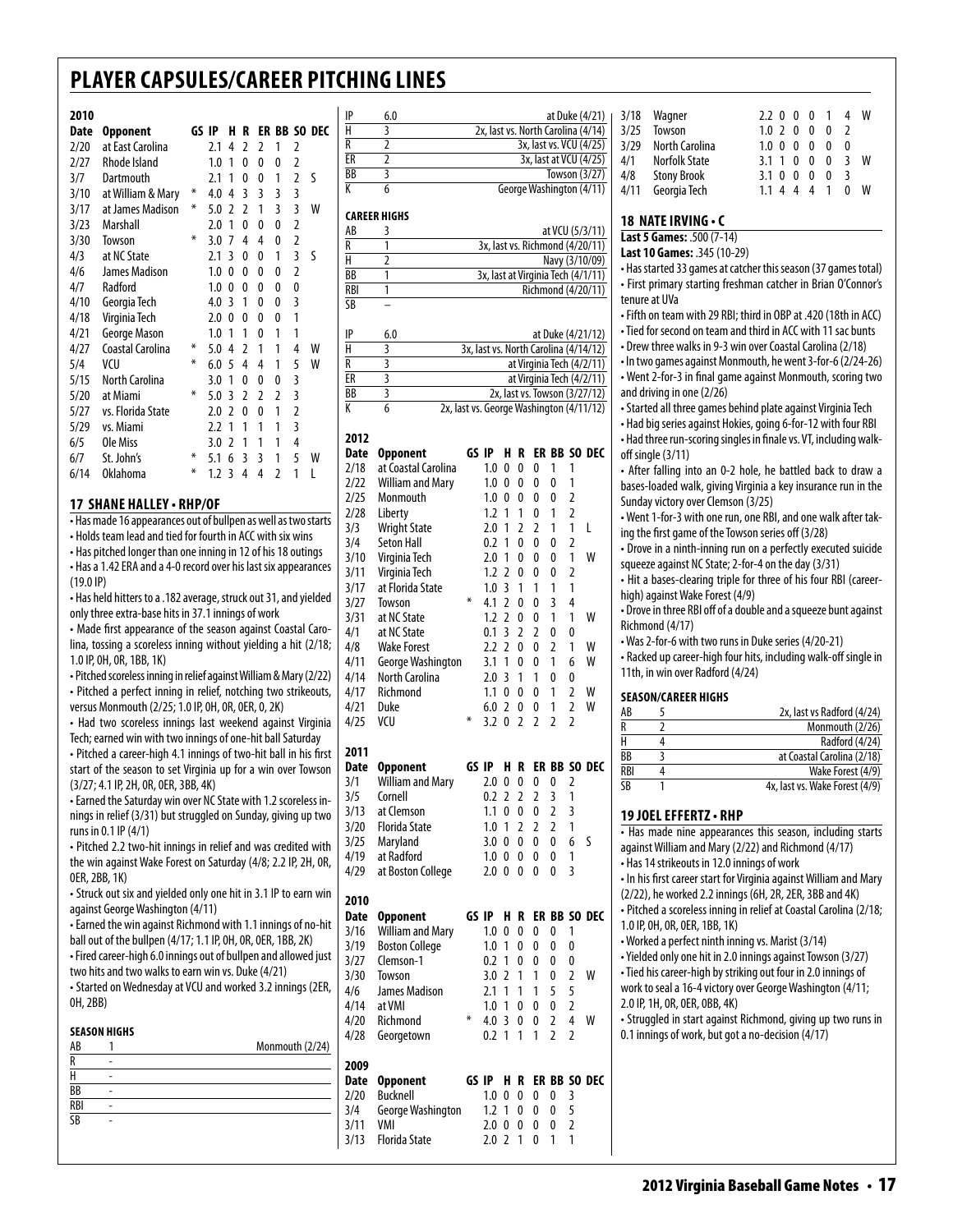#### **2010**

| ZU I U |                   |       |     |               |                |   |                |                |              |
|--------|-------------------|-------|-----|---------------|----------------|---|----------------|----------------|--------------|
| Date   | <b>Opponent</b>   | GS IP |     | н             | R              |   |                |                | ER BB SO DEC |
| 2/20   | at East Carolina  |       | 2.1 | 4             | $\overline{2}$ | 2 | 1              | 2              |              |
| 2/27   | Rhode Island      |       | 1.0 | 1             | 0              | 0 | 0              | 2              |              |
| 3/7    | Dartmouth         |       | 2.1 | 1             | 0              | 0 | 1              | $\overline{2}$ | S            |
| 3/10   | at William & Mary | ⋇     | 4.0 | 4             | 3              | 3 | 3              | 3              |              |
| 3/17   | at James Madison  | ∗     | 5.0 | $\mathfrak z$ | $\overline{2}$ | 1 | 3              | 3              | W            |
| 3/23   | Marshall          |       | 2.0 | 1             | 0              | 0 | 0              | 2              |              |
| 3/30   | Towson            | ⋇     | 3.0 | 7             | 4              | 4 | 0              | $\overline{2}$ |              |
| 4/3    | at NC State       |       | 2.1 | 3             | 0              | 0 | 1              | 3              | S            |
| 4/6    | James Madison     |       | 1.0 | 0             | 0              | 0 | 0              | 2              |              |
| 4/7    | Radford           |       | 1.0 | 0             | 0              | 0 | 0              | 0              |              |
| 4/10   | Georgia Tech      |       | 4.0 | 3             | 1              | 0 | 0              | 3              |              |
| 4/18   | Virginia Tech     |       | 2.0 | 0             | 0              | 0 | 0              | 1              |              |
| 4/21   | George Mason      |       | 1.0 | 1             | 1              | 0 | 1              | 1              |              |
| 4/27   | Coastal Carolina  | ∗     | 5.0 | 4             | 2              | 1 | 1              | 4              | W            |
| 5/4    | VCU               | ∗     | 6.0 | 5             | 4              | 4 | 1              | 5              | W            |
| 5/15   | North Carolina    |       | 3.0 | 1             | 0              | 0 | 0              | 3              |              |
| 5/20   | at Miami          | ⋇     | 5.0 | 3             | 2              | 2 | 2              | 3              |              |
| 5/27   | vs. Florida State |       | 2.0 | 2             | 0              | 0 | 1              | $\overline{2}$ |              |
| 5/29   | vs. Miami         |       | 2.2 | 1             | 1              | 1 | 1              | 3              |              |
| 6/5    | Ole Miss          |       | 3.0 | 2             | 1              | 1 | 1              | 4              |              |
| 6/7    | St. John's        | ⋇     | 5.1 | 6             | 3              | 3 | 1              | 5              | W            |
| 6/14   | <b>Oklahoma</b>   | ∗     | 1.2 | 3             | 4              | 4 | $\overline{2}$ | 1              | L            |
|        |                   |       |     |               |                |   |                |                |              |

#### **17 shane halley • RHP/OF**

• Has made 16 appearances out of bullpen as well as two starts • Holds team lead and tied for fourth in ACC with six wins • Has pitched longer than one inning in 12 of his 18 outings • Has a 1.42 ERA and a 4-0 record over his last six appearances (19.0 IP) • Has held hitters to a .182 average, struck out 31, and yielded

only three extra-base hits in 37.1 innings of work • Made first appearance of the season against Coastal Carolina, tossing a scoreless inning without yielding a hit (2/18;

1.0 IP, 0H, 0R, 1BB, 1K) • Pitched scoreless inning in relief against William & Mary (2/22)

• Pitched a perfect inning in relief, notching two strikeouts, versus Monmouth (2/25; 1.0 IP, 0H, 0R, 0ER, 0, 2K)

• Had two scoreless innings last weekend against Virginia Tech; earned win with two innings of one-hit ball Saturday

• Pitched a career-high 4.1 innings of two-hit ball in his first start of the season to set Virginia up for a win over Towson (3/27; 4.1 IP, 2H, 0R, 0ER, 3BB, 4K) **2011**

• Earned the Saturday win over NC State with 1.2 scoreless innings in relief (3/31) but struggled on Sunday, giving up two runs in 0.1 IP (4/1)

• Pitched 2.2 two-hit innings in relief and was credited with the win against Wake Forest on Saturday (4/8; 2.2 IP, 2H, 0R, 0ER, 2BB, 1K)

• Struck out six and yielded only one hit in 3.1 IP to earn win against George Washington (4/11)

• Earned the win against Richmond with 1.1 innings of no-hit ball out of the bullpen (4/17; 1.1 IP, 0H, 0R, 0ER, 1BB, 2K) • Fired career-high 6.0 innings out of bullpen and allowed just

two hits and two walks to earn win vs. Duke (4/21) • Started on Wednesday at VCU and worked 3.2 innings (2ER, 0H, 2BB)

#### **Season Highs**

| AB         |   | .<br>Monmouth (2/24) | -----------          | $\cdots$         |  |             |                   |                          |
|------------|---|----------------------|----------------------|------------------|--|-------------|-------------------|--------------------------|
| R          | ٠ | 2009                 |                      |                  |  |             |                   |                          |
| H          | ۰ |                      | Date Opponent        |                  |  |             | GS IP H R ER BB S |                          |
| <b>BB</b>  | ۰ | 2/20                 | Bucknell             |                  |  | 1.0 0 0 0 0 |                   | $\overline{\phantom{a}}$ |
| <b>RBI</b> | ۰ | 3/4                  | George Washington    | $1.2$ 1 0 0 0    |  |             |                   | - 5                      |
| <b>SB</b>  | ۰ | 3/11                 | <b>VMI</b>           | 2.0 0 0 0        |  |             | $\overline{0}$    | $\overline{2}$           |
|            |   | 3/13                 | <b>Florida State</b> | 2.0 <sub>2</sub> |  |             |                   |                          |

| IP | 6.0 | at Duke (4/21)                     |
|----|-----|------------------------------------|
| Н  |     | 2x, last vs. North Carolina (4/14) |
| R  |     | 3x, last vs. VCU (4/25)            |
| ER |     | 3x, last at VCU (4/25)             |
| ВB |     | Towson (3/27)                      |
| K  |     | George Washington (4/11)           |
|    |     |                                    |

#### **Career Highs**

| AB              | at VCU (5/3/11)                    |
|-----------------|------------------------------------|
| R               | 3x, last vs. Richmond (4/20/11)    |
| н               | Navy (3/10/09)                     |
| $\overline{BB}$ | 3x, last at Virginia Tech (4/1/11) |
| <b>RBI</b>      | Richmond (4/20/11)                 |
| SΒ              |                                    |

| IP | 6.0 | at Duke (4/21/12)                        |
|----|-----|------------------------------------------|
| н  |     | 3x, last vs. North Carolina (4/14/12)    |
| R  |     | at Virginia Tech (4/2/11)                |
| ER |     | at Virginia Tech (4/2/11)                |
| BB |     | 2x, last vs. Towson (3/27/12)            |
| K  |     | 2x, last vs. George Washington (4/11/12) |

### **2012**

| <b>Date</b> | <b>Opponent</b>                      | GS IP |            | н              | R              |                | ER BB          |                | SO DEC |
|-------------|--------------------------------------|-------|------------|----------------|----------------|----------------|----------------|----------------|--------|
| 2/18        | at Coastal Carolina                  |       | 1.0        | 0              | 0              | 0              | 1              | 1              |        |
| 2/22        | <b>William and Mary</b>              |       | 1.0        | 0              | 0              | 0              | 0              | $\mathbf{1}$   |        |
| 2/25        | Monmouth                             |       | 1.0        | 0              | 0              | 0              | 0              | $\overline{2}$ |        |
| 2/28        | Liberty                              |       | 1.2        | 1              | 1              | $\mathbf{0}$   | 1              | $\overline{2}$ |        |
| 3/3         | <b>Wright State</b>                  |       | 2.0        | 1              | $\overline{2}$ | $\overline{2}$ | 1              | 1              | L      |
| 3/4         | <b>Seton Hall</b>                    |       | 0.2        | 1              | 0              | $\mathbf{0}$   | 0              | $\overline{2}$ |        |
| 3/10        | Virginia Tech                        |       | 2.0        | 1              | 0              | 0              | 0              | 1              | W      |
| 3/11        | Virginia Tech                        |       | 1.2        | $\overline{2}$ | 0              | 0              | 0              | $\overline{2}$ |        |
| 3/17        | at Florida State                     |       | 1.0        | 3              | 1              | 1              | 1              | 1              |        |
| 3/27        | Towson                               | ¥     | 4.1        | $\overline{2}$ | 0              | $\mathbf{0}$   | 3              | $\overline{4}$ |        |
| 3/31        | at NC State                          |       | 1.2        | $\overline{2}$ | 0              | 0              | 1              | 1              | w      |
| 4/1         | at NC State                          |       | 0.1        | $\overline{3}$ | 2              | $\overline{2}$ | 0              | 0              |        |
| 4/8         | <b>Wake Forest</b>                   |       | 2.2        | 2              | 0              | 0              | $\overline{2}$ | 1              | W      |
| 4/11        | George Washington                    |       | 3.1        | 1              | 0              | 0              | 1              | 6              | W      |
| 4/14        | North Carolina                       |       | 2.0        | 3              | 1              | 1              | $\mathbf{0}$   | 0              |        |
| 4/17        | Richmond                             |       | 1.1        | 0              | 0              | 0              | 1              | $\overline{2}$ | W      |
| 4/21        | Duke                                 |       | 6.0        | $\overline{2}$ | 0              | 0              | 1              | $\overline{2}$ | W      |
| 4/25        | VCU                                  | ⋇     | 3.2        | 0              | $\overline{2}$ | $\overline{2}$ | $\overline{2}$ | $\overline{2}$ |        |
| 2011        |                                      |       |            |                |                |                |                |                |        |
| Date        | <b>Opponent</b>                      | GS IP |            | H              | R              |                | ER BB          |                | SO DEC |
| 3/1         | William and Mary                     |       | 2.0        | 0              | 0              | 0              | 0              | $\overline{2}$ |        |
|             |                                      |       |            |                |                |                |                |                |        |
| 3/5         | Cornell                              |       | 0.2        | 2              | 2              | $\overline{2}$ | 3              | $\mathbf{1}$   |        |
| 3/13        | at Clemson                           |       | 1.1        | 0              | 0              | $\mathbf{0}$   | $\overline{2}$ | 3              |        |
| 3/20        | <b>Florida State</b>                 |       | 1.0        | 1              | $\overline{2}$ | $\overline{2}$ | $\overline{2}$ | 1              |        |
| 3/25        | Maryland                             |       | 3.0        | 0              | 0              | 0              | 0              | 6              | S      |
| 4/19        | at Radford                           |       | 1.0        | 0              | 0              | 0              | 0              | 1              |        |
| 4/29        | at Boston College                    |       | 2.0        | 0              | 0              | 0              | 0              | $\overline{3}$ |        |
| 2010        |                                      |       |            |                |                |                |                |                |        |
| Date        | <b>Opponent</b>                      | GS IP |            | H              | R              |                | ER BB          |                | SO DEC |
| 3/16        | <b>William and Mary</b>              |       | 1.0        | 0              | 0              | 0              | 0              | 1              |        |
| 3/19        | <b>Boston College</b>                |       | 1.0        | 1              | 0              | 0              | 0              | $\mathbf{0}$   |        |
| 3/27        | Clemson-1                            |       | 0.2        | 1              | 0              | 0              | 0              | 0              |        |
| 3/30        | Towson                               |       | 3.0        | $\overline{2}$ | 1              | 1              | 0              | $\overline{2}$ | W      |
| 4/6         | James Madison                        |       | 2.1        | 1              | 1              | 1              | 5              | 5              |        |
| 4/14        | at VMI                               |       | 1.0        | 1              | 0              | 0              | 0              | $\overline{2}$ |        |
| 4/20        | Richmond                             | ∗     | 4.0        | $\overline{3}$ | 0              | 0              | $\overline{2}$ | 4              | W      |
| 4/28        | Georgetown                           |       | 0.2        | 1              | 1              | 1              | $\overline{2}$ | $\overline{2}$ |        |
| 2009        |                                      |       |            |                |                |                |                |                |        |
| Date        | <b>Opponent</b>                      | GS IP |            | н              | R              | ER             | BB             |                | SO DEC |
| 2/20<br>3/4 | <b>Bucknell</b><br>George Washington |       | 1.0<br>1.2 | 0<br>1         | 0<br>0         | 0<br>0         | 0<br>0         | 3<br>5         |        |

|      | 3/18 Wagner        | 2.2 0 0 0 1 4   |     |                   |              |     | W |
|------|--------------------|-----------------|-----|-------------------|--------------|-----|---|
| 3/25 | Towson             | 1.0 2 0 0       |     |                   | $\mathbf{0}$ |     |   |
| 3/29 | North Carolina     | $1.0 \Omega$    | - 0 | $\cdot$ 0 $\cdot$ | <sup>0</sup> | 0   |   |
| 4/1  | Norfolk State      | $3.1 \; 1 \; 0$ |     | $\mathbf{0}$      | $\Omega$     | 3 W |   |
| 4/8  | <b>Stony Brook</b> | $3.1 \t0 \t0$   |     | $\Omega$          | 0            | ्र  |   |
| 4/11 | Georgia Tech       | 114             | 4   | 4                 |              |     | w |

#### **18 nateirving • c**

**Last 5 Games:** .500 (7-14)

**Last 10 Games:** .345 (10-29)

- Has started 33 games at catcher this season (37 games total) • First primary starting freshman catcher in Brian O'Connor's tenure at UVa
- Fifth on team with 29 RBI; third in OBP at .420 (18th in ACC) • Tied for second on team and third in ACC with 11 sac bunts
- Drew three walks in 9-3 win over Coastal Carolina (2/18)

• In two games against Monmouth, he went 3-for-6 (2/24-26) • Went 2-for-3 in final game against Monmouth, scoring two and driving in one (2/26)

• Started all three games behind plate against Virginia Tech

• Had big series against Hokies, going 6-for-12 with four RBI • Had three run-scoring singles in finale vs. VT, including walkoff single (3/11)

• After falling into an 0-2 hole, he battled back to draw a bases-loaded walk, giving Virginia a key insurance run in the Sunday victory over Clemson (3/25)

• Went 1-for-3 with one run, one RBI, and one walk after taking the first game of the Towson series off (3/28)

• Drove in a ninth-inning run on a perfectly executed suicide squeeze against NC State; 2-for-4 on the day (3/31)

• Hit a bases-clearing triple for three of his four RBI (careerhigh) against Wake Forest (4/9)

• Drove in three RBI off of a double and a squeeze bunt against Richmond (4/17)

• Was 2-for-6 with two runs in Duke series (4/20-21)

• Racked up career-high four hits, including walk-off single in 11th, in win over Radford (4/24)

#### **Season/career Highs**

| AB  | 2x, last vs Radford (4/24)     |
|-----|--------------------------------|
| R   | Monmouth (2/26)                |
| Н   | Radford (4/24)                 |
| ВB  | at Coastal Carolina (2/18)     |
| RBI | Wake Forest (4/9)              |
| SB  | 4x, last vs. Wake Forest (4/9) |

#### **19 Joel Effertz• RHP**

| • Has made nine appearances this season, including starts         |
|-------------------------------------------------------------------|
| against William and Mary (2/22) and Richmond (4/17)               |
| • Has 14 strikeouts in 12.0 innings of work                       |
| • In his first career start for Virginia against William and Mary |
| (2/22), he worked 2.2 innings (6H, 2R, 2ER, 3BB and 4K)           |
| . Pitched a scoreless inning in relief at Coastal Carolina (2/18; |
| 1.0 IP, OH, OR, OER, 1BB, 1K)                                     |
| • Worked a perfect ninth inning vs. Marist (3/14)                 |
| • Yielded only one hit in 2.0 innings against Towson (3/27)       |
| • Tied his career-high by striking out four in 2.0 innings of     |
| work to seal a 16-4 victory over George Washington (4/11;         |
| 2.0 IP, 1H, OR, OER, OBB, 4K)                                     |
| • Struggled in start against Richmond, giving up two runs in      |
| 0.1 innings of work, but got a no-decision (4/17)                 |
|                                                                   |
|                                                                   |
|                                                                   |
|                                                                   |
|                                                                   |
|                                                                   |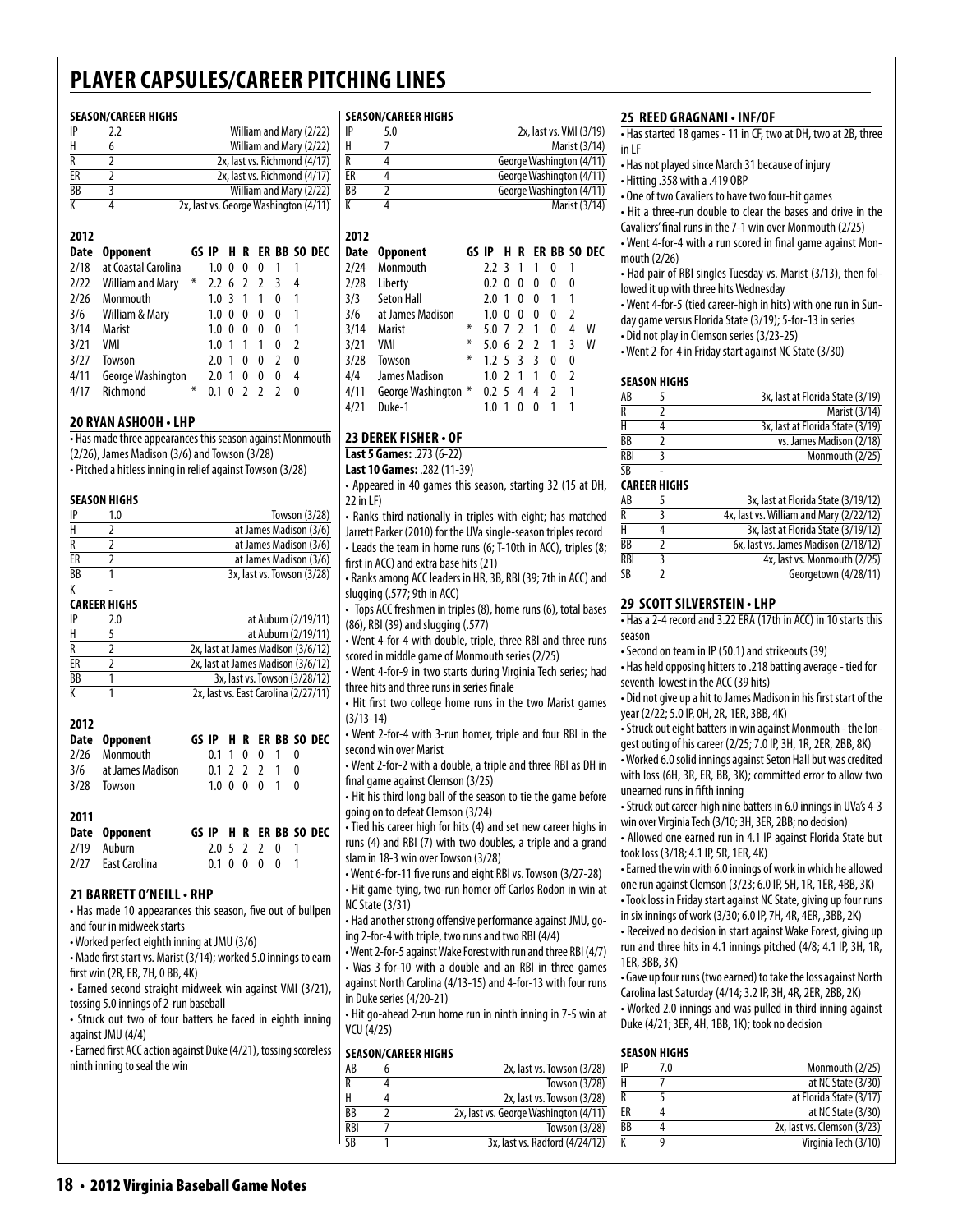#### **Season/career Highs**

| 2012<br>R <sub>ab</sub> | <b><i><u><u>Annonas</u>h</u></i></b> | CA NEC<br>ED DD.                      |  |  |  |  |  |
|-------------------------|--------------------------------------|---------------------------------------|--|--|--|--|--|
| К                       |                                      | 2x, last vs. George Washington (4/11) |  |  |  |  |  |
| BB                      | 3                                    | William and Mary (2/22)               |  |  |  |  |  |
| ER                      |                                      | 2x, last vs. Richmond (4/17)          |  |  |  |  |  |
| R                       |                                      | 2x, last vs. Richmond (4/17)          |  |  |  |  |  |
| H                       | 6                                    | William and Mary (2/22)               |  |  |  |  |  |
| IP                      | 2.2                                  | William and Mary (2/22)               |  |  |  |  |  |

| ναιτ | <b>UPPUNEN</b>        |        |                  |          |   |                          |     | טע טע חוויש ווי ש |  |
|------|-----------------------|--------|------------------|----------|---|--------------------------|-----|-------------------|--|
| 2/18 | at Coastal Carolina   |        | 1.0              | 0        | 0 | 0                        |     |                   |  |
|      | 2/22 William and Mary | $\ast$ | $2.2 \t6 \t2$    |          |   | <sup>2</sup>             | - 3 | 4                 |  |
| 2/26 | Monmouth              |        | 1.0 <sup>3</sup> |          | 1 | 1                        | 0   | 1                 |  |
|      | 3/6 William & Mary    |        | 1.0              | $\Omega$ | 0 | 0                        | 0   |                   |  |
| 3/14 | Marist                |        | 1.0              | 0        | 0 | 0                        | 0   |                   |  |
| 3/21 | VMI                   |        | 1.0              |          |   | 1                        | 0   | 2                 |  |
| 3/27 | Towson                |        | 2.0              |          | 0 | 0                        | 2   | 0                 |  |
| 4/11 | George Washington     |        | 2.0              | -1       | 0 | 0                        | 0   | 4                 |  |
| 4/17 | Richmond              | ∗      | 0.1              |          |   | $\overline{\phantom{a}}$ |     | O                 |  |

#### **20 Ryan Ashooh • LHP**

| • Has made three appearances this season against Monmouth |
|-----------------------------------------------------------|
| $(2/26)$ , James Madison $(3/6)$ and Towson $(3/28)$      |

• Pitched a hitless inning in relief against Towson (3/28)

#### **Season Highs**

| IP        | 1.0 | Towson (3/28)              |
|-----------|-----|----------------------------|
| н         |     | at James Madison (3/6)     |
|           |     | at James Madison (3/6)     |
| FR        |     | at James Madison (3/6)     |
| <b>BB</b> |     | 3x, last vs. Towson (3/28) |

#### K - **Career Highs**

| IP        | 2.0 | at Auburn (2/19/11)                  |
|-----------|-----|--------------------------------------|
| н         |     | at Auburn (2/19/11)                  |
|           |     | 2x, last at James Madison (3/6/12)   |
| FR        |     | 2x, last at James Madison (3/6/12)   |
| <b>BB</b> |     | 3x, last vs. Towson (3/28/12)        |
|           |     | 2x, last vs. East Carolina (2/27/11) |

|      | Date Opponent        |               |  |                       |          | GS IP H R ER BB SO DEC |
|------|----------------------|---------------|--|-----------------------|----------|------------------------|
| 2/26 | Monmouth             | 0.1 1 0 0     |  |                       | $\theta$ |                        |
|      | 3/6 at James Madison | 0.1 2 2 2 1 0 |  |                       |          |                        |
| 3/28 | Towson               | 1.0 0 0 0 1 0 |  |                       |          |                        |
|      |                      |               |  |                       |          |                        |
| 2011 |                      |               |  |                       |          |                        |
|      | Date Opponent        |               |  |                       |          | GS IP H R ER BB SO DEC |
| 2/19 | Auburn               | 2.0 5 2 2 0 1 |  |                       |          |                        |
|      | 2/27 Fast Carolina   |               |  | $0.1 \t0 \t0 \t0 \t0$ |          |                        |

#### **21 Barrett o'neill• RHP**

• Has made 10 appearances this season, five out of bullpen and four in midweek starts

- Worked perfect eighth inning at JMU (3/6)
- Made first start vs. Marist (3/14); worked 5.0 innings to earn first win (2R, ER, 7H, 0 BB, 4K)
- Earned second straight midweek win against VMI (3/21), tossing 5.0 innings of 2-run baseball
- Struck out two of four batters he faced in eighth inning against JMU (4/4)

• Earned first ACC action against Duke (4/21), tossing scoreless ninth inning to seal the win

#### **Season/career Highs**

| IP | 5.0 | 2x, last vs. VMI (3/19)  |
|----|-----|--------------------------|
| Н  |     | Marist (3/14)            |
| R  |     | George Washington (4/11) |
| ЕR |     | George Washington (4/11) |
| ВB |     | George Washington (4/11) |
| К  |     | Marist (3/14)            |

| 2012 |                     |       |      |                          |                |                |   |               |              |
|------|---------------------|-------|------|--------------------------|----------------|----------------|---|---------------|--------------|
| Date | <b>Opponent</b>     | GS IP |      | н                        | R              |                |   |               | ER BB SO DEC |
| 2/24 | Monmouth            |       | 77   | ्र                       | 1              | 1              | 0 | 1             |              |
| 2/28 | Liberty             |       | 0.2  | 0                        | 0              | 0              | N | 0             |              |
| 3/3  | Seton Hall          |       | 2.0  | 1                        | 0              | N              | 1 | 1             |              |
| 3/6  | at James Madison    |       | 1.0  | 0                        | 0              | U              | N | 2             |              |
| 3/14 | Marist              | ∗     | 5.0  | 7                        | $\mathcal{L}$  | 1              | 0 | 4             | w            |
| 3/21 | VMI                 | ∗     | 5 O  | 6                        | $\overline{2}$ | $\overline{2}$ | 1 | 3             | w            |
| 3/28 | Towson              | ∗     | 125  |                          | ्र             | ξ              | N | 0             |              |
| 4/4  | James Madison       |       | 1.0  | $\overline{\phantom{a}}$ | $\mathbf{1}$   | 1              | O | $\mathfrak z$ |              |
| 4/11 | George Washington * |       | 0.25 |                          | 4              | 4              | 2 | 1             |              |
| 4/21 | Duke-1              |       | 1.0  |                          | 0              | 0              |   | 1             |              |

#### **23 Derek fisher • of**

**Last 5 Games:** .273 (6-22) **Last 10 Games:** .282 (11-39)

• Appeared in 40 games this season, starting 32 (15 at DH, 22 in LF)

• Ranks third nationally in triples with eight; has matched Jarrett Parker (2010) for the UVa single-season triples record • Leads the team in home runs (6; T-10th in ACC), triples (8; first in ACC) and extra base hits (21)

• Ranks among ACC leaders in HR, 3B, RBI (39; 7th in ACC) and slugging (.577; 9th in ACC)

• Tops ACC freshmen in triples (8), home runs (6), total bases (86), RBI (39) and slugging (.577)

• Went 4-for-4 with double, triple, three RBI and three runs scored in middle game of Monmouth series (2/25)

• Went 4-for-9 in two starts during Virginia Tech series; had three hits and three runs in series finale

• Hit first two college home runs in the two Marist games (3/13-14)

• Went 2-for-4 with 3-run homer, triple and four RBI in the second win over Marist

• Went 2-for-2 with a double, a triple and three RBI as DH in final game against Clemson (3/25)

• Hit his third long ball of the season to tie the game before going on to defeat Clemson (3/24)

• Tied his career high for hits (4) and set new career highs in runs (4) and RBI (7) with two doubles, a triple and a grand slam in 18-3 win over Towson (3/28)

• Went 6-for-11 five runs and eight RBI vs. Towson (3/27-28) • Hit game-tying, two-run homer off Carlos Rodon in win at NC State (3/31)

• Had another strong offensive performance against JMU, going 2-for-4 with triple, two runs and two RBI (4/4)

• Went 2-for-5 against Wake Forest with run and three RBI (4/7) • Was 3-for-10 with a double and an RBI in three games against North Carolina (4/13-15) and 4-for-13 with four runs in Duke series (4/20-21)

• Hit go-ahead 2-run home run in ninth inning in 7-5 win at VCU (4/25)

#### **Season/career Highs**

| AB         | 2x, last vs. Towson (3/28)            |
|------------|---------------------------------------|
| R          | Towson (3/28)                         |
| н          | 2x, last vs. Towson (3/28)            |
| <b>BB</b>  | 2x, last vs. George Washington (4/11) |
| <b>RBI</b> | Towson (3/28)                         |
| <b>SR</b>  | 3x, last vs. Radford (4/24/12)        |
|            |                                       |

#### **25 Reed Gragnani • INF/OF**

• Has started 18 games - 11 in CF, two at DH, two at 2B, three in LF

- Has not played since March 31 because of injury
- Hitting .358 with a .419 OBP
- One of two Cavaliers to have two four-hit games

• Hit a three-run double to clear the bases and drive in the Cavaliers' final runs in the 7-1 win over Monmouth (2/25) • Went 4-for-4 with a run scored in final game against Monmouth (2/26)

• Had pair of RBI singles Tuesday vs. Marist (3/13), then followed it up with three hits Wednesday

• Went 4-for-5 (tied career-high in hits) with one run in Sunday game versus Florida State (3/19); 5-for-13 in series

• Did not play in Clemson series (3/23-25)

• Went 2-for-4 in Friday start against NC State (3/30)

#### **Season Highs**

| AB        | 3x, last at Florida State (3/19) |
|-----------|----------------------------------|
| R         | Marist (3/14)                    |
| н         | 3x, last at Florida State (3/19) |
| ВB        | vs. James Madison (2/18)         |
| RBI       | Monmouth (2/25)                  |
| <b>CR</b> |                                  |

#### **Career Highs**

| AB  | 3x, last at Florida State (3/19/12)     |
|-----|-----------------------------------------|
| R   | 4x, last vs. William and Mary (2/22/12) |
| н   | 3x, last at Florida State (3/19/12)     |
| ВB  | 6x, last vs. James Madison (2/18/12)    |
| RBI | 4x, last vs. Monmouth (2/25)            |
| SB  | Georgetown (4/28/11)                    |

#### **29 scott silverstein • LHP**

• Has a 2-4 record and 3.22 ERA (17th in ACC) in 10 starts this season

• Second on team in IP (50.1) and strikeouts (39)

• Has held opposing hitters to .218 batting average - tied for seventh-lowest in the ACC (39 hits)

• Did not give up a hit to James Madison in his first start of the year (2/22; 5.0 IP, 0H, 2R, 1ER, 3BB, 4K)

• Struck out eight batters in win against Monmouth - the longest outing of his career (2/25; 7.0 IP, 3H, 1R, 2ER, 2BB, 8K)

• Worked 6.0 solid innings against Seton Hall but was credited with loss (6H, 3R, ER, BB, 3K); committed error to allow two unearned runs in fifth inning

• Struck out career-high nine batters in 6.0 innings in UVa's 4-3 win over Virginia Tech (3/10; 3H, 3ER, 2BB; no decision)

• Allowed one earned run in 4.1 IP against Florida State but took loss (3/18; 4.1 IP, 5R, 1ER, 4K)

• Earned the win with 6.0 innings of work in which he allowed one run against Clemson (3/23; 6.0 IP, 5H, 1R, 1ER, 4BB, 3K) • Took loss in Friday start against NC State, giving up four runs

in six innings of work (3/30; 6.0 IP, 7H, 4R, 4ER, ,3BB, 2K) • Received no decision in start against Wake Forest, giving up

run and three hits in 4.1 innings pitched (4/8; 4.1 IP, 3H, 1R, 1ER, 3BB, 3K)

• Gave up four runs (two earned) to take the loss against North Carolina last Saturday (4/14; 3.2 IP, 3H, 4R, 2ER, 2BB, 2K)

• Worked 2.0 innings and was pulled in third inning against Duke (4/21; 3ER, 4H, 1BB, 1K); took no decision

#### **season Highs**

|    | 7.0 | Monmouth (2/25)             |
|----|-----|-----------------------------|
|    |     | at NC State (3/30)          |
| R  |     | at Florida State (3/17)     |
| ER |     | at NC State (3/30)          |
| BB |     | 2x, last vs. Clemson (3/23) |
|    |     | Virginia Tech (3/10)        |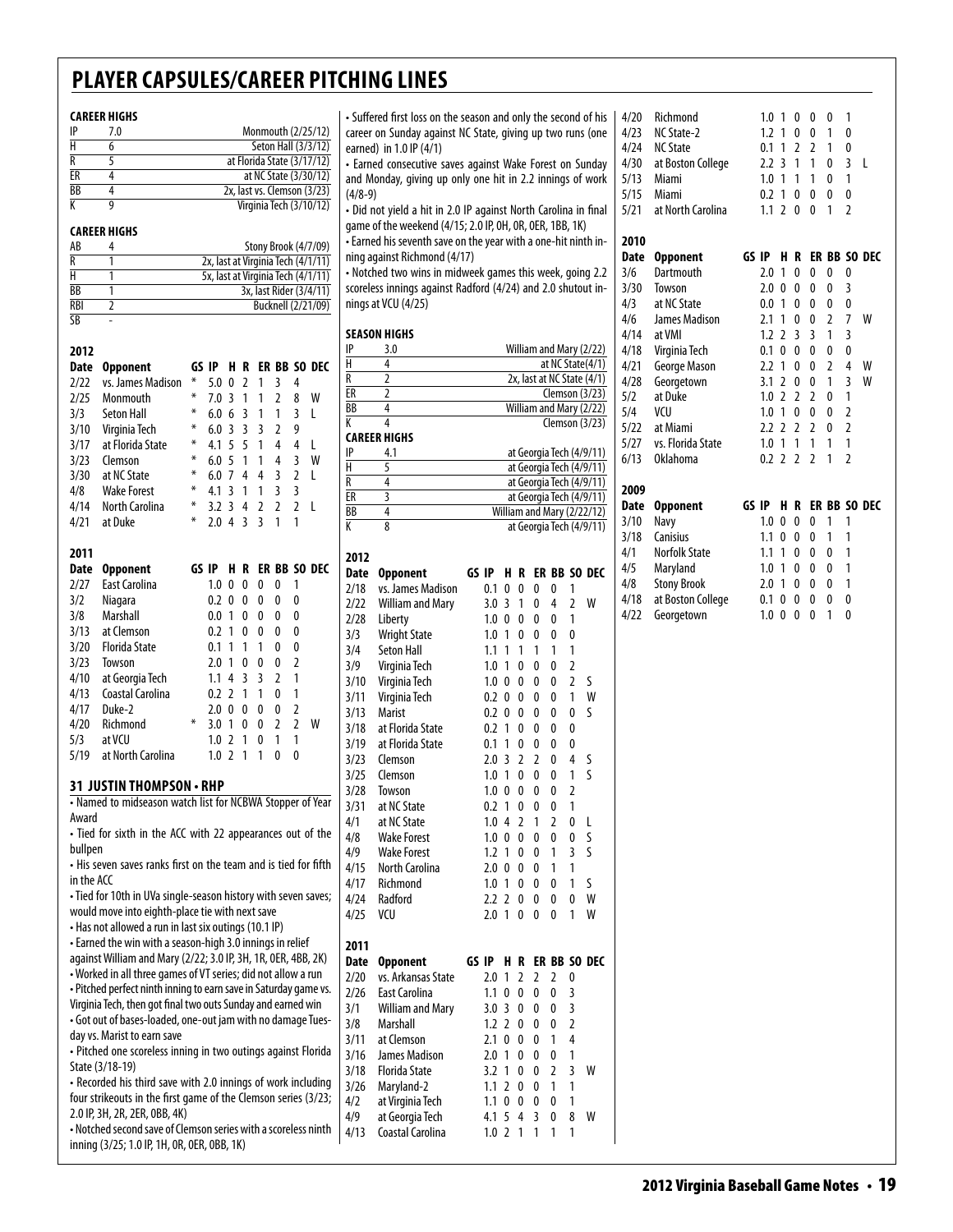#### **career Highs**

| 7.0 | Monmouth (2/25/12)          |
|-----|-----------------------------|
|     | Seton Hall (3/3/12)         |
|     | at Florida State (3/17/12)  |
|     | at NC State (3/30/12)       |
|     | 2x, last vs. Clemson (3/23) |
|     | Virginia Tech (3/10/12)     |
|     |                             |

#### **career Highs**

| AB         | Stony Brook (4/7/09)               |
|------------|------------------------------------|
|            | 2x, last at Virginia Tech (4/1/11) |
|            | 5x, last at Virginia Tech (4/1/11) |
| ВB         | 3x, last Rider (3/4/11)            |
| <b>RBI</b> | Bucknell (2/21/09)                 |
| SB         |                                    |

| 2012        |                          |       |                                                |                |                         |                |                |                |              |
|-------------|--------------------------|-------|------------------------------------------------|----------------|-------------------------|----------------|----------------|----------------|--------------|
| Date        | <b>Opponent</b>          | GS IP |                                                | н              | R                       |                |                |                | ER BB SO DEC |
| 2/22        | vs. James Madison        | ⋇     | 5.0                                            | 0              | $\mathfrak z$           | 1              | 3              | 4              |              |
| 2/25        | Monmouth                 | ⋇     | 7.0                                            | 3              | 1                       | 1              | $\overline{2}$ | 8              | W            |
| 3/3         | <b>Seton Hall</b>        | ⋇     | 6.0                                            | 6              | $\overline{3}$          | 1              | 1              | 3              | L            |
| 3/10        | Virginia Tech            | ⋇     | 6.0                                            | 3              | 3                       | $\overline{3}$ | 2              | 9              |              |
| 3/17        | at Florida State         | ⋇     | 4.1                                            | 5              | 5                       | 1              | 4              | 4              | L            |
| 3/23        | Clemson                  | ∗     | 6.0                                            | 5              | 1                       | 1              | 4              | 3              | W            |
| 3/30        | at NC State              | ∗     | 6.0                                            | 7              | 4                       | 4              | 3              | $\overline{2}$ | L            |
| 4/8         | <b>Wake Forest</b>       | ∗     | 4.1                                            | 3              | 1                       | 1              | $\overline{3}$ | 3              |              |
| 4/14        | North Carolina           | ∗     | 3.2                                            | 3              | 4                       | $\overline{2}$ | $\overline{2}$ | $\overline{2}$ | L            |
| 4/21        | at Duke                  | ⋇     | 2.0                                            | 4              | $\overline{\mathbf{3}}$ | 3              | 1              | 1              |              |
|             |                          |       |                                                |                |                         |                |                |                |              |
| 2011        |                          |       |                                                |                |                         |                |                |                |              |
| <b>Date</b> | <b>Opponent</b>          | GS IP |                                                | н              | R                       |                |                |                | ER BB SO DEC |
| 2/27        | <b>East Carolina</b>     |       | 1.0                                            | 0              | 0                       | 0              | 0              | 1              |              |
| 3/2         | Niagara                  |       | 0.2                                            | 0              | 0                       | 0              | 0              | 0              |              |
| 3/8         | <b>Marshall</b>          |       | 0.0                                            | 1              | 0                       | 0              | 0              | 0              |              |
| 3/13        | at Clemson               |       | 0.2                                            | 1              | 0                       | 0              | 0              | 0              |              |
| 3/20        | <b>Florida State</b>     |       | 0.1                                            | 1              | 1                       | 1              | $\mathbf{0}$   | 0              |              |
| 3/23        | Towson                   |       | 2.0                                            | 1              | 0                       | 0              | 0              | $\overline{2}$ |              |
| 4/10        | at Georgia Tech          |       | 1.1                                            | 4              | 3                       | 3              | 2              | 1              |              |
| 4/13        | Coastal Carolina         |       | 0.2                                            | $\mathfrak{p}$ | 1                       | 1              | $\mathbf{0}$   | 1              |              |
| 4/17        | Duke-2                   |       | 2.0                                            | 0              | 0                       | $\Omega$       | 0              | $\overline{2}$ |              |
| 4/20        | Richmond                 | ⋇     | 3.0                                            | 1              | $\Omega$                | 0              | $\overline{2}$ | $\overline{2}$ | W            |
|             | at VCU                   |       | 1.0                                            | $\mathfrak z$  | 1                       | $\mathbf{0}$   | 1              | 1              |              |
| 5/3         |                          |       |                                                |                |                         |                |                |                |              |
| 5/19        | at North Carolina        |       | 1.0                                            | $\overline{2}$ | 1                       | 1              | 0              | 0              |              |
|             |                          |       |                                                |                |                         |                |                |                |              |
|             | 31 JUSTIN THOMPSON • RHP |       | $\mathcal{L}$ is the submitted $\mathcal{L}$ . |                |                         |                |                |                | $\sim$       |

• Named to midseason watch list for NCBWA Stopper of Year Award

• Tied for sixth in the ACC with 22 appearances out of the bullpen

• His seven saves ranks first on the team and is tied for fifth in the ACC

• Tied for 10th in UVa single-season history with seven saves; would move into eighth-place tie with next save

• Has not allowed a run in last six outings (10.1 IP)

• Earned the win with a season-high 3.0 innings in relief against William and Mary (2/22; 3.0 IP, 3H, 1R, 0ER, 4BB, 2K) • Worked in all three games of VT series; did not allow a run • Pitched perfect ninth inning to earn save in Saturday game vs. Virginia Tech, then got final two outs Sunday and earned win • Got out of bases-loaded, one-out jam with no damage Tuesday vs. Marist to earn save

• Pitched one scoreless inning in two outings against Florida State (3/18-19)

• Recorded his third save with 2.0 innings of work including four strikeouts in the first game of the Clemson series (3/23; 2.0 IP, 3H, 2R, 2ER, 0BB, 4K) • Notched second save of Clemson series with a scoreless ninth

inning (3/25; 1.0 IP, 1H, 0R, 0ER, 0BB, 1K)

• Suffered first loss on the season and only the second of his career on Sunday against NC State, giving up two runs (one earned) in 1.0 IP (4/1)

• Earned consecutive saves against Wake Forest on Sunday and Monday, giving up only one hit in 2.2 innings of work (4/8-9)

• Did not yield a hit in 2.0 IP against North Carolina in final game of the weekend (4/15; 2.0 IP, 0H, 0R, 0ER, 1BB, 1K) • Earned his seventh save on the year with a one-hit ninth in-

ning against Richmond (4/17) • Notched two wins in midweek games this week, going 2.2

scoreless innings against Radford (4/24) and 2.0 shutout innings at VCU (4/25)

#### **season Highs**

| IP | 3.0 | William and Mary (2/22)    |
|----|-----|----------------------------|
| Н  |     | at NC State(4/1)           |
| R  |     | 2x, last at NC State (4/1) |
| ER |     | Clemson (3/23)             |
| ВB |     | William and Mary (2/22)    |
| K  |     | Clemson (3/23)             |
|    |     |                            |

#### **career Highs**

| IP        | 41 | at Georgia Tech (4/9/11)   |
|-----------|----|----------------------------|
| н         |    | at Georgia Tech (4/9/11)   |
|           |    | at Georgia Tech (4/9/11)   |
| FR        |    | at Georgia Tech (4/9/11)   |
| <b>BB</b> |    | William and Mary (2/22/12) |
|           |    | at Georgia Tech (4/9/11)   |

| 2012        |                         |       |     |                |                |                |                |                |                         |
|-------------|-------------------------|-------|-----|----------------|----------------|----------------|----------------|----------------|-------------------------|
| <b>Date</b> | <b>Opponent</b>         | GS IP |     | H              | R              |                |                |                | ER BB SO DEC            |
| 2/18        | vs. James Madison       |       | 0.1 | 0              | 0              | 0              | $\mathbf{0}$   | 1              |                         |
| 2/22        | <b>William and Mary</b> |       | 3.0 | 3              | 1              | 0              | 4              | $\overline{2}$ | W                       |
| 2/28        | Liberty                 |       | 1.0 | 0              | 0              | 0              | 0              | 1              |                         |
| 3/3         | <b>Wright State</b>     |       | 1.0 | 1              | 0              | 0              | 0              | $\mathbf{0}$   |                         |
| 3/4         | <b>Seton Hall</b>       |       | 1.1 | 1              | 1              | 1              | 1              | 1              |                         |
| 3/9         | Virginia Tech           |       | 1.0 | 1              | 0              | 0              | 0              | $\overline{2}$ |                         |
| 3/10        | Virginia Tech           |       | 1.0 | 0              | 0              | 0              | 0              | $\overline{2}$ | S                       |
| 3/11        | Virginia Tech           |       | 0.2 | 0              | 0              | 0              | 0              | 1              | W                       |
| 3/13        | <b>Marist</b>           |       | 0.2 | 0              | 0              | 0              | 0              | 0              | S                       |
| 3/18        | at Florida State        |       | 0.2 | 1              | 0              | 0              | 0              | 0              |                         |
| 3/19        | at Florida State        |       | 0.1 | 1              | 0              | 0              | 0              | 0              |                         |
| 3/23        | Clemson                 |       | 2.0 | 3              | $\overline{2}$ | $\overline{2}$ | 0              | $\overline{4}$ | S                       |
| 3/25        | Clemson                 |       | 1.0 | 1              | $\mathbf{0}$   | $\mathbf{0}$   | 0              | 1              | $\overline{\mathsf{S}}$ |
| 3/28        | Towson                  |       | 1.0 | 0              | 0              | 0              | 0              | $\overline{2}$ |                         |
| 3/31        | at NC State             |       | 0.2 | 1              | 0              | 0              | 0              | 1              |                         |
| 4/1         | at NC State             |       | 1.0 | 4              | $\overline{2}$ | 1              | $\overline{2}$ | 0              | L                       |
| 4/8         | <b>Wake Forest</b>      |       | 1.0 | 0              | 0              | 0              | 0              | 0              | S                       |
| 4/9         | <b>Wake Forest</b>      |       | 1.2 | 1              | 0              | 0              | 1              | $\overline{3}$ | S                       |
| 4/15        | <b>North Carolina</b>   |       | 2.0 | 0              | 0              | 0              | 1              | 1              |                         |
| 4/17        | Richmond                |       | 1.0 | 1              | 0              | 0              | 0              | 1              | S                       |
| 4/24        | Radford                 |       | 2.2 | $\overline{a}$ | 0              | 0              | 0              | 0              | W                       |
| 4/25        | VCU                     |       | 2.0 | 1              | 0              | $\mathbf{0}$   | 0              | 1              | W                       |
|             |                         |       |     |                |                |                |                |                |                         |
| 2011        |                         |       |     |                |                |                |                |                |                         |
| <b>Date</b> | <b>Opponent</b>         | GS IP |     | н              | R              |                | ER BB          |                | SO DEC                  |
| 2/20        | vs. Arkansas State      |       | 2.0 | 1              | 2              | $\overline{2}$ | $\overline{2}$ | 0              |                         |
| 2/26        | <b>East Carolina</b>    |       | 1.1 | 0              | 0              | 0              | $\overline{0}$ | $\overline{3}$ |                         |
| 3/1         | <b>William and Mary</b> |       | 3.0 | 3              | 0              | 0              | 0              | 3              |                         |
| 3/8         | Marshall                |       | 1.2 | $\overline{2}$ | 0              | 0              | 0              | $\overline{2}$ |                         |
| 3/11        | at Clemson              |       | 2.1 | 0              | 0              | 0              | 1              | $\overline{4}$ |                         |
| 3/16        | <b>James Madison</b>    |       | 2.0 | 1              | 0              | 0              | 0              | 1              |                         |
| 3/18        | <b>Florida State</b>    |       | 3.2 | 1              | 0              | 0              | $\overline{2}$ | 3              | W                       |
| 3/26        | Maryland-2              |       | 1.1 | $\overline{2}$ | 0              | $\mathbf{0}$   | 1              | 1              |                         |
| 4/2         | at Virginia Tech        |       | 1.1 | 0              | 0              | 0              | 0              | 1              |                         |
| 4/9         | at Georgia Tech         |       | 4.1 | 5              | 4              | 3              | 0              | 8              | W                       |
| 4/13        | Coastal Carolina        |       | 1.0 | $\overline{2}$ | 1              | 1              | 1              | 1              |                         |
|             |                         |       |     |                |                |                |                |                |                         |

|      | 4/20 Richmond          | 1.0 1 0 0 0 1   |  |               |     |  |
|------|------------------------|-----------------|--|---------------|-----|--|
|      | 4/23 NC State-2        |                 |  | 1.2 1 0 0 1 0 |     |  |
| 4/24 | <b>NC State</b>        |                 |  | 0.1 1 2 2 1 0 |     |  |
|      | 4/30 at Boston College | 2.2 3 1 1 0 3 L |  |               |     |  |
| 5/13 | Miami                  | 1.0 1 1 1 0 1   |  |               |     |  |
| 5/15 | Miami                  | 0.2 1 0 0       |  | - 0           | - 0 |  |
|      | 5/21 at North Carolina | 11 2 0 0 1 2    |  |               |     |  |

| 2010 |                   |       |     |               |                |                |   |                |              |
|------|-------------------|-------|-----|---------------|----------------|----------------|---|----------------|--------------|
| Date | <b>Opponent</b>   | GS IP |     | н             | R              |                |   |                | ER BB SO DEC |
| 3/6  | Dartmouth         |       | 2.0 | 1             | 0              | 0              | 0 | 0              |              |
| 3/30 | Towson            |       | 2.0 | 0             | 0              | 0              | 0 | 3              |              |
| 4/3  | at NC State       |       | 0.0 | 1             | 0              | 0              | 0 | 0              |              |
| 4/6  | James Madison     |       | 2.1 | 1             | 0              | 0              | 2 | 7              | W            |
| 4/14 | at VMI            |       | 1.2 | 2             | 3              | 3              | 1 | 3              |              |
| 4/18 | Virginia Tech     |       | 0.1 | 0             | 0              | 0              | 0 | 0              |              |
| 4/21 | George Mason      |       | 2.2 | 1             | 0              | 0              | 2 | 4              | W            |
| 4/28 | Georgetown        |       | 3.1 | 2             | 0              | 0              | 1 | 3              | W            |
| 5/2  | at Duke           |       | 1.0 | $\mathfrak z$ | $\overline{2}$ | $\overline{2}$ | 0 | 1              |              |
| 5/4  | VCU               |       | 1.0 | 1             | 0              | 0              | 0 | $\overline{2}$ |              |
| 5/22 | at Miami          |       | 2.2 | 2             | $\overline{2}$ | $\overline{2}$ | 0 | $\overline{2}$ |              |
| 5/27 | vs. Florida State |       | 1.0 | 1             | 1              | 1              | 1 | 1              |              |
| 6/13 | <b>Oklahoma</b>   |       | 0.2 | 7             | 2              | 2              | 1 | 2              |              |

| 2009 |                      |       |     |              |              |   |   |                         |
|------|----------------------|-------|-----|--------------|--------------|---|---|-------------------------|
| Date | <b>Opponent</b>      | GS IP |     |              |              |   |   | <b>H R ER BB SO DEC</b> |
| 3/10 | Navy                 |       | 1.0 | 0            | 0            | 0 |   |                         |
| 3/18 | Canisius             |       | 1.1 | 0            | 0            | 0 | 1 |                         |
| 4/1  | <b>Norfolk State</b> |       | 1.1 | -1           | 0            | 0 | 0 |                         |
| 4/5  | Maryland             |       | 1.0 | 1            | 0            | 0 | 0 | 1                       |
| 4/8  | <b>Stony Brook</b>   |       | 2.0 | 1            | 0            | 0 | 0 | 1                       |
| 4/18 | at Boston College    |       | 0.1 | 0            | 0            | 0 | 0 | 0                       |
| 4/22 | Georgetown           |       | 1.0 | $\mathbf{0}$ | $\mathbf{0}$ | 0 |   | O                       |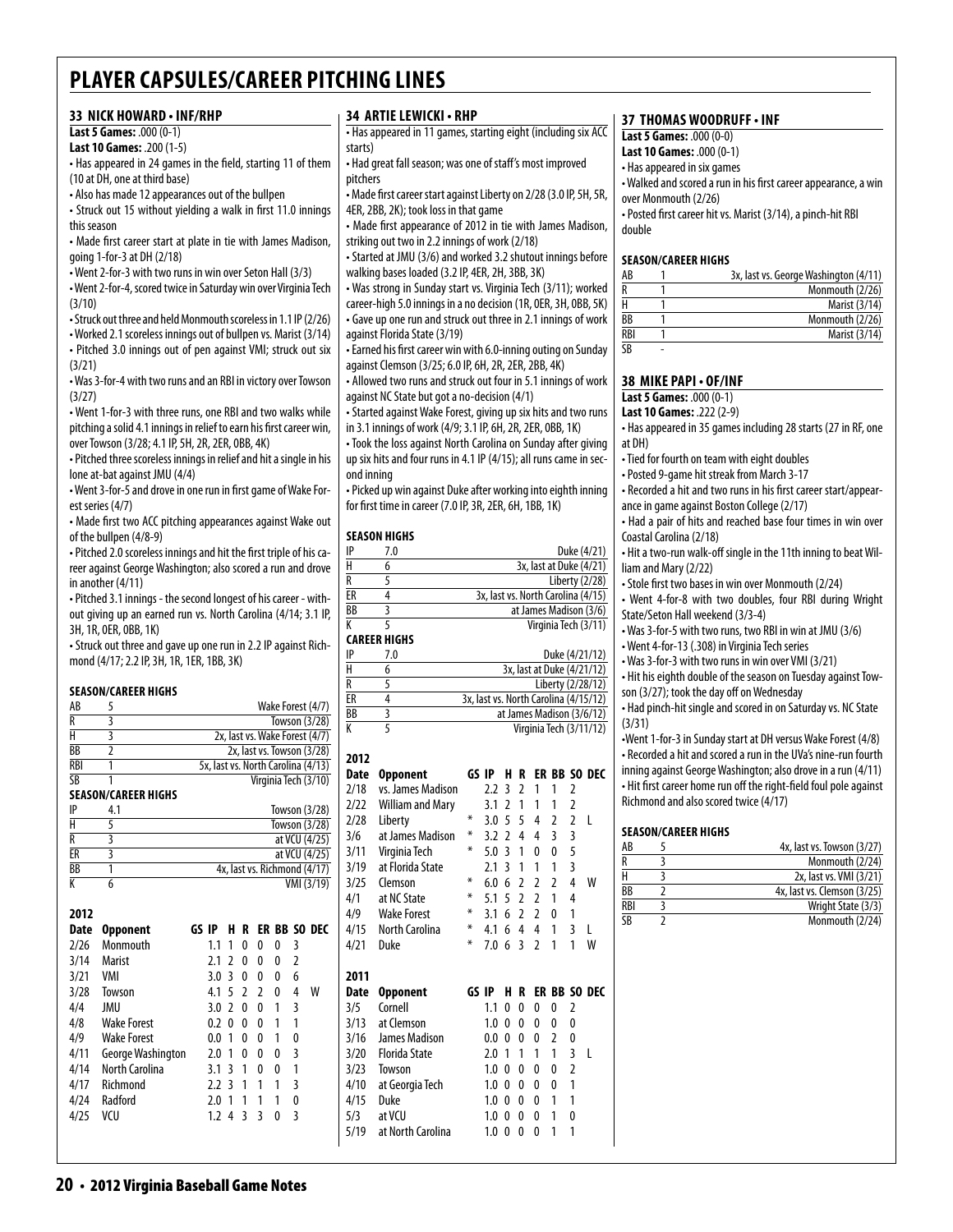#### **33 nick howard • inf/rhp**

#### **Last 5 Games:** .000 (0-1)

**Last 10 Games:** .200 (1-5)

• Has appeared in 24 games in the field, starting 11 of them (10 at DH, one at third base)

• Also has made 12 appearances out of the bullpen

• Struck out 15 without yielding a walk in first 11.0 innings this season

• Made first career start at plate in tie with James Madison, going 1-for-3 at DH (2/18)

• Went 2-for-3 with two runs in win over Seton Hall (3/3)

• Went 2-for-4, scored twice in Saturday win over Virginia Tech (3/10)

• Struck out three and held Monmouth scoreless in 1.1 IP (2/26)

• Worked 2.1 scoreless innings out of bullpen vs. Marist (3/14) • Pitched 3.0 innings out of pen against VMI; struck out six

(3/21)

• Was 3-for-4 with two runs and an RBI in victory over Towson (3/27)

• Went 1-for-3 with three runs, one RBI and two walks while pitching a solid 4.1 innings in relief to earn his first career win, over Towson (3/28; 4.1 IP, 5H, 2R, 2ER, 0BB, 4K)

• Pitched three scoreless innings in relief and hit a single in his lone at-bat against JMU (4/4)

• Went 3-for-5 and drove in one run in first game of Wake Forest series (4/7)

• Made first two ACC pitching appearances against Wake out of the bullpen (4/8-9)

• Pitched 2.0 scoreless innings and hit the first triple of his career against George Washington; also scored a run and drove in another (4/11)

• Pitched 3.1 innings - the second longest of his career - without giving up an earned run vs. North Carolina (4/14; 3.1 IP, 3H, 1R, 0ER, 0BB, 1K)

• Struck out three and gave up one run in 2.2 IP against Richmond (4/17; 2.2 IP, 3H, 1R, 1ER, 1BB, 3K)

#### **Season/career Highs**

| AB         | 5                          | Wake Forest (4/7)                  |
|------------|----------------------------|------------------------------------|
| R          | 3                          | Towson (3/28)                      |
| H          | 3                          | 2x, last vs. Wake Forest (4/7)     |
| ВB         | 2                          | 2x, last vs. Towson (3/28)         |
| <b>RBI</b> | 1                          | 5x, last vs. North Carolina (4/13) |
| SB         |                            | Virginia Tech (3/10)               |
|            | <b>SEASON/CAREER HIGHS</b> |                                    |
| IP         | 4.1                        | Towson $(3/28)$                    |
| H          | 5                          | Towson (3/28)                      |
| R          | 3                          | at VCU (4/25)                      |
| ER         | 3                          | at VCU (4/25)                      |
| ВB         | 1                          | 4x, last vs. Richmond (4/17)       |
|            | 6                          | VMI (3/19)                         |

| 2012 |                    |       |     |                          |               |               |   |               |                         |
|------|--------------------|-------|-----|--------------------------|---------------|---------------|---|---------------|-------------------------|
| Date | <b>Opponent</b>    | GS IP |     |                          |               |               |   |               | <b>H R ER BB SO DEC</b> |
| 2/26 | Monmouth           |       | 1.1 | 1                        | 0             | 0             | 0 | 3             |                         |
| 3/14 | <b>Marist</b>      |       | 7.1 | 2                        | 0             | 0             | 0 | $\mathfrak z$ |                         |
| 3/21 | VMI                |       | 3.0 | 3                        | 0             | 0             | 0 | 6             |                         |
| 3/28 | Towson             |       | 4.1 | -5                       | $\mathfrak z$ | $\mathfrak z$ | N | 4             | w                       |
| 4/4  | JMU                |       | 3.0 | $\overline{\phantom{a}}$ | 0             | 0             | 1 | 3             |                         |
| 4/8  | <b>Wake Forest</b> |       | 0.2 | 0                        | 0             | 0             | 1 | 1             |                         |
| 4/9  | <b>Wake Forest</b> |       | 0.0 | 1                        | 0             | 0             | 1 | 0             |                         |
| 4/11 | George Washington  |       | 2.0 | 1                        | 0             | 0             | 0 | 3             |                         |
| 4/14 | North Carolina     |       | 3.1 | 3                        | 1             | 0             | 0 | 1             |                         |
| 4/17 | Richmond           |       | 22  | 3                        | 1             | 1             | 1 | 3             |                         |
| 4/24 | Radford            |       | 2.0 | 1                        | 1             | 1             | 1 | 0             |                         |
| 4/25 | vcu                |       | 1.2 | 4                        | 3             | 3             | N | 3             |                         |
|      |                    |       |     |                          |               |               |   |               |                         |
|      |                    |       |     |                          |               |               |   |               |                         |

#### **34 artielewicki • rhp**

• Has appeared in 11 games, starting eight (including six ACC starts)

• Had great fall season; was one of staff's most improved pitchers

• Made first career start against Liberty on 2/28 (3.0 IP, 5H, 5R, 4ER, 2BB, 2K); took loss in that game

• Made first appearance of 2012 in tie with James Madison, striking out two in 2.2 innings of work (2/18)

• Started at JMU (3/6) and worked 3.2 shutout innings before walking bases loaded (3.2 IP, 4ER, 2H, 3BB, 3K)

• Was strong in Sunday start vs. Virginia Tech (3/11); worked career-high 5.0 innings in a no decision (1R, 0ER, 3H, 0BB, 5K) • Gave up one run and struck out three in 2.1 innings of work against Florida State (3/19)

• Earned his first career win with 6.0-inning outing on Sunday against Clemson (3/25; 6.0 IP, 6H, 2R, 2ER, 2BB, 4K)

• Allowed two runs and struck out four in 5.1 innings of work against NC State but got a no-decision (4/1)

• Started against Wake Forest, giving up six hits and two runs in 3.1 innings of work (4/9; 3.1 IP, 6H, 2R, 2ER, 0BB, 1K)

• Took the loss against North Carolina on Sunday after giving up six hits and four runs in 4.1 IP (4/15); all runs came in second inning

• Picked up win against Duke after working into eighth inning for first time in career (7.0 IP, 3R, 2ER, 6H, 1BB, 1K)

#### **season Highs**

| IP | 7.0 | Duke (4/21)                        |
|----|-----|------------------------------------|
| Н  |     | 3x, last at Duke (4/21)            |
| R  |     | Liberty (2/28)                     |
| ЕR |     | 3x, last vs. North Carolina (4/15) |
| ВB |     | at James Madison (3/6)             |
| K  |     | Virginia Tech (3/11)               |

#### **career Highs**

| IP | 7.0 | Duke (4/21/12)                        |
|----|-----|---------------------------------------|
| н  |     | 3x, last at Duke (4/21/12)            |
| R  |     | Liberty (2/28/12)                     |
| ER |     | 3x, last vs. North Carolina (4/15/12) |
| BB |     | at James Madison (3/6/12)             |
|    |     | Virginia Tech (3/11/12)               |

### **2012**

| Date | <b>Opponent</b>         | GS IP |     | н             | R              | ER             | BB |                | SO DEC       |
|------|-------------------------|-------|-----|---------------|----------------|----------------|----|----------------|--------------|
| 2/18 | vs. James Madison       |       | 2.2 | 3             | 2              | 1              | 1  | 2              |              |
| 2/22 | <b>William and Mary</b> |       | 3.1 | 2             | 1              | 1              | 1  | 2              |              |
| 2/28 | Liberty                 | ⋇     | 3.0 | 5             | 5              | 4              | 2  | 2              | L            |
| 3/6  | at James Madison        | ⋇     | 3.2 | $\mathfrak z$ | 4              | 4              | 3  | 3              |              |
| 3/11 | Virginia Tech           | ⋇     | 5.0 | 3             | 1              | 0              | 0  | 5              |              |
| 3/19 | at Florida State        |       | 2.1 | ξ             | 1              | 1              | 1  | 3              |              |
| 3/25 | Clemson                 | ⋇     | 6.0 | 6             | 2              | 2              | 2  | 4              | W            |
| 4/1  | at NC State             | ⋇     | 5.1 | 5             | $\overline{2}$ | 2              | 1  | 4              |              |
| 4/9  | <b>Wake Forest</b>      | ⋇     | 3.1 | 6             | 2              | $\overline{2}$ | 0  | 1              |              |
| 4/15 | North Carolina          | ⋇     | 4.1 | 6             | 4              | 4              | 1  | 3              | L            |
| 4/21 | Duke                    | ⋇     | 7.0 | 6             | 3              | 2              | 1  | 1              | W            |
|      |                         |       |     |               |                |                |    |                |              |
|      |                         |       |     |               |                |                |    |                |              |
| 2011 |                         |       |     |               |                |                |    |                |              |
| Date | <b>Opponent</b>         | GS IP |     | н             | R              |                |    |                | ER BB SO DEC |
| 3/5  | Cornell                 |       | 1.1 | 0             | 0              | 0              | 0  | 2              |              |
| 3/13 | at Clemson              |       | 1.0 | 0             | 0              | 0              | 0  | 0              |              |
| 3/16 | James Madison           |       | 0.0 | 0             | 0              | 0              | 2  | 0              |              |
| 3/20 | <b>Florida State</b>    |       | 2.0 | 1             | 1              | 1              | 1  | 3              | L            |
| 3/23 | Towson                  |       | 1.0 | 0             | 0              | 0              | 0  | $\overline{2}$ |              |
| 4/10 | at Georgia Tech         |       | 1.0 | 0             | 0              | 0              | 0  | 1              |              |
| 4/15 | Duke                    |       | 1.0 | 0             | 0              | 0              | 1  | 1              |              |
| 5/3  | at VCU                  |       | 1.0 | 0             | 0              | 0              | 1  | 0              |              |
| 5/19 | at North Carolina       |       | 1.0 | $\mathbf{0}$  | 0              | 0              | 1  | 1              |              |

#### **37 thomas woodruff • inf**

**Last 5 Games:** .000 (0-0)

**Last 10 Games:** .000 (0-1)

• Has appeared in six games

• Walked and scored a run in his first career appearance, a win over Monmouth (2/26)

• Posted first career hit vs. Marist (3/14), a pinch-hit RBI double

#### **Season/career Highs**

| AB  | 3x, last vs. George Washington (4/11) |
|-----|---------------------------------------|
| R   | Monmouth (2/26)                       |
| Н   | Marist (3/14)                         |
| ВB  | Monmouth (2/26)                       |
| RBI | Marist (3/14)                         |
| SB  |                                       |

#### **38 mike papi • OF/inf**

**Last 5 Games:** .000 (0-1)

**Last 10 Games:** .222 (2-9)

• Has appeared in 35 games including 28 starts (27 in RF, one at DH)

- Tied for fourth on team with eight doubles
- Posted 9-game hit streak from March 3-17

• Recorded a hit and two runs in his first career start/appearance in game against Boston College (2/17)

• Had a pair of hits and reached base four times in win over Coastal Carolina (2/18)

• Hit a two-run walk-off single in the 11th inning to beat William and Mary (2/22)

• Stole first two bases in win over Monmouth (2/24)

• Went 4-for-8 with two doubles, four RBI during Wright State/Seton Hall weekend (3/3-4)

• Was 3-for-5 with two runs, two RBI in win at JMU (3/6)

• Went 4-for-13 (.308) in Virginia Tech series

• Was 3-for-3 with two runs in win over VMI (3/21)

• Hit his eighth double of the season on Tuesday against Tow-

son (3/27); took the day off on Wednesday

• Had pinch-hit single and scored in on Saturday vs. NC State (3/31)

•Went 1-for-3 in Sunday start at DH versus Wake Forest (4/8) • Recorded a hit and scored a run in the UVa's nine-run fourth inning against George Washington; also drove in a run (4/11) • Hit first career home run off the right-field foul pole against Richmond and also scored twice (4/17)

#### **Season/career Highs**

| AB                     | 4x, last vs. Towson (3/27)  |
|------------------------|-----------------------------|
| R                      | Monmouth (2/24)             |
| н                      | 2x, last vs. VMI (3/21)     |
| BB                     | 4x, last vs. Clemson (3/25) |
| <b>RBI</b>             | Wright State (3/3)          |
| $\overline{\text{SB}}$ | Monmouth (2/24)             |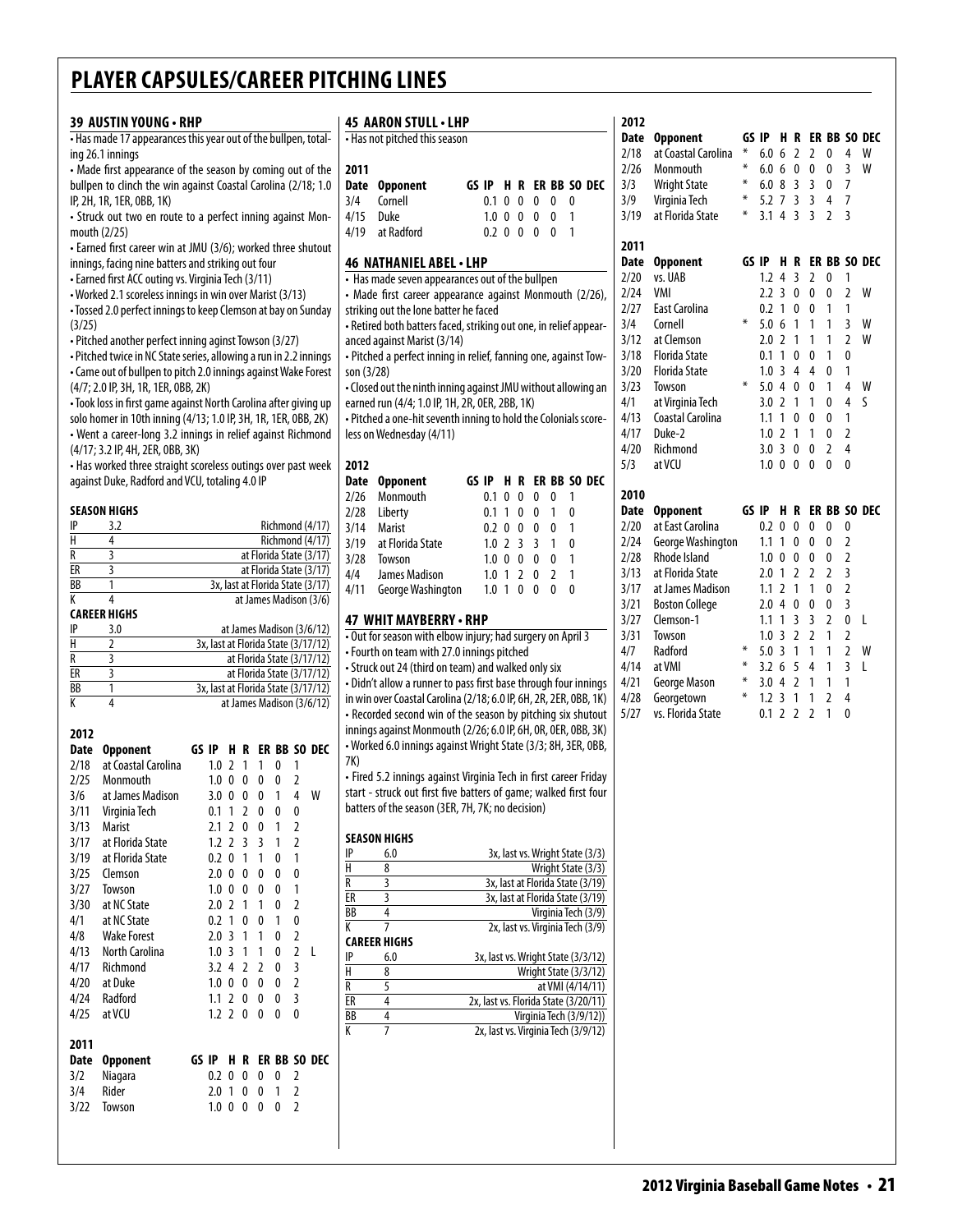|                         | 39 AUSTIN YOUNG · RHP                                                                                                              |                                |  |                   |                   |                           |                                                                  |                         | 45 AARON STULL . LHP                                                                                              |                        |  |   |                   |                   |                                      |
|-------------------------|------------------------------------------------------------------------------------------------------------------------------------|--------------------------------|--|-------------------|-------------------|---------------------------|------------------------------------------------------------------|-------------------------|-------------------------------------------------------------------------------------------------------------------|------------------------|--|---|-------------------|-------------------|--------------------------------------|
|                         | - Has made 17 appearances this year out of the bullpen, total-                                                                     |                                |  |                   |                   |                           |                                                                  |                         | • Has not pitched this season                                                                                     |                        |  |   |                   |                   |                                      |
|                         | ing 26.1 innings                                                                                                                   |                                |  |                   |                   |                           |                                                                  |                         |                                                                                                                   |                        |  |   |                   |                   |                                      |
|                         | • Made first appearance of the season by coming out of the                                                                         |                                |  |                   |                   |                           |                                                                  | 2011                    |                                                                                                                   |                        |  |   |                   |                   |                                      |
|                         | bullpen to clinch the win against Coastal Carolina (2/18; 1.0                                                                      |                                |  |                   |                   |                           |                                                                  | Date                    | <b>Opponent</b>                                                                                                   |                        |  |   |                   |                   | GS IP H R ER BB SO DEC               |
|                         | IP, 2H, 1R, 1ER, 0BB, 1K)                                                                                                          |                                |  |                   |                   |                           |                                                                  | 3/4<br>4/15             | Cornell<br>Duke                                                                                                   | 0.1 0 0 0<br>1.0 0 0 0 |  |   | 0<br>$\mathbf{0}$ | 0<br>$\mathbf{1}$ |                                      |
|                         | • Struck out two en route to a perfect inning against Mon-<br>mouth (2/25)                                                         |                                |  |                   |                   |                           |                                                                  | 4/19                    | at Radford                                                                                                        | $0.2 \t0 \t0 \t0$      |  |   | $\overline{0}$    | $\mathbf{1}$      |                                      |
|                         | • Earned first career win at JMU (3/6); worked three shutout                                                                       |                                |  |                   |                   |                           |                                                                  |                         |                                                                                                                   |                        |  |   |                   |                   |                                      |
|                         | innings, facing nine batters and striking out four                                                                                 |                                |  |                   |                   |                           |                                                                  |                         | 46 NATHANIEL ABEL . LHP                                                                                           |                        |  |   |                   |                   |                                      |
|                         | • Earned first ACC outing vs. Virginia Tech (3/11)                                                                                 |                                |  |                   |                   |                           |                                                                  |                         | • Has made seven appearances out of the bullpen                                                                   |                        |  |   |                   |                   |                                      |
|                         | • Worked 2.1 scoreless innings in win over Marist (3/13)                                                                           |                                |  |                   |                   |                           |                                                                  |                         | • Made first career appearance against Monmouth (2/26),                                                           |                        |  |   |                   |                   |                                      |
|                         | • Tossed 2.0 perfect innings to keep Clemson at bay on Sunday                                                                      |                                |  |                   |                   |                           |                                                                  |                         | striking out the lone batter he faced                                                                             |                        |  |   |                   |                   |                                      |
| (3/25)                  |                                                                                                                                    |                                |  |                   |                   |                           |                                                                  |                         | - Retired both batters faced, striking out one, in relief appear-                                                 |                        |  |   |                   |                   |                                      |
|                         | • Pitched another perfect inning aginst Towson (3/27)                                                                              |                                |  |                   |                   |                           |                                                                  |                         | anced against Marist (3/14)                                                                                       |                        |  |   |                   |                   |                                      |
|                         | • Pitched twice in NC State series, allowing a run in 2.2 innings                                                                  |                                |  |                   |                   |                           |                                                                  |                         | - Pitched a perfect inning in relief, fanning one, against Tow-                                                   |                        |  |   |                   |                   |                                      |
|                         | • Came out of bullpen to pitch 2.0 innings against Wake Forest                                                                     |                                |  |                   |                   |                           |                                                                  | son (3/28)              |                                                                                                                   |                        |  |   |                   |                   |                                      |
|                         | (4/7; 2.0 IP, 3H, 1R, 1ER, 0BB, 2K)                                                                                                |                                |  |                   |                   |                           |                                                                  |                         | . Closed out the ninth inning against JMU without allowing an                                                     |                        |  |   |                   |                   |                                      |
|                         | • Took loss in first game against North Carolina after giving up<br>solo homer in 10th inning (4/13; 1.0 IP, 3H, 1R, 1ER, 0BB, 2K) |                                |  |                   |                   |                           |                                                                  |                         | earned run (4/4; 1.0 IP, 1H, 2R, 0ER, 2BB, 1K)<br>- Pitched a one-hit seventh inning to hold the Colonials score- |                        |  |   |                   |                   |                                      |
|                         | • Went a career-long 3.2 innings in relief against Richmond                                                                        |                                |  |                   |                   |                           |                                                                  |                         | less on Wednesday (4/11)                                                                                          |                        |  |   |                   |                   |                                      |
|                         | (4/17; 3.2 IP, 4H, 2ER, 0BB, 3K)                                                                                                   |                                |  |                   |                   |                           |                                                                  |                         |                                                                                                                   |                        |  |   |                   |                   |                                      |
|                         | • Has worked three straight scoreless outings over past week                                                                       |                                |  |                   |                   |                           |                                                                  | 2012                    |                                                                                                                   |                        |  |   |                   |                   |                                      |
|                         | against Duke, Radford and VCU, totaling 4.0 IP                                                                                     |                                |  |                   |                   |                           |                                                                  | Date                    | <b>Opponent</b>                                                                                                   |                        |  |   |                   |                   | GS IP H R ER BB SO DEC               |
|                         |                                                                                                                                    |                                |  |                   |                   |                           |                                                                  | 2/26                    | Monmouth                                                                                                          | $0.1 \t0 \t0$          |  | 0 | 0                 | 1                 |                                      |
|                         | <b>SEASON HIGHS</b>                                                                                                                |                                |  |                   |                   |                           |                                                                  | 2/28                    | Liberty                                                                                                           | 0.1 1 0 0              |  |   | $\mathbf{1}$      | 0                 |                                      |
| IP                      | 3.2                                                                                                                                |                                |  |                   |                   |                           | Richmond (4/17)                                                  | 3/14                    | <b>Marist</b>                                                                                                     | 0.2 0 0 0              |  |   | 0                 | 1                 |                                      |
| $\overline{H}$          | 4                                                                                                                                  |                                |  |                   |                   |                           | Richmond (4/17)                                                  | 3/19                    | at Florida State                                                                                                  | $1.0$ 2 3 3            |  |   | $\mathbf{1}$      | 0                 |                                      |
| $\overline{R}$          | 3                                                                                                                                  |                                |  |                   |                   |                           | at Florida State (3/17)                                          | 3/28                    | Towson                                                                                                            | $1.0 \t0 \t0 \t0$      |  |   | $\mathbf{0}$      | $\mathbf{1}$      |                                      |
| ER<br>BB                | 3<br>1                                                                                                                             |                                |  |                   |                   |                           | at Florida State (3/17)<br>3x, last at Florida State (3/17)      | 4/4                     | James Madison                                                                                                     | $1.0$ 1 2 0            |  |   | $\overline{2}$    | $\mathbf{1}$      |                                      |
| $\overline{\mathsf{K}}$ | 4                                                                                                                                  |                                |  |                   |                   |                           | at James Madison (3/6)                                           | 4/11                    | George Washington                                                                                                 | $1.0 \t1 \t0 \t0$      |  |   | $\mathbf{0}$      | 0                 |                                      |
|                         | <b>CAREER HIGHS</b>                                                                                                                |                                |  |                   |                   |                           |                                                                  |                         |                                                                                                                   |                        |  |   |                   |                   |                                      |
| IP                      | 3.0                                                                                                                                |                                |  |                   |                   |                           | at James Madison (3/6/12)                                        |                         | 47 WHIT MAYBERRY - RHP<br>. Out for season with elbow injury; had surgery on April 3                              |                        |  |   |                   |                   |                                      |
| Н                       | 2                                                                                                                                  |                                |  |                   |                   |                           | 3x, last at Florida State (3/17/12)                              |                         | • Fourth on team with 27.0 innings pitched                                                                        |                        |  |   |                   |                   |                                      |
| R                       | 3                                                                                                                                  |                                |  |                   |                   |                           | at Florida State (3/17/12)                                       |                         | • Struck out 24 (third on team) and walked only six                                                               |                        |  |   |                   |                   |                                      |
| ER<br>BB                | 3<br>1                                                                                                                             |                                |  |                   |                   |                           | at Florida State (3/17/12)                                       |                         | • Didn't allow a runner to pass first base through four innings                                                   |                        |  |   |                   |                   |                                      |
| K                       | 4                                                                                                                                  |                                |  |                   |                   |                           | 3x, last at Florida State (3/17/12)<br>at James Madison (3/6/12) |                         | in win over Coastal Carolina (2/18; 6.0 IP, 6H, 2R, 2ER, 0BB, 1K)                                                 |                        |  |   |                   |                   |                                      |
|                         |                                                                                                                                    |                                |  |                   |                   |                           |                                                                  |                         | • Recorded second win of the season by pitching six shutout                                                       |                        |  |   |                   |                   |                                      |
| 2012                    |                                                                                                                                    |                                |  |                   |                   |                           |                                                                  |                         | innings against Monmouth (2/26; 6.0 IP, 6H, OR, OER, OBB, 3K)                                                     |                        |  |   |                   |                   |                                      |
| Date                    | <b>Opponent</b>                                                                                                                    | GS IP                          |  |                   |                   |                           | H R ER BB SO DEC                                                 |                         | • Worked 6.0 innings against Wright State (3/3; 8H, 3ER, 0BB,                                                     |                        |  |   |                   |                   |                                      |
| 2/18                    | at Coastal Carolina                                                                                                                | $1.0$ 2 1                      |  | $\overline{1}$    | 0                 | 1                         |                                                                  | 7K)                     |                                                                                                                   |                        |  |   |                   |                   |                                      |
| 2/25                    | Monmouth                                                                                                                           | $1.0 \t0 \t0$                  |  | $\pmb{0}$         | 0                 | 2                         |                                                                  |                         | • Fired 5.2 innings against Virginia Tech in first career Friday                                                  |                        |  |   |                   |                   |                                      |
| 3/6                     | at James Madison                                                                                                                   | 3.0 0 0 0                      |  |                   | $\mathbf{1}$      | 4                         | W                                                                |                         | start - struck out first five batters of game; walked first four                                                  |                        |  |   |                   |                   |                                      |
| 3/11                    | Virginia Tech                                                                                                                      | 0.1 1 2 0                      |  |                   | $\pmb{0}$         | $\pmb{0}$                 |                                                                  |                         | batters of the season (3ER, 7H, 7K; no decision)                                                                  |                        |  |   |                   |                   |                                      |
| 3/13                    | Marist                                                                                                                             | $2.1$ 2 0 0                    |  |                   | $\overline{1}$    | $\overline{2}$            |                                                                  |                         | <b>SEASON HIGHS</b>                                                                                               |                        |  |   |                   |                   |                                      |
| 3/17                    | at Florida State                                                                                                                   | $1.2$ 2 3                      |  | $\overline{3}$    | $\mathbf{1}$      | $\overline{2}$            |                                                                  | IP                      | 6.0                                                                                                               |                        |  |   |                   |                   | 3x, last vs. Wright State (3/3)      |
| 3/19<br>3/25            | at Florida State<br>Clemson                                                                                                        | $0.2 \ 0 \ 1$<br>$2.0 \t0 \t0$ |  | $\mathbf{1}$<br>0 | 0<br>0            | $\mathbf{1}$<br>$\pmb{0}$ |                                                                  | $\overline{H}$          | 8                                                                                                                 |                        |  |   |                   |                   | Wright State (3/3)                   |
| 3/27                    | Towson                                                                                                                             | $1.0 \t0 \t0$                  |  | - 0               | 0                 | $\mathbf{1}$              |                                                                  | R                       | 3                                                                                                                 |                        |  |   |                   |                   | 3x, last at Florida State (3/19)     |
| 3/30                    | at NC State                                                                                                                        | $2.0$ 2 1                      |  | $\mathbf{1}$      | 0                 | $\overline{2}$            |                                                                  | $\overline{\text{ER}}$  | 3                                                                                                                 |                        |  |   |                   |                   | 3x, last at Florida State (3/19)     |
| 4/1                     | at NC State                                                                                                                        | $0.2$ 1 0                      |  | 0                 | $\mathbf{1}$      | $\pmb{0}$                 |                                                                  | BB                      | $\overline{4}$                                                                                                    |                        |  |   |                   |                   | Virginia Tech (3/9)                  |
| 4/8                     | <b>Wake Forest</b>                                                                                                                 | 2.031                          |  | $\overline{1}$    | 0                 | $\overline{2}$            |                                                                  | K                       | 7<br><b>CAREER HIGHS</b>                                                                                          |                        |  |   |                   |                   | 2x, last vs. Virginia Tech (3/9)     |
| 4/13                    | <b>North Carolina</b>                                                                                                              | 1.031                          |  | 1                 | 0                 | $\overline{2}$            | $\mathsf{L}$                                                     | IP                      | 6.0                                                                                                               |                        |  |   |                   |                   | 3x, last vs. Wright State (3/3/12)   |
| 4/17                    | Richmond                                                                                                                           | $3.2$ 4 2                      |  | $\overline{2}$    | 0                 | $\mathbf{3}$              |                                                                  | H                       | 8                                                                                                                 |                        |  |   |                   |                   | Wright State (3/3/12)                |
| 4/20                    | at Duke                                                                                                                            | $1.0 \t0 \t0 \t0$              |  |                   | 0                 | $\overline{2}$            |                                                                  | $\overline{\mathsf{R}}$ | $\overline{5}$                                                                                                    |                        |  |   |                   |                   | at VMI (4/14/11)                     |
| 4/24                    | Radford                                                                                                                            | $1.1$ 2 0 0                    |  |                   | 0                 | 3                         |                                                                  | ER                      | 4                                                                                                                 |                        |  |   |                   |                   | 2x, last vs. Florida State (3/20/11) |
| 4/25                    | at VCU                                                                                                                             | $1.2$ 2 0 0                    |  |                   | 0                 | 0                         |                                                                  | BB                      | 4                                                                                                                 |                        |  |   |                   |                   | Virginia Tech (3/9/12))              |
|                         |                                                                                                                                    |                                |  |                   |                   |                           |                                                                  | K                       | 7                                                                                                                 |                        |  |   |                   |                   | 2x, last vs. Virginia Tech (3/9/12)  |
| 2011                    |                                                                                                                                    |                                |  |                   |                   |                           |                                                                  |                         |                                                                                                                   |                        |  |   |                   |                   |                                      |
| <b>Date</b>             | <b>Opponent</b>                                                                                                                    |                                |  |                   |                   |                           | GS IP H R ER BB SO DEC                                           |                         |                                                                                                                   |                        |  |   |                   |                   |                                      |
| 3/2<br>3/4              | Niagara<br>Rider                                                                                                                   | 0.2 0 0 0<br>$2.0$ 1 0 0       |  |                   | 0<br>$\mathbf{1}$ | 2<br>$\overline{2}$       |                                                                  |                         |                                                                                                                   |                        |  |   |                   |                   |                                      |
| 3/22                    | Towson                                                                                                                             | $1.0 \t0 \t0 \t0$              |  |                   | 0                 | $\overline{2}$            |                                                                  |                         |                                                                                                                   |                        |  |   |                   |                   |                                      |
|                         |                                                                                                                                    |                                |  |                   |                   |                           |                                                                  |                         |                                                                                                                   |                        |  |   |                   |                   |                                      |
|                         |                                                                                                                                    |                                |  |                   |                   |                           |                                                                  |                         |                                                                                                                   |                        |  |   |                   |                   |                                      |

|                             |              |                |   |                |              |                                    | <b>Date</b> | <b>Opponent</b>       | GS IP  |                  | н.             | R              |                |                |                | ER BB SO DEC |
|-----------------------------|--------------|----------------|---|----------------|--------------|------------------------------------|-------------|-----------------------|--------|------------------|----------------|----------------|----------------|----------------|----------------|--------------|
|                             |              |                |   |                |              |                                    | 2/18        | at Coastal Carolina   | ∗      | 6.0              | 6              | $\overline{2}$ | $\overline{2}$ | $\mathbf{0}$   | 4              | W            |
|                             |              |                |   |                |              |                                    | 2/26        | Monmouth              | ∗      | 6.0 <sub>6</sub> |                | $\mathbf{0}$   | 0              | $\mathbf{0}$   | $\overline{3}$ | W            |
| S IP                        | ΗR           |                |   |                |              | <b>ER BB SO DEC</b>                | 3/3         | <b>Wright State</b>   | ∗      | 6.08             |                | 3              | 3              | 0              | $\overline{7}$ |              |
| $0.1 \ 0$                   |              | 0              | 0 | 0              | 0            |                                    | 3/9         | Virginia Tech         | ∗      | $5.2$ 7          |                | 3              | 3              | 4              | 7              |              |
| $1.0 \ 0$                   |              | 0              | 0 | 0              | 1            |                                    | 3/19        | at Florida State      | $\ast$ | 3.1              | 4              | 3              | 3              | $\overline{a}$ | 3              |              |
| $0.2 \ 0$                   |              | 0              | 0 | 0              | 1            |                                    |             |                       |        |                  |                |                |                |                |                |              |
|                             |              |                |   |                |              |                                    | 2011        |                       |        |                  |                |                |                |                |                |              |
| HP                          |              |                |   |                |              |                                    | Date        | <b>Opponent</b>       | GS IP  |                  | H R            |                |                |                |                | ER BB SO DEC |
| s out of the bullpen        |              |                |   |                |              |                                    | 2/20        | vs. UAB               |        | 1.2 <sub>4</sub> |                | 3              | $\overline{2}$ | 0              | 1              |              |
|                             |              |                |   |                |              | ce against Monmouth (2/26),        | 2/24        | VMI                   |        | 2.2 3            |                | 0              | 0              | 0              | $\overline{2}$ | W            |
| faced                       |              |                |   |                |              |                                    | 2/27        | <b>East Carolina</b>  |        | 0.2 <sub>1</sub> |                | 0              | 0              | 1              | 1              |              |
|                             |              |                |   |                |              | riking out one, in relief appear-  | 3/4         | Cornell               | $\ast$ | 5.06             |                | 1              | 1              | 1              | $\overline{3}$ | W            |
|                             |              |                |   |                |              |                                    | 3/12        | at Clemson            |        | 2.02             |                | $\mathbf{1}$   | 1              | 1              | $\overline{2}$ | W            |
|                             |              |                |   |                |              | lief, fanning one, against Tow-    | 3/18        | <b>Florida State</b>  |        | 0.1 <sub>1</sub> |                | 0              | 0              | 1              | 0              |              |
|                             |              |                |   |                |              |                                    | 3/20        | <b>Florida State</b>  |        | 1.0 <sub>3</sub> |                | 4              | 4              | 0              | 1              |              |
|                             |              |                |   |                |              | jainst JMU without allowing an     | 3/23        | Towson                | ∗      | 5.04             |                | 0              | 0              | 1              | 4              | W            |
| OER, 2BB, 1K)               |              |                |   |                |              |                                    | 4/1         | at Virginia Tech      |        | 3.0 <sub>2</sub> |                | 1              | 1              | 0              | $\overline{4}$ | S            |
|                             |              |                |   |                |              | ing to hold the Colonials score-   | 4/13        | Coastal Carolina      |        | 1.1              | 1              | 0              | 0              | 0              | 1              |              |
|                             |              |                |   |                |              |                                    | 4/17        | Duke-2                |        | 1.02             |                | 1              | 1              | 0              | $\overline{2}$ |              |
|                             |              |                |   |                |              |                                    | 4/20        | Richmond              |        | 3.0 <sub>3</sub> |                | 0              | 0              | $\overline{2}$ | 4              |              |
|                             |              |                |   |                |              |                                    | 5/3         | at VCU                |        | $1.0 \ 0$        |                | 0              | 0              | 0              | $\mathbf{0}$   |              |
| S IP                        | H.           | R              |   |                |              | ER BB SO DEC                       |             |                       |        |                  |                |                |                |                |                |              |
| 0.1                         | $\mathbf{0}$ | $\mathbf{0}$   | 0 | 0              | 1            |                                    | 2010        |                       |        |                  |                |                |                |                |                |              |
| 0.1                         | $\mathbf{1}$ | 0              | 0 | 1              | 0            |                                    | <b>Date</b> | <b>Opponent</b>       | GS IP  |                  | H R            |                |                |                |                | ER BB SO DEC |
| $0.2 \ 0$                   |              | 0              | 0 | 0              | 1            |                                    | 2/20        | at East Carolina      |        | $0.2 \ 0$        |                | $\mathbf{0}$   | 0              | 0              | 0              |              |
| 1.02                        |              | 3              | 3 | $\mathbf{1}$   | $\mathbf{0}$ |                                    | 2/24        | George Washington     |        | 1.1 <sub>1</sub> |                | 0              | 0              | 0              | $\overline{2}$ |              |
| $1.0 \ \ 0$                 |              | $\mathbf{0}$   | 0 | $\mathbf{0}$   | $\mathbf{1}$ |                                    | 2/28        | <b>Rhode Island</b>   |        | $1.0 \ 0$        |                | 0              | 0              | 0              | $\overline{2}$ |              |
| 1.0 <sub>1</sub>            |              | $\overline{2}$ | 0 | $\overline{2}$ | $\mathbf{1}$ |                                    | 3/13        | at Florida State      |        | $2.0$ 1          |                | $\overline{2}$ | $\overline{a}$ | $\overline{2}$ | $\overline{3}$ |              |
| 1.0                         | $\mathbf{1}$ | $\mathbf{0}$   | 0 | $\mathbf{0}$   | 0            |                                    | 3/17        | at James Madison      |        | 1.1 <sub>2</sub> |                | 1              | 1              | 0              | $\overline{2}$ |              |
|                             |              |                |   |                |              |                                    | 3/21        | <b>Boston College</b> |        | 2.04             |                | 0              | 0              | 0              | 3              |              |
| HP                          |              |                |   |                |              |                                    | 3/27        | Clemson-1             |        | 1.1              | 1              | 3              | 3              | $\overline{2}$ | $\mathbf{0}$   | L            |
| ury; had surgery on April 3 |              |                |   |                |              |                                    | 3/31        | Towson                |        | 1.0 <sub>3</sub> |                | $\overline{2}$ | $\overline{2}$ | 1              | $\overline{2}$ |              |
| ings pitched                |              |                |   |                |              |                                    | 4/7         | Radford               | ∗      | 5.0 <sub>3</sub> |                | 1              | 1              | 1              | $\overline{2}$ | W            |
| and walked only six         |              |                |   |                |              |                                    | 4/14        | at VMI                | $\ast$ | 3.2 <sub>6</sub> |                | 5              | 4              | 1              | $\overline{3}$ | L            |
|                             |              |                |   |                |              | first base through four innings    | 4/21        | George Mason          | $\ast$ | 3.04             |                | $\overline{2}$ | 1              | 1              | 1              |              |
|                             |              |                |   |                |              | '18; 6.0 IP, 6H, 2R, 2ER, 0BB, 1K) | 4/28        | Georgetown            | ∗      | 1.2 <sub>3</sub> |                | 1              | 1              | $\overline{2}$ | 4              |              |
|                             |              |                |   |                |              | season by pitching six shutout     | 5/27        | vs. Florida State     |        | 0.1              | $\overline{z}$ | $\mathfrak z$  | 2              | 1              | $\mathbf{0}$   |              |
|                             |              |                |   |                |              | 26; 6.0 IP, 6H, OR, OER, OBB, 3K)  |             |                       |        |                  |                |                |                |                |                |              |
|                             |              |                |   |                |              | Vright State (3/3; 8H, 3ER, 0BB,   |             |                       |        |                  |                |                |                |                |                |              |
|                             |              |                |   |                |              |                                    |             |                       |        |                  |                |                |                |                |                |              |

**2012**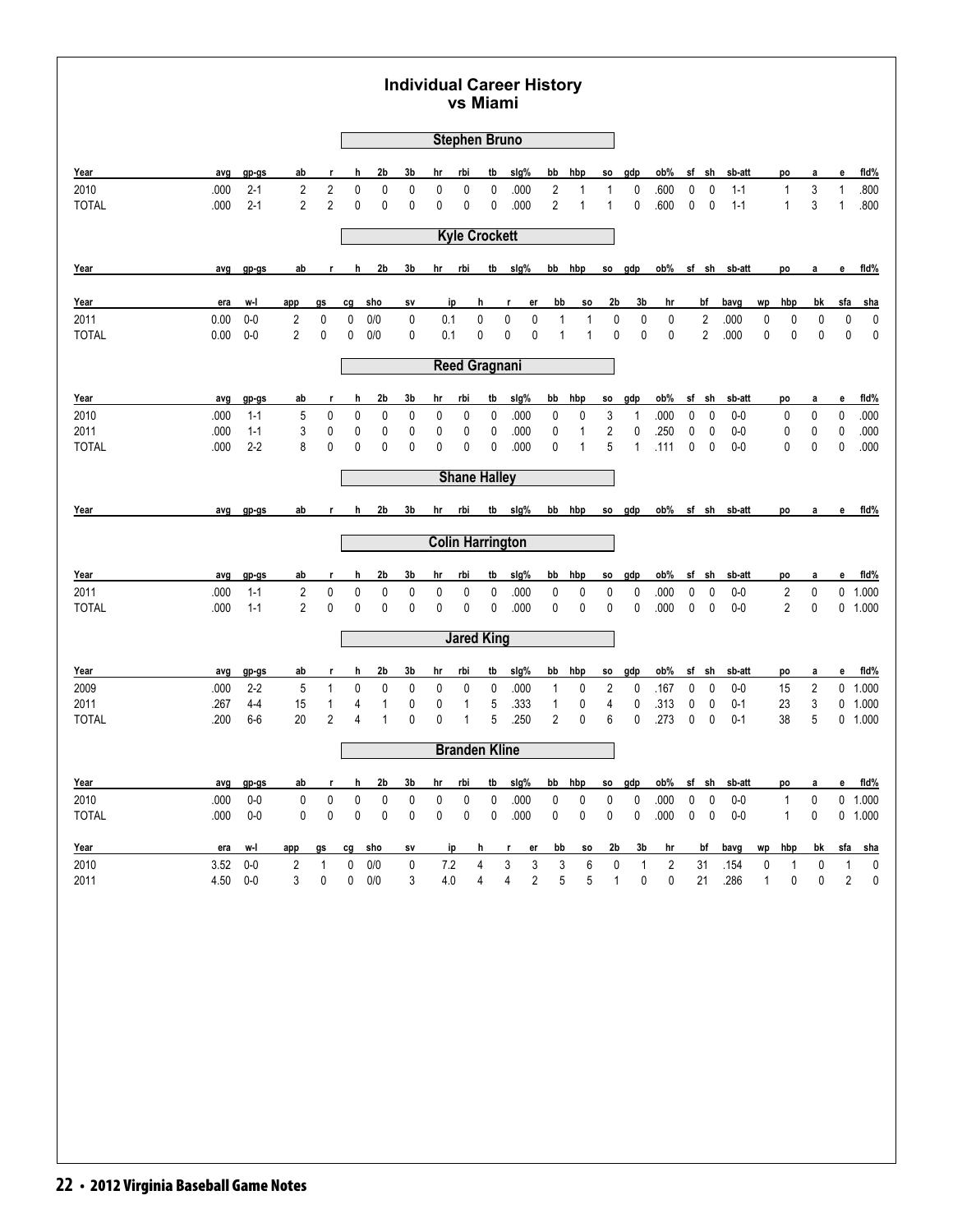| avg<br>.000<br>.000<br>avg | gp-gs<br>$2 - 1$<br>$2 - 1$<br>gp-gs                                                                                           | ab<br>$\overline{2}$<br>$\overline{2}$                              | r<br>$\overline{2}$<br>$\overline{2}$                  | h<br>$\pmb{0}$<br>0                        | 2b<br>$\pmb{0}$<br>0            | 3b<br>0<br>$\mathbf{0}$                              | hr<br>0<br>0                                     | <b>Stephen Bruno</b><br>rbi<br>0 | tb                                   |                                        |                                                                                                                                                                                     |                                                |                                                                    |                                                              |                                                      |                                                     |                  |                                                                                                        |                                                                              |                  |                                                     |                              |                        |
|----------------------------|--------------------------------------------------------------------------------------------------------------------------------|---------------------------------------------------------------------|--------------------------------------------------------|--------------------------------------------|---------------------------------|------------------------------------------------------|--------------------------------------------------|----------------------------------|--------------------------------------|----------------------------------------|-------------------------------------------------------------------------------------------------------------------------------------------------------------------------------------|------------------------------------------------|--------------------------------------------------------------------|--------------------------------------------------------------|------------------------------------------------------|-----------------------------------------------------|------------------|--------------------------------------------------------------------------------------------------------|------------------------------------------------------------------------------|------------------|-----------------------------------------------------|------------------------------|------------------------|
|                            |                                                                                                                                |                                                                     |                                                        |                                            |                                 |                                                      |                                                  |                                  |                                      |                                        |                                                                                                                                                                                     |                                                |                                                                    |                                                              |                                                      |                                                     |                  |                                                                                                        |                                                                              |                  |                                                     |                              |                        |
|                            |                                                                                                                                |                                                                     |                                                        |                                            |                                 |                                                      |                                                  |                                  |                                      | sig%                                   | bb                                                                                                                                                                                  | hbp                                            | <b>SO</b>                                                          | gdp                                                          | ob%                                                  | sf                                                  | sh               | sb-att                                                                                                 |                                                                              | po               | a                                                   | e                            | fid%                   |
|                            |                                                                                                                                |                                                                     |                                                        |                                            |                                 |                                                      |                                                  |                                  | 0                                    | .000                                   | $\overline{2}$                                                                                                                                                                      | 1                                              | 1                                                                  | 0                                                            | .600                                                 | 0                                                   | $\mathbf 0$      | $1 - 1$                                                                                                |                                                                              | 1                | 3                                                   | 1                            | .800                   |
|                            |                                                                                                                                |                                                                     |                                                        |                                            |                                 |                                                      |                                                  | 0                                | 0                                    | .000                                   | $\overline{2}$                                                                                                                                                                      | 1                                              | 1                                                                  | 0                                                            | .600                                                 | 0                                                   | 0                | $1 - 1$                                                                                                |                                                                              | $\mathbf{1}$     | 3                                                   | $\mathbf{1}$                 | .800                   |
|                            |                                                                                                                                |                                                                     |                                                        |                                            |                                 |                                                      |                                                  | <b>Kyle Crockett</b>             |                                      |                                        |                                                                                                                                                                                     |                                                |                                                                    |                                                              |                                                      |                                                     |                  |                                                                                                        |                                                                              |                  |                                                     |                              |                        |
|                            |                                                                                                                                | ab                                                                  | r                                                      | h                                          | 2b                              | 3b                                                   | hr                                               | <u>rbi</u>                       | tb                                   | sig%                                   |                                                                                                                                                                                     | bb hbp                                         | SO.                                                                | gdp                                                          | ob%                                                  |                                                     |                  | sf sh sb-att                                                                                           |                                                                              | po               | a                                                   | е                            | fid%                   |
| era                        | w-l                                                                                                                            | app                                                                 | gs                                                     | cg                                         | sho                             | SV                                                   | ip                                               | h                                |                                      | r<br>er                                | bb                                                                                                                                                                                  | <b>SO</b>                                      | 2 <sub>b</sub>                                                     | 3b                                                           | hr                                                   |                                                     | bf               | bavg                                                                                                   | wp                                                                           | hbp              | bk                                                  | sfa                          | <u>sha</u>             |
| 0.00                       | $0-0$                                                                                                                          | $\overline{2}$                                                      | 0                                                      | 0                                          | 0/0                             | 0                                                    | 0.1                                              | 0                                |                                      | 0<br>$\pmb{0}$                         | 1                                                                                                                                                                                   | 1                                              | $\pmb{0}$                                                          | $\pmb{0}$                                                    | 0                                                    |                                                     | $\overline{c}$   | .000                                                                                                   | $\pmb{0}$                                                                    | 0                | $\pmb{0}$                                           | $\pmb{0}$                    | 0<br>0                 |
|                            |                                                                                                                                |                                                                     |                                                        |                                            |                                 |                                                      |                                                  |                                  |                                      |                                        |                                                                                                                                                                                     |                                                |                                                                    |                                                              |                                                      |                                                     |                  |                                                                                                        |                                                                              |                  |                                                     |                              |                        |
|                            |                                                                                                                                |                                                                     |                                                        |                                            |                                 |                                                      |                                                  |                                  |                                      |                                        |                                                                                                                                                                                     |                                                |                                                                    |                                                              |                                                      |                                                     |                  |                                                                                                        |                                                                              |                  |                                                     |                              |                        |
|                            | gp-gs                                                                                                                          | ab                                                                  | r                                                      | h                                          | 2b                              | 3b                                                   | hr                                               | rbi                              | tb                                   | slg%                                   | bb                                                                                                                                                                                  | hbp                                            | SO.                                                                | gdp                                                          | ob%                                                  |                                                     |                  | sb-att                                                                                                 |                                                                              | po               | a                                                   | e                            | fid%                   |
|                            |                                                                                                                                |                                                                     |                                                        |                                            |                                 |                                                      |                                                  |                                  |                                      |                                        |                                                                                                                                                                                     |                                                |                                                                    |                                                              |                                                      |                                                     |                  |                                                                                                        |                                                                              |                  |                                                     |                              | .000<br>.000           |
|                            | $2 - 2$                                                                                                                        | 8                                                                   | 0                                                      | 0                                          | $\mathbf{0}$                    | $\mathbf{0}$                                         | 0                                                | 0                                | 0                                    | .000                                   | 0                                                                                                                                                                                   | $\mathbf{1}$                                   | 5                                                                  | $\mathbf{1}$                                                 | .111                                                 | 0                                                   | $\mathbf 0$      | $0 - 0$                                                                                                |                                                                              | 0                | 0                                                   | 0                            | .000                   |
|                            |                                                                                                                                |                                                                     |                                                        |                                            |                                 |                                                      |                                                  |                                  |                                      |                                        |                                                                                                                                                                                     |                                                |                                                                    |                                                              |                                                      |                                                     |                  |                                                                                                        |                                                                              |                  |                                                     |                              |                        |
|                            | $gp-gs$                                                                                                                        | ab                                                                  | r.                                                     | h                                          | 2b                              | 3b                                                   | hr                                               | rbi                              |                                      | slg%                                   |                                                                                                                                                                                     |                                                | so                                                                 |                                                              | ob%                                                  |                                                     |                  |                                                                                                        |                                                                              | po               | a                                                   | е                            | fid%                   |
|                            |                                                                                                                                |                                                                     |                                                        |                                            |                                 |                                                      |                                                  |                                  |                                      |                                        |                                                                                                                                                                                     |                                                |                                                                    |                                                              |                                                      |                                                     |                  |                                                                                                        |                                                                              |                  |                                                     |                              |                        |
|                            | gp-gs                                                                                                                          | ab                                                                  | r                                                      | h                                          | 2b                              | 3b                                                   | hr                                               | rbi                              | tb                                   | sig%                                   | bb                                                                                                                                                                                  | hbp                                            | <b>SO</b>                                                          | gdp                                                          | ob%                                                  |                                                     |                  | sb-att                                                                                                 |                                                                              | po               | a                                                   | е                            | fid%                   |
|                            | $1 - 1$                                                                                                                        | $\overline{2}$                                                      | 0                                                      | 0                                          | $\mathbf 0$                     | 0                                                    | 0                                                | 0                                | 0                                    | .000                                   | 0                                                                                                                                                                                   | 0                                              | 0                                                                  | 0                                                            | .000                                                 | 0                                                   | 0                | $0-0$                                                                                                  |                                                                              | $\overline{c}$   | 0                                                   |                              | $0$ 1.000              |
|                            |                                                                                                                                |                                                                     |                                                        |                                            |                                 |                                                      |                                                  |                                  |                                      |                                        |                                                                                                                                                                                     |                                                |                                                                    |                                                              |                                                      |                                                     |                  |                                                                                                        |                                                                              |                  |                                                     |                              | 0 1.000                |
|                            |                                                                                                                                |                                                                     |                                                        |                                            |                                 |                                                      |                                                  |                                  |                                      |                                        |                                                                                                                                                                                     |                                                |                                                                    |                                                              |                                                      |                                                     |                  |                                                                                                        |                                                                              |                  |                                                     |                              |                        |
|                            | gp-gs                                                                                                                          | <u>ab</u>                                                           | r                                                      | h                                          | 2b                              | 3b                                                   | hr                                               | rbi                              | tb                                   | sig%                                   | bb                                                                                                                                                                                  | hbp                                            | <b>SO</b>                                                          | gdp                                                          | ob%                                                  |                                                     |                  | sb-att                                                                                                 |                                                                              | po               | a                                                   | е                            | fid%                   |
|                            | $2 - 2$                                                                                                                        | 5                                                                   | $\mathbf{1}$                                           | 0                                          | 0                               | 0                                                    | 0                                                | 0                                | 0                                    | .000                                   | $\mathbf{1}$                                                                                                                                                                        | 0                                              | $\overline{c}$                                                     | 0                                                            | .167                                                 | 0                                                   | 0                | $0-0$                                                                                                  |                                                                              | 15               | 2                                                   |                              | $0$ 1.000              |
|                            | $6-6$                                                                                                                          | 20                                                                  | $\overline{2}$                                         | 4                                          | $\mathbf{1}$                    | $\mathbf 0$                                          | 0                                                | 1                                | 5                                    | .250                                   | 2                                                                                                                                                                                   | 0                                              | 6                                                                  | 0                                                            | .273                                                 | 0                                                   | 0                | $0 - 1$                                                                                                |                                                                              | 38               | 5                                                   |                              | $0$ 1.000<br>$0$ 1.000 |
|                            |                                                                                                                                |                                                                     |                                                        |                                            |                                 |                                                      |                                                  |                                  |                                      |                                        |                                                                                                                                                                                     |                                                |                                                                    |                                                              |                                                      |                                                     |                  |                                                                                                        |                                                                              |                  |                                                     |                              |                        |
|                            |                                                                                                                                |                                                                     | r                                                      | h                                          |                                 |                                                      | hr                                               |                                  | tb                                   |                                        |                                                                                                                                                                                     |                                                |                                                                    |                                                              |                                                      |                                                     |                  |                                                                                                        |                                                                              |                  |                                                     | е                            | fid%                   |
|                            | $0-0$                                                                                                                          | $\pmb{0}$                                                           | 0                                                      | $\pmb{0}$                                  | $\pmb{0}$                       | 0                                                    | 0                                                | 0                                | 0                                    | .000                                   | 0                                                                                                                                                                                   | 0                                              | 0                                                                  | 0                                                            | .000                                                 | 0                                                   | $\pmb{0}$        | $0-0$                                                                                                  |                                                                              | 1                | 0                                                   |                              | 0 1.000                |
|                            |                                                                                                                                | 0                                                                   | 0                                                      | 0                                          | $\mathbf 0$                     | 0                                                    | 0                                                | 0                                | 0                                    |                                        | 0                                                                                                                                                                                   | 0                                              | 0                                                                  | 0                                                            |                                                      | 0                                                   | $\pmb{0}$        | $0-0$                                                                                                  |                                                                              | 1                | 0                                                   |                              | $0$ 1.000              |
|                            | w-l                                                                                                                            | app                                                                 | gs                                                     | cg                                         |                                 | SV                                                   |                                                  |                                  |                                      | er<br>r                                |                                                                                                                                                                                     | SO.                                            |                                                                    | 3b                                                           | hr                                                   |                                                     |                  |                                                                                                        | wp                                                                           | hbp              | bk                                                  | sfa                          | <u>sha</u>             |
| 3.52                       | $0-0$                                                                                                                          | $\sqrt{2}$                                                          | 1                                                      | 0                                          | 0/0                             | 0                                                    | 7.2                                              | 4.0                              | 4                                    | $\sqrt{3}$<br>3<br>4<br>$\overline{2}$ | 3<br>$\mathbf 5$                                                                                                                                                                    | 6<br>5                                         | 0<br>$\mathbf{1}$                                                  | $\mathbf{1}$<br>$\pmb{0}$                                    | $\overline{\mathbf{c}}$<br>0                         |                                                     | 21               | .154<br>.286                                                                                           | 0<br>$\mathbf{1}$                                                            | $\mathbf 1$<br>0 | $\pmb{0}$<br>0                                      | 1<br>$\overline{\mathbf{c}}$ | 0<br>0                 |
|                            | 0.00<br>avg<br>.000<br>.000<br>.000<br>avg<br>avg<br>.000<br>.000<br>avg<br>.000<br>.267<br>.200<br>avg<br>.000<br>.000<br>era | $0-0$<br>$1 - 1$<br>$1 - 1$<br>$1 - 1$<br>$4 - 4$<br>gp-gs<br>$0-0$ | $\overline{2}$<br>5<br>3<br>$\overline{2}$<br>15<br>ab | 0<br>0<br>0<br>$\mathbf 0$<br>$\mathbf{1}$ | 0<br>0<br>0<br>$\mathbf 0$<br>4 | 0/0<br>0<br>$\pmb{0}$<br>$\pmb{0}$<br>1<br>2b<br>sho | $\mathbf{0}$<br>0<br>0<br>$\mathbf 0$<br>0<br>3b | 0<br>0<br>0<br>0                 | 0.1<br>0<br>0<br>0<br>1<br>rbi<br>ip | 0<br>0<br>0<br>0<br>5<br>h<br>4        | 0<br>0<br><b>Reed Gragnani</b><br>.000<br>.000<br><b>Shane Halley</b><br>tb<br><b>Colin Harrington</b><br>.000<br><b>Jared King</b><br>.333<br><b>Branden Kline</b><br>slg%<br>.000 | $\mathbf{1}$<br>0<br>$\pmb{0}$<br>0<br>1<br>bb | $\mathbf{1}$<br>0<br>$\mathbf{1}$<br>bb hbp<br>0<br>0<br>hbp<br>bb | $\mathbf 0$<br>3<br>$\overline{\mathbf{c}}$<br>0<br>4<br>SO. | $\mathbf{0}$<br>1<br>0<br>gdp<br>0<br>0<br>gdp<br>2b | 0<br>.000<br>.250<br>.000<br>.313<br>$ob\%$<br>.000 | 0<br>0<br>0<br>0 | $\overline{2}$<br>sf sh<br>0<br>$\mathbf 0$<br>sf sh<br>$\mathbf 0$<br>sf sh<br>0<br>sf sh<br>bf<br>31 | .000<br>$0-0$<br>$0-0$<br>sf sh sb-att<br>$0-0$<br>$0 - 1$<br>sb-att<br>bavg | $\mathbf 0$      | $\mathbf 0$<br>0<br>0<br>$\overline{2}$<br>23<br>po | 0<br>0<br>0<br>0<br>3<br>a   | $\mathbf 0$<br>0<br>0  |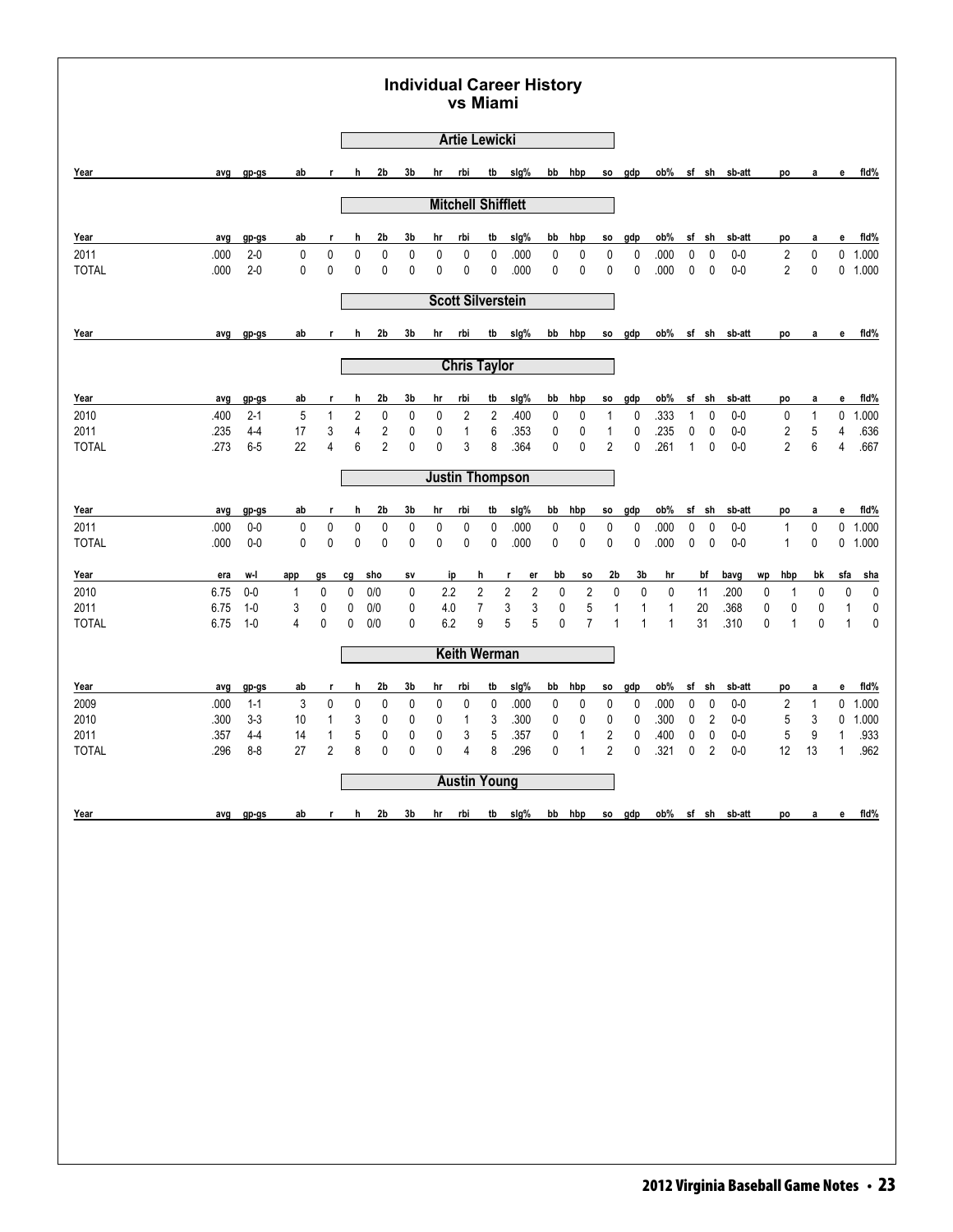|                      |              |                    |                 |                              |                              |                                           |                   |                | <b>Artie Lewicki</b>      |                                           |                                                 |                  |                           |                     |              |                   |                           |                     |                                                                     |                        |                               |                   |              |                   |
|----------------------|--------------|--------------------|-----------------|------------------------------|------------------------------|-------------------------------------------|-------------------|----------------|---------------------------|-------------------------------------------|-------------------------------------------------|------------------|---------------------------|---------------------|--------------|-------------------|---------------------------|---------------------|---------------------------------------------------------------------|------------------------|-------------------------------|-------------------|--------------|-------------------|
| Year                 | avg          | gp-gs              | ab              |                              | h                            | 2 <sub>b</sub>                            | 3b                | hr             | rbi                       | tb                                        | slg%                                            |                  | bb hbp                    | SO.                 | gdp          | ob%               |                           | sf sh               | sb-att                                                              |                        | po                            | а                 | е            | fid%              |
|                      |              |                    |                 |                              |                              |                                           |                   |                | <b>Mitchell Shifflett</b> |                                           |                                                 |                  |                           |                     |              |                   |                           |                     |                                                                     |                        |                               |                   |              |                   |
|                      |              |                    |                 |                              |                              |                                           |                   |                |                           |                                           |                                                 |                  |                           |                     |              |                   |                           |                     |                                                                     |                        |                               |                   |              |                   |
| Year<br>2011         | avg<br>.000  | gp-gs<br>$2 - 0$   | ab<br>0         | r<br>0                       | h<br>$\mathbf 0$             | 2b<br>$\pmb{0}$                           | 3b<br>$\mathbf 0$ | hr<br>0        | rbi<br>0                  | tb<br>0                                   | slg%<br>.000                                    | bb<br>0          | hbp<br>0                  | SO.<br>0            | gdp<br>0     | ob%<br>.000       | sf<br>0                   | sh<br>0             | sb-att<br>$0-0$                                                     |                        | po<br>$\overline{\mathbf{c}}$ | а<br>0            | е            | fid%<br>$0$ 1.000 |
| <b>TOTAL</b>         | .000         | $2 - 0$            | 0               | 0                            | $\mathbf{0}$                 | 0                                         | $\mathbf 0$       | 0              | 0                         | 0                                         | .000                                            | 0                | 0                         | 0                   | 0            | .000              | 0                         | 0                   | $0-0$                                                               |                        | $\overline{2}$                | 0                 |              | $0$ 1.000         |
|                      |              |                    |                 |                              |                              |                                           |                   |                | <b>Scott Silverstein</b>  |                                           |                                                 |                  |                           |                     |              |                   |                           |                     |                                                                     |                        |                               |                   |              |                   |
| Year                 | avg          | $gp-gs$            | ab              | r                            | h                            | 2b                                        | 3b                | hr             | rbi                       | tb                                        | slg%                                            | bb               | hbp                       | SO.                 | gdp          | ob%               |                           | sf sh               | sb-att                                                              |                        | po                            | а                 | е            | fid%              |
|                      |              |                    |                 |                              |                              |                                           |                   |                | <b>Chris Taylor</b>       |                                           |                                                 |                  |                           |                     |              |                   |                           |                     |                                                                     |                        |                               |                   |              |                   |
|                      |              |                    |                 |                              |                              |                                           |                   |                |                           |                                           |                                                 |                  |                           |                     |              |                   |                           |                     |                                                                     |                        |                               |                   |              |                   |
| Year<br>2010         | avg<br>.400  | gp-gs<br>$2 - 1$   | ab<br>5         | r<br>$\mathbf{1}$            | h<br>$\overline{\mathbf{c}}$ | 2b<br>0                                   | 3b<br>0           | hr<br>0        | rbi<br>2                  | tb<br>$\overline{c}$                      | slg%<br>.400                                    | bb<br>0          | hbp<br>0                  | SO.<br>1            | gdp<br>0     | ob%<br>.333       | sf<br>$\mathbf{1}$        | sh<br>0             | sb-att<br>$0-0$                                                     |                        | po<br>0                       | a<br>$\mathbf{1}$ | е<br>0       | fid%<br>1.000     |
| 2011<br><b>TOTAL</b> | .235<br>.273 | $4 - 4$<br>$6-5$   | 17<br>22        | 3<br>4                       | $\overline{\mathbf{4}}$<br>6 | $\overline{\mathbf{c}}$<br>$\overline{2}$ | $\mathbf 0$<br>0  | 0<br>$\pmb{0}$ | $\mathbf{1}$<br>3         | 6<br>8                                    | .353<br>.364                                    | 0<br>$\mathbf 0$ | 0<br>0                    | 1<br>$\overline{2}$ | 0<br>0       | .235<br>.261      | $\pmb{0}$<br>$\mathbf{1}$ | $\pmb{0}$<br>0      | $0-0$<br>$0-0$                                                      |                        | 2<br>$\overline{2}$           | 5<br>6            | 4<br>4       | .636<br>.667      |
|                      |              |                    |                 |                              |                              |                                           |                   |                |                           |                                           |                                                 |                  |                           |                     |              |                   |                           |                     |                                                                     |                        |                               |                   |              |                   |
|                      |              |                    |                 |                              |                              |                                           |                   |                | <b>Justin Thompson</b>    |                                           |                                                 |                  |                           |                     |              |                   |                           |                     |                                                                     |                        |                               |                   |              |                   |
| Year<br>2011         | avg<br>.000  | gp-gs<br>$0-0$     | ab<br>$\pmb{0}$ | r<br>0                       | h<br>$\pmb{0}$               | 2b<br>$\pmb{0}$                           | 3b<br>0           | hr<br>0        | rbi<br>0                  | tb<br>0                                   | sig%<br>.000                                    | bb<br>0          | hbp<br>0                  | SO.<br>0            | gdp<br>0     | ob%<br>.000       | sf<br>$\pmb{0}$           | sh<br>$\pmb{0}$     | sb-att<br>$0-0$                                                     |                        | po<br>1                       | a<br>0            | е<br>0       | fid%<br>1.000     |
| <b>TOTAL</b>         | .000         | $0-0$              | 0               | $\pmb{0}$                    | $\mathbf 0$                  | $\mathbf 0$                               | 0                 | 0              | 0                         | 0                                         | .000                                            | 0                | 0                         | 0                   | 0            | .000              | 0                         | $\pmb{0}$           | $0-0$                                                               |                        | $\mathbf{1}$                  | 0                 | 0            | 1.000             |
| Year                 | era          | w-l                | app             | gs                           | cg                           | sho                                       | SV                |                | ip                        | h                                         | er<br>r                                         | bb               | \$O                       | 2b                  | 3b           | hr                |                           | bf                  | bavg                                                                | wp                     | hbp                           | bk                | sfa          | <u>sha</u>        |
| 2010<br>2011         | 6.75<br>6.75 | $0-0$<br>$1-0$     | 1<br>3          | 0<br>0                       | 0<br>0                       | 0/0<br>0/0                                | 0<br>0            | 2.2<br>4.0     |                           | $\overline{\mathbf{c}}$<br>$\overline{7}$ | $\overline{\mathbf{c}}$<br>$\sqrt{2}$<br>3<br>3 | 0<br>$\pmb{0}$   | $\sqrt{2}$<br>$\mathbf 5$ | $\mathbf 0$<br>1    | 0<br>1       | 0<br>$\mathbf{1}$ |                           | 11<br>20            | .200<br>.368                                                        | $\pmb{0}$<br>$\pmb{0}$ | $\mathbf 1$<br>$\mathbf 0$    | $\mathbf 0$       | 0<br>1       | $\pmb{0}$<br>0    |
| <b>TOTAL</b>         | 6.75         | $1-0$              | 4               | $\mathbf 0$                  | 0                            | 0/0                                       | $\mathbf{0}$      | 6.2            |                           | 9                                         | 5<br>5                                          | 0                | $\overline{7}$            | $\mathbf{1}$        | $\mathbf{1}$ | 1                 |                           | 31                  | .310                                                                | $\mathbf 0$            | $\mathbf{1}$                  | 0<br>$\mathbf 0$  | $\mathbf{1}$ | $\pmb{0}$         |
|                      |              |                    |                 |                              |                              |                                           |                   |                | <b>Keith Werman</b>       |                                           |                                                 |                  |                           |                     |              |                   |                           |                     |                                                                     |                        |                               |                   |              |                   |
| Year                 | avg          | gp-gs              | ab              | r                            | h                            | 2b                                        | 3b                | hr             | rbi                       | tb                                        | slg%                                            | bb               | hbp                       | SO.                 | gdp          | ob%               | sf                        | sh                  | sb-att                                                              |                        | po                            | a                 | е            | fld%              |
| 2009                 | .000         | $1 - 1$<br>$3 - 3$ | 3               | 0                            | 0                            | 0                                         | 0                 | 0              | 0                         | 0                                         | .000                                            | 0                | 0                         | 0                   | 0            | .000              | 0                         | 0                   | $0-0$                                                               |                        | $\overline{\mathbf{c}}$       | $\mathbf{1}$      | 0            | 1.000             |
| 2010<br>2011         | .300<br>.357 | $4 - 4$            | 10<br>14        | $\mathbf{1}$<br>$\mathbf{1}$ | 3<br>5                       | 0<br>$\mathbf 0$                          | 0<br>0            | 0<br>0         | 1<br>3                    | 3<br>5                                    | .300<br>.357                                    | 0<br>0           | 0<br>1                    | 0<br>2              | 0<br>0       | .300<br>.400      | $\pmb{0}$<br>0            | $\overline{2}$<br>0 | $0-0$<br>$0-0$                                                      |                        | 5<br>5                        | 3<br>9            | 0<br>1       | 1.000<br>.933     |
| <b>TOTAL</b>         | .296         | $8 - 8$            | 27              | $\overline{2}$               | 8                            | 0                                         | 0                 | 0              | 4                         | 8                                         | .296                                            | 0                | $\mathbf{1}$              | $\overline{2}$      | 0            | .321              | 0                         | 2                   | $0-0$                                                               | 12                     |                               | 13                | $\mathbf{1}$ | .962              |
|                      |              |                    |                 |                              |                              |                                           |                   |                | <b>Austin Young</b>       |                                           |                                                 |                  |                           |                     |              |                   |                           |                     |                                                                     |                        |                               |                   |              |                   |
|                      |              | avg gp-gs          | ab              |                              |                              |                                           |                   |                |                           |                                           |                                                 |                  |                           |                     |              |                   |                           |                     | r h 2b 3b hr rbi tb slg% bb hbp so gdp ob% sf sh sb-att po a e fld% |                        |                               |                   |              |                   |
| Year                 |              |                    |                 |                              |                              |                                           |                   |                |                           |                                           |                                                 |                  |                           |                     |              |                   |                           |                     |                                                                     |                        |                               |                   |              |                   |